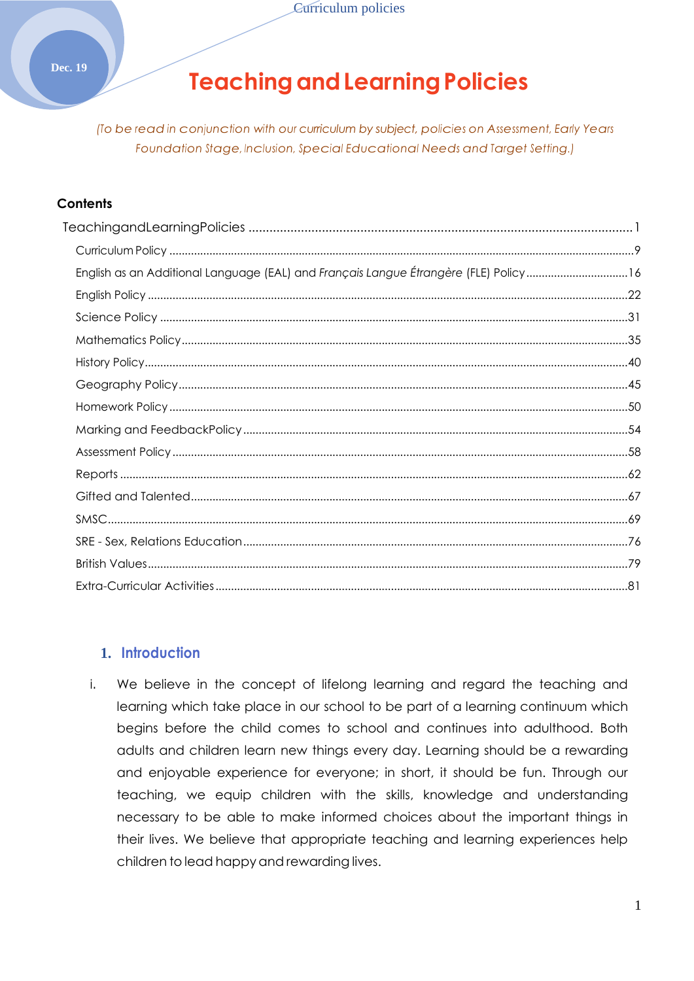#### <span id="page-0-0"></span>**Dec. 19**

# **TeachingandLearningPolicies**

*(To be read in conjunction with our curriculum by subject, policies on Assessment, Early Years Foundation Stage, Inclusion, Special Educational Needs and Target Setting.)*

#### **Contents**

| English as an Additional Language (EAL) and Français Langue Étrangère (FLE) Policy 16 |  |
|---------------------------------------------------------------------------------------|--|
|                                                                                       |  |
|                                                                                       |  |
|                                                                                       |  |
|                                                                                       |  |
|                                                                                       |  |
|                                                                                       |  |
|                                                                                       |  |
|                                                                                       |  |
|                                                                                       |  |
|                                                                                       |  |
|                                                                                       |  |
|                                                                                       |  |
|                                                                                       |  |
|                                                                                       |  |
|                                                                                       |  |

#### **1. Introduction**

i. We believe in the concept of lifelong learning and regard the teaching and learning which take place in our school to be part of a learning continuum which begins before the child comes to school and continues into adulthood. Both adults and children learn new things every day. Learning should be a rewarding and enjoyable experience for everyone; in short, it should be fun. Through our teaching, we equip children with the skills, knowledge and understanding necessary to be able to make informed choices about the important things in their lives. We believe that appropriate teaching and learning experiences help children to lead happyand rewarding lives.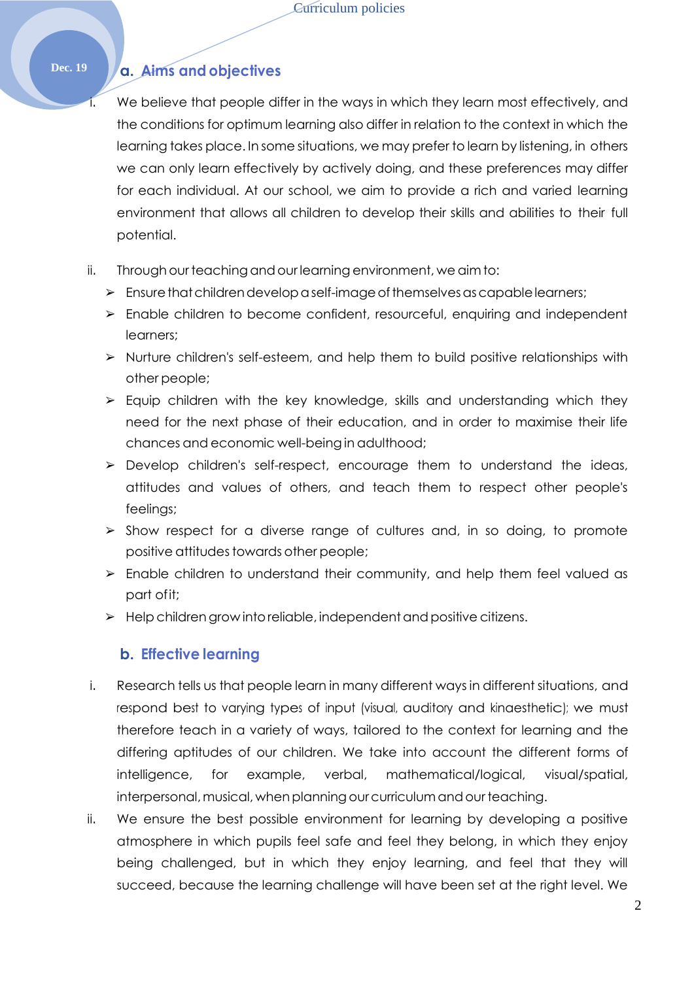## **Dec. 19 a. Aims and objectives**

We believe that people differ in the ways in which they learn most effectively, and the conditions for optimum learning also differ in relation to the context in which the learning takes place. In some situations, we may prefer to learn by listening, in others we can only learn effectively by actively doing, and these preferences may differ for each individual. At our school, we aim to provide a rich and varied learning environment that allows all children to develop their skills and abilities to their full potential.

- ii. Through our teaching and our learning environment, we aim to:
	- $\triangleright$  Ensurethat children develop a self-image of themselves as capable learners;
	- ➢ Enable children to become confident, resourceful, enquiring and independent learners;
	- ➢ Nurture children's self-esteem, and help them to build positive relationships with other people;
	- $\triangleright$  Equip children with the key knowledge, skills and understanding which they need for the next phase of their education, and in order to maximise their life chances and economic well-being in adulthood;
	- ➢ Develop children's self-respect, encourage them to understand the ideas, attitudes and values of others, and teach them to respect other people's feelings;
	- ➢ Show respect for a diverse range of cultures and, in so doing, to promote positive attitudes towards other people;
	- ➢ Enable children to understand their community, and help them feel valued as part ofit;
	- $\triangleright$  Help children grow into reliable, independent and positive citizens.

#### **b. Effective learning**

- i. Research tells us that people learn in many different ways in different situations, and respond best to varying types of input (visual, auditory and kinaesthetic); we must therefore teach in a variety of ways, tailored to the context for learning and the differing aptitudes of our children. We take into account the different forms of intelligence, for example, verbal, mathematical/logical, visual/spatial, interpersonal, musical, when planning our curriculum and our teaching.
- ii. We ensure the best possible environment for learning by developing a positive atmosphere in which pupils feel safe and feel they belong, in which they enjoy being challenged, but in which they enjoy learning, and feel that they will succeed, because the learning challenge will have been set at the right level. We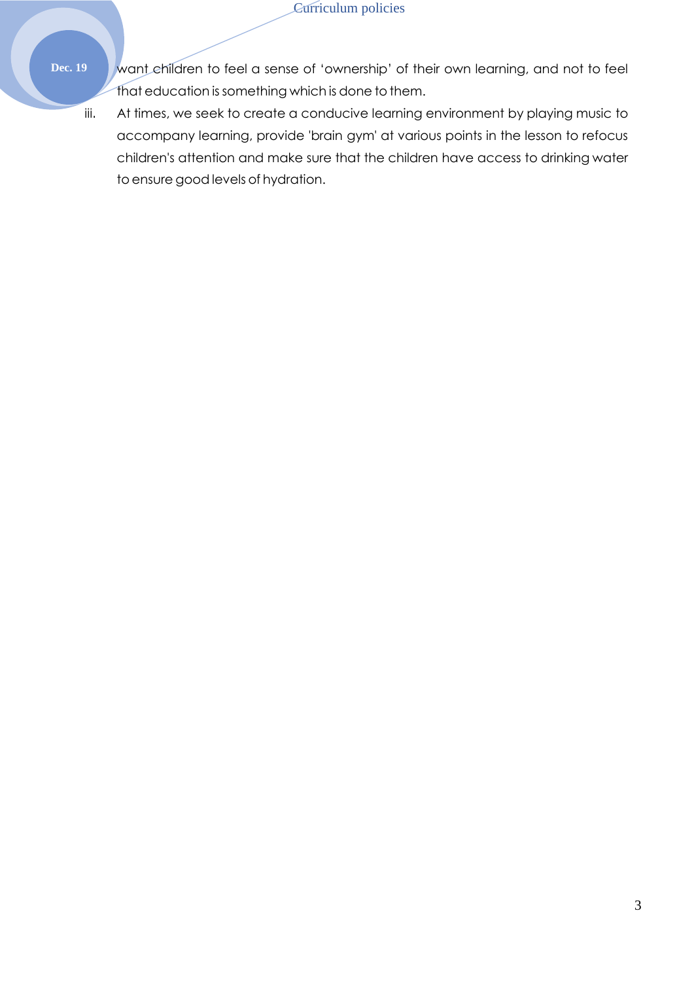- 
- **Dec. 19** want children to feel a sense of 'ownership' of their own learning, and not to feel that education issomething which is done to them.
	- iii. At times, we seek to create a conducive learning environment by playing music to accompany learning, provide 'brain gym' at various points in the lesson to refocus children's attention and make sure that the children have access to drinking water to ensure good levels of hydration.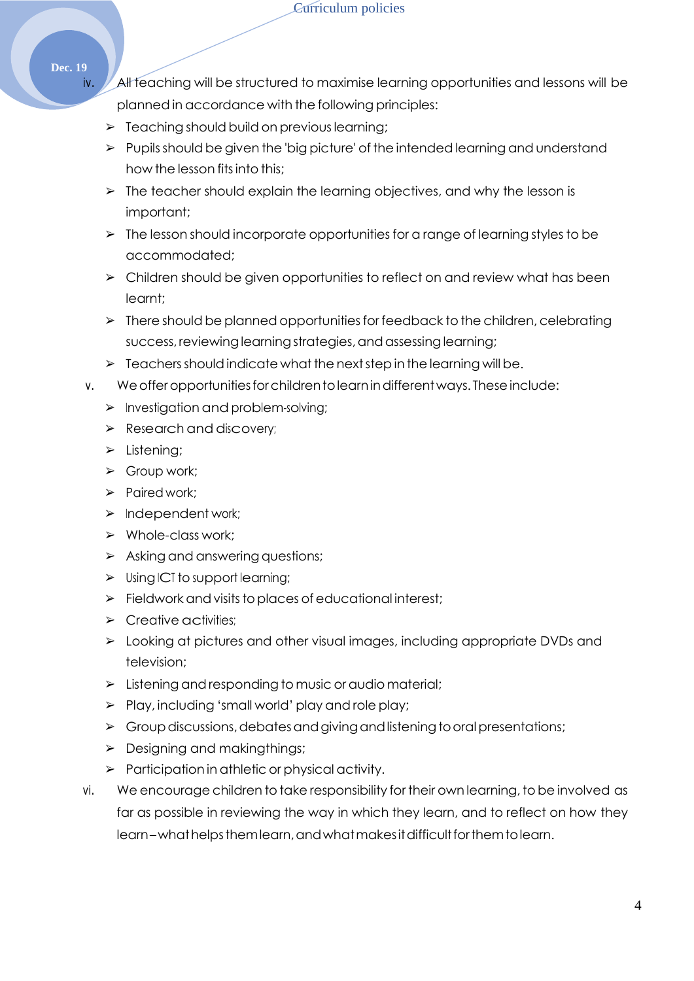**Dec. 19**

- iv. All teaching will be structured to maximise learning opportunities and lessons will be planned in accordance with the following principles:
	- $\triangleright$  Teaching should build on previous learning;
	- ➢ Pupilsshould be given the 'big picture' of the intended learning and understand how the lesson fits into this;
	- $\triangleright$  The teacher should explain the learning objectives, and why the lesson is important;
	- ➢ The lesson should incorporate opportunities for a range of learning styles to be accommodated;
	- $\triangleright$  Children should be given opportunities to reflect on and review what has been learnt;
	- ➢ There should be planned opportunitiesfor feedback to the children, celebrating success, reviewing learning strategies, and assessing learning;
	- $\geq$  Teachers should indicate what the next step in the learning will be.
- v. We offer opportunities for childrent olearn in different ways. These include:
	- $\triangleright$  Investigation and problem-solving;
	- ➢ Research and discovery;
	- ➢ Listening;
	- ➢ Group work;
	- ➢ Paired work;
	- ➢ Independent work;
	- ➢ Whole-class work;
	- $\triangleright$  Asking and answering questions;
	- ➢ Using ICT to support learning;
	- $\triangleright$  Fieldwork and visits to places of educational interest;
	- $\triangleright$  Creative activities;
	- ➢ Looking at pictures and other visual images, including appropriate DVDs and television;
	- ➢ Listening and responding to music or audio material;
	- $\triangleright$  Play, including 'small world' play and role play;
	- $\triangleright$  Group discussions, debates and giving and listening to oral presentations;
	- ➢ Designing and makingthings;
	- $\triangleright$  Participation in athletic or physical activity.
- vi. We encourage children to take responsibility for their own learning, to be involved as far as possible in reviewing the way in which they learn, and to reflect on how they learn–what helps them learn, and what makes it difficult for them to learn.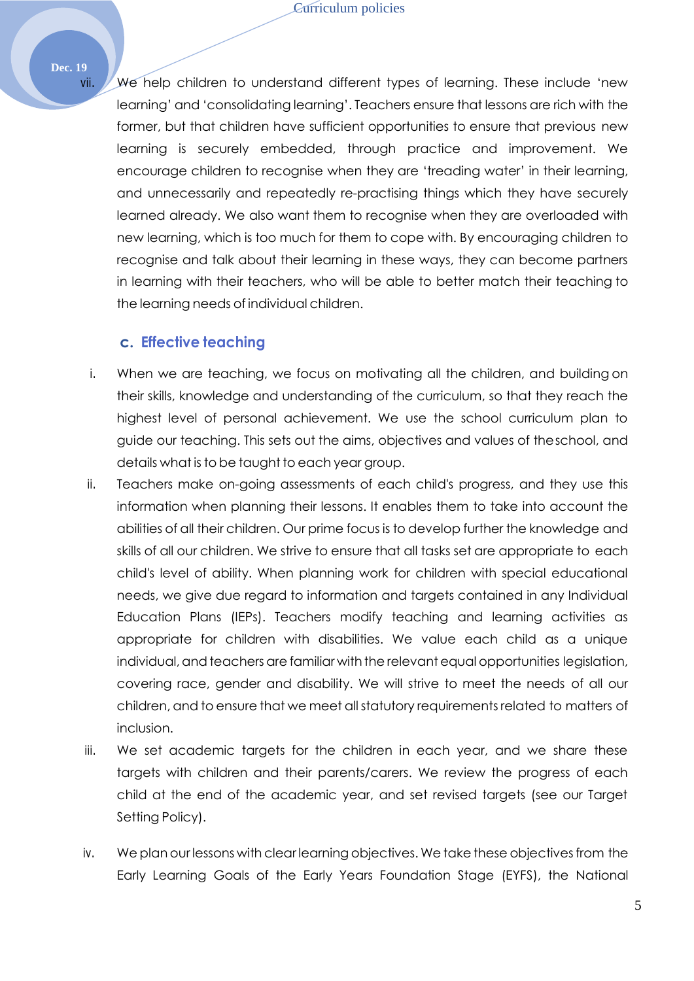#### **Dec. 19**

vii. We help children to understand different types of learning. These include 'new learning' and 'consolidating learning'. Teachers ensure that lessons are rich with the former, but that children have sufficient opportunities to ensure that previous new learning is securely embedded, through practice and improvement. We encourage children to recognise when they are 'treading water' in their learning, and unnecessarily and repeatedly re-practising things which they have securely learned already. We also want them to recognise when they are overloaded with new learning, which is too much for them to cope with. By encouraging children to recognise and talk about their learning in these ways, they can become partners in learning with their teachers, who will be able to better match their teaching to the learning needs of individual children.

#### **c. Effective teaching**

- i. When we are teaching, we focus on motivating all the children, and building on their skills, knowledge and understanding of the curriculum, so that they reach the highest level of personal achievement. We use the school curriculum plan to guide our teaching. This sets out the aims, objectives and values of theschool, and details what is to be taught to each year group.
- ii. Teachers make on-going assessments of each child's progress, and they use this information when planning their lessons. It enables them to take into account the abilities of all their children. Our prime focus is to develop further the knowledge and skills of all our children. We strive to ensure that all tasks set are appropriate to each child's level of ability. When planning work for children with special educational needs, we give due regard to information and targets contained in any Individual Education Plans (IEPs). Teachers modify teaching and learning activities as appropriate for children with disabilities. We value each child as a unique individual, and teachers are familiar with the relevant equal opportunities legislation, covering race, gender and disability. We will strive to meet the needs of all our children, and to ensure that we meet allstatutory requirementsrelated to matters of inclusion.
- iii. We set academic targets for the children in each year, and we share these targets with children and their parents/carers. We review the progress of each child at the end of the academic year, and set revised targets (see our Target Setting Policy).
- iv. We plan our lessons with clear learning objectives. We take these objectivesfrom the Early Learning Goals of the Early Years Foundation Stage (EYFS), the National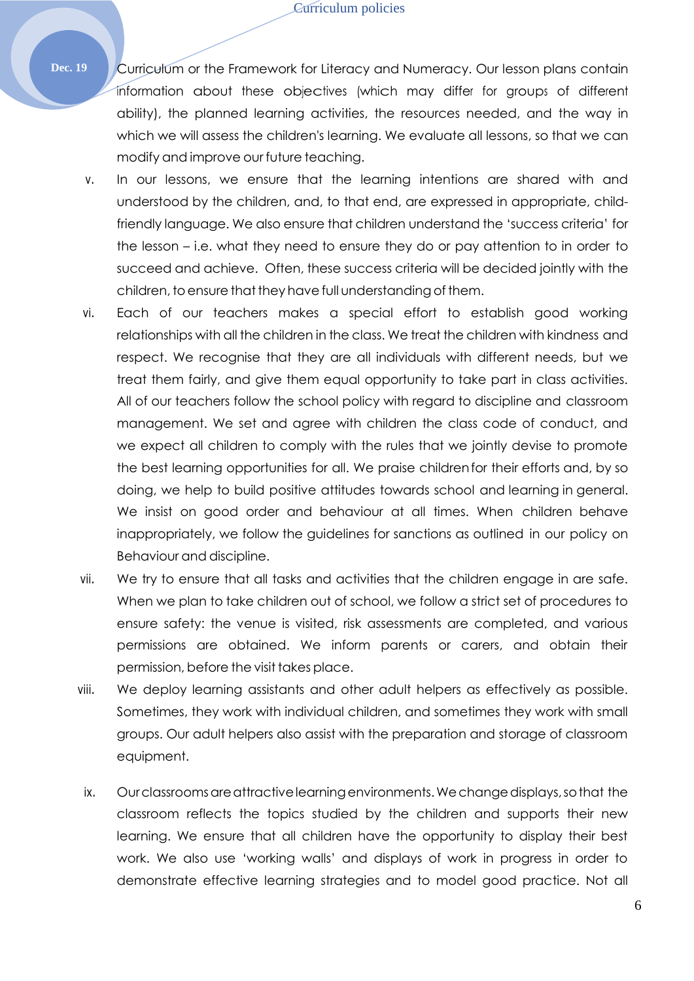**Dec. 19** Curriculum or the Framework for Literacy and Numeracy. Our lesson plans contain information about these objectives (which may differ for groups of different ability), the planned learning activities, the resources needed, and the way in which we will assess the children's learning. We evaluate all lessons, so that we can modify and improve our future teaching.

- v. In our lessons, we ensure that the learning intentions are shared with and understood by the children, and, to that end, are expressed in appropriate, childfriendly language. We also ensure that children understand the 'success criteria' for the lesson – i.e. what they need to ensure they do or pay attention to in order to succeed and achieve. Often, these success criteria will be decided jointly with the children, to ensure that they have full understanding of them.
- vi. Each of our teachers makes a special effort to establish good working relationships with all the children in the class. We treat the children with kindness and respect. We recognise that they are all individuals with different needs, but we treat them fairly, and give them equal opportunity to take part in class activities. All of our teachers follow the school policy with regard to discipline and classroom management. We set and agree with children the class code of conduct, and we expect all children to comply with the rules that we jointly devise to promote the best learning opportunities for all. We praise childrenfor their efforts and, by so doing, we help to build positive attitudes towards school and learning in general. We insist on good order and behaviour at all times. When children behave inappropriately, we follow the guidelines for sanctions as outlined in our policy on Behaviour and discipline.
- vii. We try to ensure that all tasks and activities that the children engage in are safe. When we plan to take children out of school, we follow a strict set of procedures to ensure safety: the venue is visited, risk assessments are completed, and various permissions are obtained. We inform parents or carers, and obtain their permission, before the visit takes place.
- viii. We deploy learning assistants and other adult helpers as effectively as possible. Sometimes, they work with individual children, and sometimes they work with small groups. Our adult helpers also assist with the preparation and storage of classroom equipment.
	- ix. Our classrooms are attractive learning environments. We change displays, so that the classroom reflects the topics studied by the children and supports their new learning. We ensure that all children have the opportunity to display their best work. We also use 'working walls' and displays of work in progress in order to demonstrate effective learning strategies and to model good practice. Not all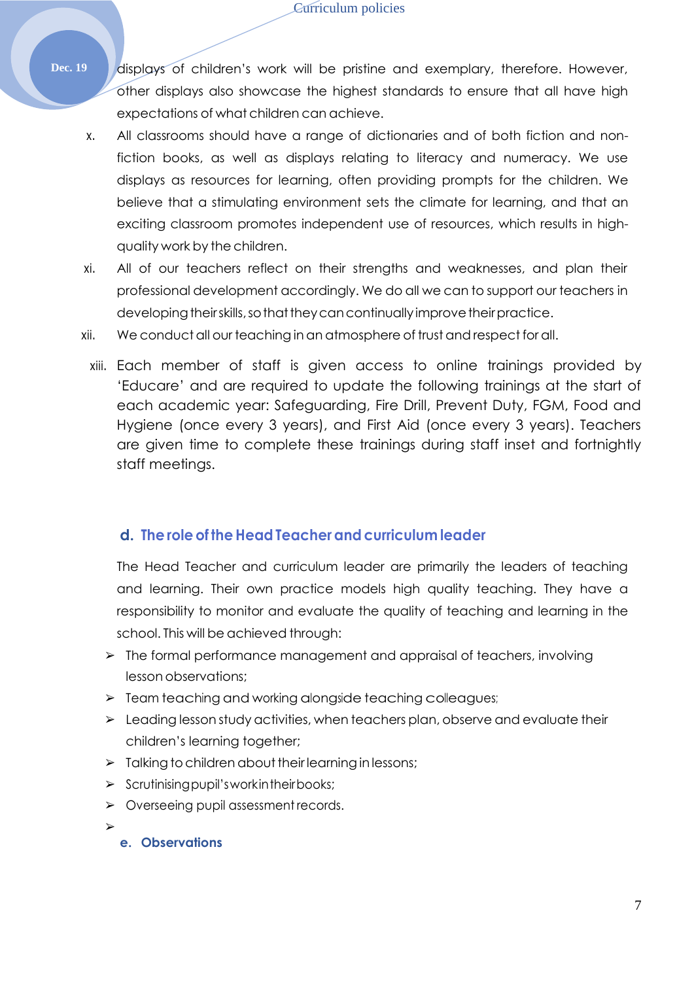- Dec. 19 displays of children's work will be pristine and exemplary, therefore. However, other displays also showcase the highest standards to ensure that all have high expectations of what children can achieve.
	- x. All classrooms should have a range of dictionaries and of both fiction and nonfiction books, as well as displays relating to literacy and numeracy. We use displays as resources for learning, often providing prompts for the children. We believe that a stimulating environment sets the climate for learning, and that an exciting classroom promotes independent use of resources, which results in highquality work by the children.
	- xi. All of our teachers reflect on their strengths and weaknesses, and plan their professional development accordingly. We do all we can to support our teachers in developing their skills, so that they can continually improve their practice.
	- xii. We conduct all our teaching in an atmosphere of trust and respect for all.
	- xiii. Each member of staff is given access to online trainings provided by 'Educare' and are required to update the following trainings at the start of each academic year: Safeguarding, Fire Drill, Prevent Duty, FGM, Food and Hygiene (once every 3 years), and First Aid (once every 3 years). Teachers are given time to complete these trainings during staff inset and fortnightly staff meetings.

### **d. Theroleof theHead Teacherandcurriculum leader**

The Head Teacher and curriculum leader are primarily the leaders of teaching and learning. Their own practice models high quality teaching. They have a responsibility to monitor and evaluate the quality of teaching and learning in the school. This will be achieved through:

- ➢ The formal performance management and appraisal of teachers, involving lesson observations;
- ➢ Team teaching and working alongside teaching colleagues;
- ➢ Leading lesson study activities, when teachers plan, observe and evaluate their children's learning together;
- $\triangleright$  Talking to children about their learning in lessons;
- ➢ Scrutinisingpupil'sworkintheirbooks;
- ➢ Overseeing pupil assessment records.

➢

**e. Observations**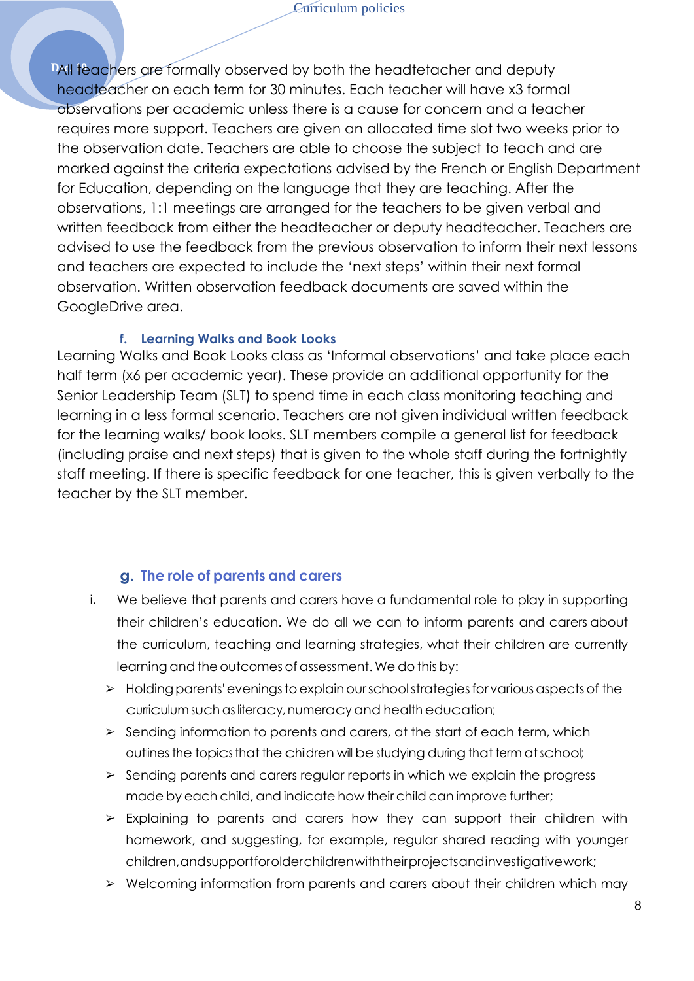**DAII teachers are formally observed by both the headtetacher and deputy** headteacher on each term for 30 minutes. Each teacher will have x3 formal observations per academic unless there is a cause for concern and a teacher requires more support. Teachers are given an allocated time slot two weeks prior to the observation date. Teachers are able to choose the subject to teach and are marked against the criteria expectations advised by the French or English Department for Education, depending on the language that they are teaching. After the observations, 1:1 meetings are arranged for the teachers to be given verbal and written feedback from either the headteacher or deputy headteacher. Teachers are advised to use the feedback from the previous observation to inform their next lessons and teachers are expected to include the 'next steps' within their next formal observation. Written observation feedback documents are saved within the GoogleDrive area.

#### **f. Learning Walks and Book Looks**

Learning Walks and Book Looks class as 'Informal observations' and take place each half term (x6 per academic year). These provide an additional opportunity for the Senior Leadership Team (SLT) to spend time in each class monitoring teaching and learning in a less formal scenario. Teachers are not given individual written feedback for the learning walks/ book looks. SLT members compile a general list for feedback (including praise and next steps) that is given to the whole staff during the fortnightly staff meeting. If there is specific feedback for one teacher, this is given verbally to the teacher by the SLT member.

#### **g. The role of parents and carers**

- i. We believe that parents and carers have a fundamental role to play in supporting their children's education. We do all we can to inform parents and carers about the curriculum, teaching and learning strategies, what their children are currently learning and the outcomes of assessment. We do this by:
	- $\triangleright$  Holding parents' evenings to explain our school strategies for various aspects of the curriculum such as literacy, numeracy and health education;
	- ➢ Sending information to parents and carers, at the start of each term, which outlines the topics that the children will be studying during that term at school;
	- ➢ Sending parents and carers regular reports in which we explain the progress made by each child, and indicate how their child can improve further;
	- ➢ Explaining to parents and carers how they can support their children with homework, and suggesting, for example, regular shared reading with younger children,andsupportforolderchildrenwiththeirprojectsandinvestigativework;
	- ➢ Welcoming information from parents and carers about their children which may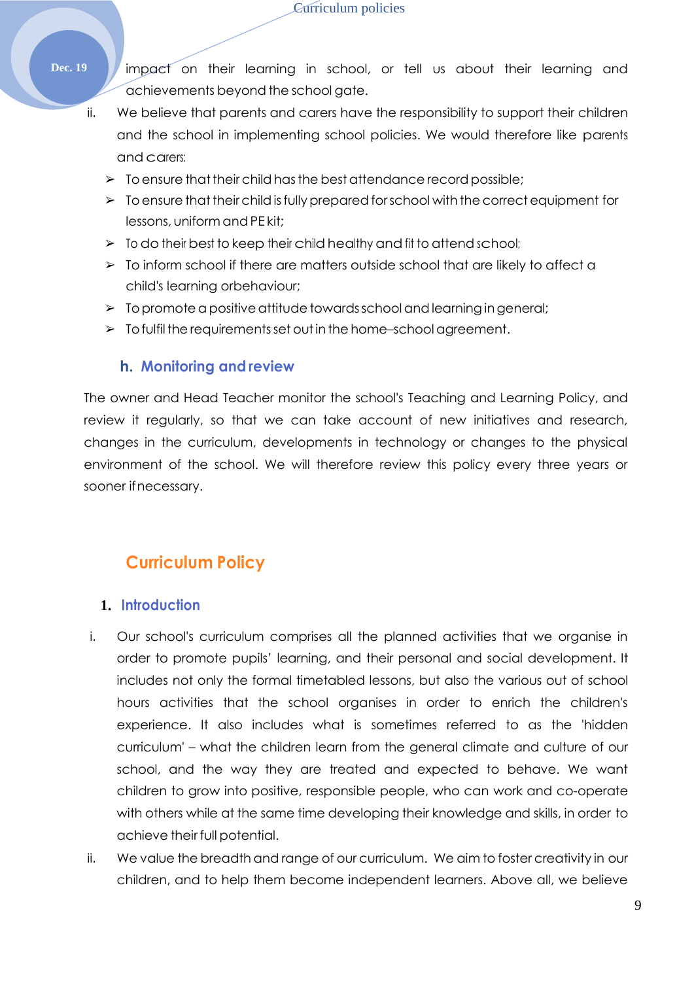- Dec. 19 **/ impact** on their learning in school, or tell us about their learning and achievements beyond the school gate.
	- ii. We believe that parents and carers have the responsibility to support their children and the school in implementing school policies. We would therefore like parents and carers:
		- $\triangleright$  To ensure that their child has the best attendance record possible;
		- $\triangleright$  To ensure that their child is fully prepared for school with the correct equipment for lessons, uniform and PE kit;
		- ➢ To do their best to keep their child healthy and fit to attend school;
		- $\triangleright$  To inform school if there are matters outside school that are likely to affect a child's learning orbehaviour;
		- $\triangleright$  To promote a positive attitude towards school and learning in general;
		- $\triangleright$  To fulfil the requirements set out in the home-school agreement.

#### **h. Monitoring and review**

The owner and Head Teacher monitor the school's Teaching and Learning Policy, and review it regularly, so that we can take account of new initiatives and research, changes in the curriculum, developments in technology or changes to the physical environment of the school. We will therefore review this policy every three years or sooner ifnecessary.

## **Curriculum Policy**

#### <span id="page-8-0"></span>**1. Introduction**

- i. Our school's curriculum comprises all the planned activities that we organise in order to promote pupils' learning, and their personal and social development. It includes not only the formal timetabled lessons, but also the various out of school hours activities that the school organises in order to enrich the children's experience. It also includes what is sometimes referred to as the 'hidden curriculum' – what the children learn from the general climate and culture of our school, and the way they are treated and expected to behave. We want children to grow into positive, responsible people, who can work and co-operate with others while at the same time developing their knowledge and skills, in order to achieve their full potential.
- ii. We value the breadth and range of our curriculum. We aim to foster creativity in our children, and to help them become independent learners. Above all, we believe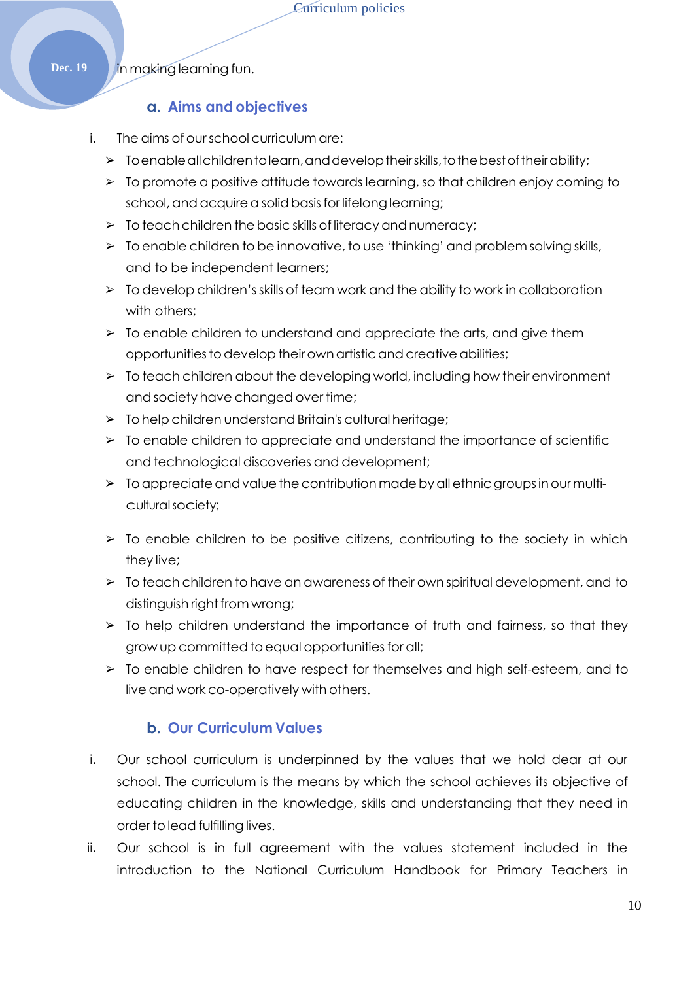**Dec. 19** *in* making learning fun.

#### **a. Aims and objectives**

- i. The aims of ourschool curriculum are:
	- $\triangleright$  Toenable all childrentolearn, and develop their skills, to the best of their ability;
	- ➢ To promote a positive attitude towards learning, so that children enjoy coming to school, and acquire a solid basis for lifelong learning;
	- $\triangleright$  To teach children the basic skills of literacy and numeracy;
	- ➢ To enable children to be innovative, to use 'thinking' and problem solving skills, and to be independent learners;
	- $\triangleright$  To develop children's skills of team work and the ability to work in collaboration with others:
	- $\geq$  To enable children to understand and appreciate the arts, and give them opportunities to develop their own artistic and creative abilities;
	- $\triangleright$  To teach children about the developing world, including how their environment and society have changed over time;
	- $\triangleright$  To help children understand Britain's cultural heritage;
	- $\triangleright$  To enable children to appreciate and understand the importance of scientific and technological discoveries and development;
	- $\triangleright$  To appreciate and value the contribution made by all ethnic groups in our multicultural society;
	- ➢ To enable children to be positive citizens, contributing to the society in which they live;
	- ➢ To teach children to have an awareness of their own spiritual development, and to distinguish right from wrong;
	- $\triangleright$  To help children understand the importance of truth and fairness, so that they grow up committed toequal opportunities for all;
	- ➢ To enable children to have respect for themselves and high self-esteem, and to live and work co-operatively with others.

#### **b. Our Curriculum Values**

- i. Our school curriculum is underpinned by the values that we hold dear at our school. The curriculum is the means by which the school achieves its objective of educating children in the knowledge, skills and understanding that they need in order to lead fulfilling lives.
- ii. Our school is in full agreement with the values statement included in the introduction to the National Curriculum Handbook for Primary Teachers in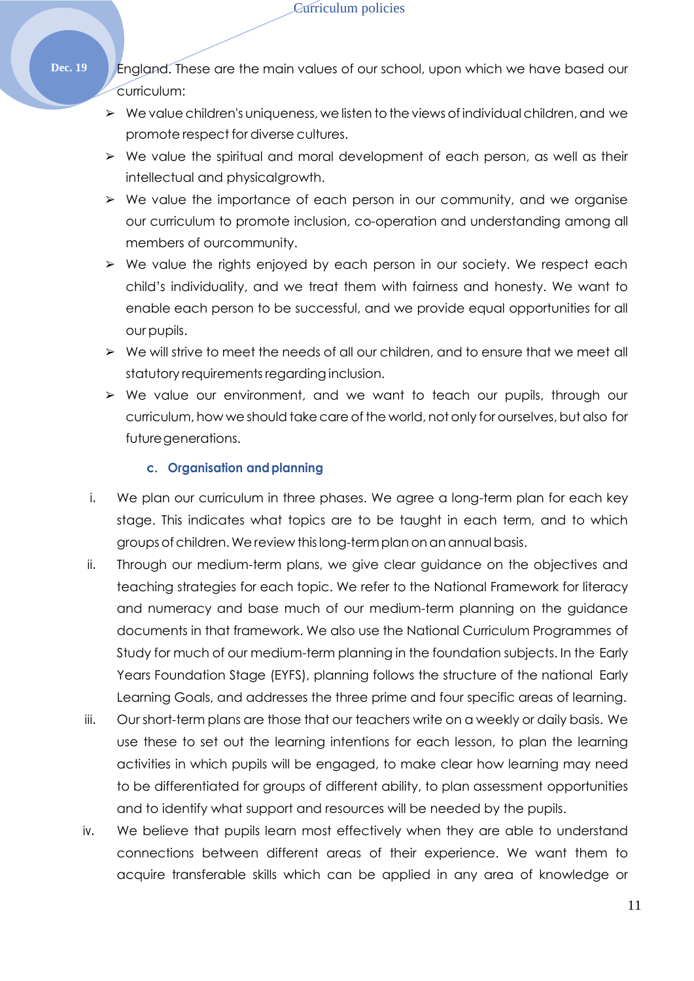**Dec. 19** England. These are the main values of our school, upon which we have based our curriculum:

- $\triangleright$  We value children's uniqueness, we listen to the views of individual children, and we promote respect for diverse cultures.
- ➢ We value the spiritual and moral development of each person, as well as their intellectual and physicalgrowth.
- ➢ We value the importance of each person in our community, and we organise our curriculum to promote inclusion, co-operation and understanding among all members of ourcommunity.
- ➢ We value the rights enjoyed by each person in our society. We respect each child's individuality, and we treat them with fairness and honesty. We want to enable each person to be successful, and we provide equal opportunities for all our pupils.
- ➢ We will strive to meet the needs of all our children, and to ensure that we meet all statutory requirements regarding inclusion.
- ➢ We value our environment, and we want to teach our pupils, through our curriculum, how we should take care of the world, not only for ourselves, but also for futuregenerations.

#### **c. Organisation andplanning**

- i. We plan our curriculum in three phases. We agree a long-term plan for each key stage. This indicates what topics are to be taught in each term, and to which groups of children.We review thislong-termplanonanannual basis.
- ii. Through our medium-term plans, we give clear guidance on the objectives and teaching strategies for each topic. We refer to the National Framework for literacy and numeracy and base much of our medium-term planning on the guidance documents in that framework. We also use the National Curriculum Programmes of Study for much of our medium-term planning in the foundation subjects. In the Early Years Foundation Stage (EYFS), planning follows the structure of the national Early Learning Goals, and addresses the three prime and four specific areas of learning.
- iii. Our short-term plans are those that our teachers write on a weekly or daily basis. We use these to set out the learning intentions for each lesson, to plan the learning activities in which pupils will be engaged, to make clear how learning may need to be differentiated for groups of different ability, to plan assessment opportunities and to identify what support and resources will be needed by the pupils.
- iv. We believe that pupils learn most effectively when they are able to understand connections between different areas of their experience. We want them to acquire transferable skills which can be applied in any area of knowledge or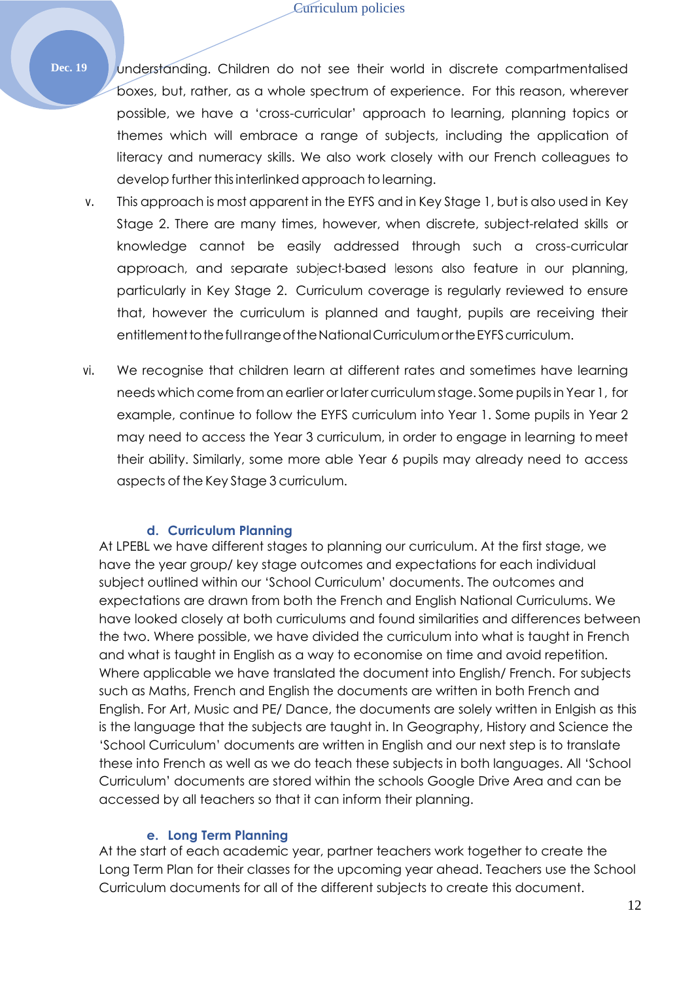**Dec. 19** Junderstanding. Children do not see their world in discrete compartmentalised boxes, but, rather, as a whole spectrum of experience. For this reason, wherever possible, we have a 'cross-curricular' approach to learning, planning topics or themes which will embrace a range of subjects, including the application of literacy and numeracy skills. We also work closely with our French colleagues to develop further thisinterlinked approach to learning.

- v. This approach is most apparent in the EYFS and in Key Stage 1, but is also used in Key Stage 2. There are many times, however, when discrete, subject-related skills or knowledge cannot be easily addressed through such a cross-curricular approach, and separate subject-based lessons also feature in our planning, particularly in Key Stage 2. Curriculum coverage is regularly reviewed to ensure that, however the curriculum is planned and taught, pupils are receiving their entitlement to the full range of the National Curriculum or the EYFS curriculum.
- vi. We recognise that children learn at different rates and sometimes have learning needs which come from an earlier or later curriculum stage. Some pupils in Year 1, for example, continue to follow the EYFS curriculum into Year 1. Some pupils in Year 2 may need to access the Year 3 curriculum, in order to engage in learning to meet their ability. Similarly, some more able Year 6 pupils may already need to access aspects of the Key Stage 3 curriculum.

#### **d. Curriculum Planning**

At LPEBL we have different stages to planning our curriculum. At the first stage, we have the year group/ key stage outcomes and expectations for each individual subject outlined within our 'School Curriculum' documents. The outcomes and expectations are drawn from both the French and English National Curriculums. We have looked closely at both curriculums and found similarities and differences between the two. Where possible, we have divided the curriculum into what is taught in French and what is taught in English as a way to economise on time and avoid repetition. Where applicable we have translated the document into English/ French. For subjects such as Maths, French and English the documents are written in both French and English. For Art, Music and PE/ Dance, the documents are solely written in Enlgish as this is the language that the subjects are taught in. In Geography, History and Science the 'School Curriculum' documents are written in English and our next step is to translate these into French as well as we do teach these subjects in both languages. All 'School Curriculum' documents are stored within the schools Google Drive Area and can be accessed by all teachers so that it can inform their planning.

#### **e. Long Term Planning**

At the start of each academic year, partner teachers work together to create the Long Term Plan for their classes for the upcoming year ahead. Teachers use the School Curriculum documents for all of the different subjects to create this document.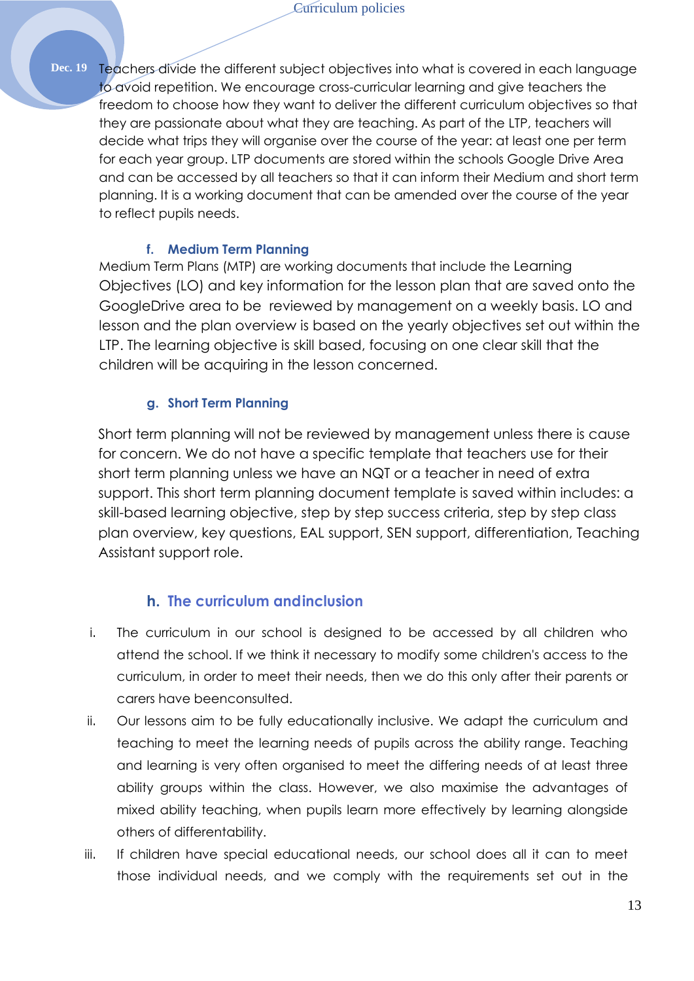**Dec. 19** Teachers divide the different subject objectives into what is covered in each language to avoid repetition. We encourage cross-curricular learning and give teachers the freedom to choose how they want to deliver the different curriculum objectives so that they are passionate about what they are teaching. As part of the LTP, teachers will decide what trips they will organise over the course of the year: at least one per term for each year group. LTP documents are stored within the schools Google Drive Area and can be accessed by all teachers so that it can inform their Medium and short term planning. It is a working document that can be amended over the course of the year to reflect pupils needs.

#### **f. Medium Term Planning**

Medium Term Plans (MTP) are working documents that include the Learning Objectives (LO) and key information for the lesson plan that are saved onto the GoogleDrive area to be reviewed by management on a weekly basis. LO and lesson and the plan overview is based on the yearly objectives set out within the LTP. The learning objective is skill based, focusing on one clear skill that the children will be acquiring in the lesson concerned.

#### **g. Short Term Planning**

Short term planning will not be reviewed by management unless there is cause for concern. We do not have a specific template that teachers use for their short term planning unless we have an NQT or a teacher in need of extra support. This short term planning document template is saved within includes: a skill-based learning objective, step by step success criteria, step by step class plan overview, key questions, EAL support, SEN support, differentiation, Teaching Assistant support role.

#### **h. The curriculum andinclusion**

- i. The curriculum in our school is designed to be accessed by all children who attend the school. If we think it necessary to modify some children's access to the curriculum, in order to meet their needs, then we do this only after their parents or carers have beenconsulted.
- ii. Our lessons aim to be fully educationally inclusive. We adapt the curriculum and teaching to meet the learning needs of pupils across the ability range. Teaching and learning is very often organised to meet the differing needs of at least three ability groups within the class. However, we also maximise the advantages of mixed ability teaching, when pupils learn more effectively by learning alongside others of differentability.
- iii. If children have special educational needs, our school does all it can to meet those individual needs, and we comply with the requirements set out in the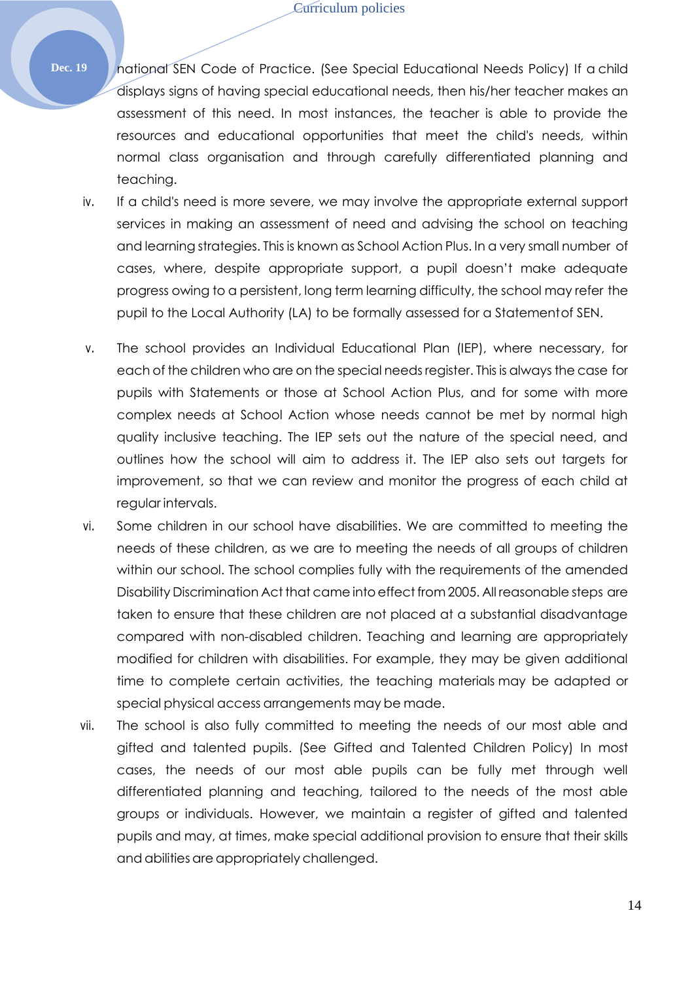Dec. 19 **national SEN Code of Practice.** (See Special Educational Needs Policy) If a child displays signs of having special educational needs, then his/her teacher makes an assessment of this need. In most instances, the teacher is able to provide the resources and educational opportunities that meet the child's needs, within normal class organisation and through carefully differentiated planning and teaching.

- iv. If a child's need is more severe, we may involve the appropriate external support services in making an assessment of need and advising the school on teaching and learning strategies. This is known as School Action Plus. In a very small number of cases, where, despite appropriate support, a pupil doesn't make adequate progress owing to a persistent, long term learning difficulty, the school may refer the pupil to the Local Authority (LA) to be formally assessed for a Statementof SEN.
- v. The school provides an Individual Educational Plan (IEP), where necessary, for each of the children who are on the special needsregister. This is always the case for pupils with Statements or those at School Action Plus, and for some with more complex needs at School Action whose needs cannot be met by normal high quality inclusive teaching. The IEP sets out the nature of the special need, and outlines how the school will aim to address it. The IEP also sets out targets for improvement, so that we can review and monitor the progress of each child at regular intervals.
- vi. Some children in our school have disabilities. We are committed to meeting the needs of these children, as we are to meeting the needs of all groups of children within our school. The school complies fully with the requirements of the amended Disability Discrimination Act that came intoeffect from 2005. All reasonable steps are taken to ensure that these children are not placed at a substantial disadvantage compared with non-disabled children. Teaching and learning are appropriately modified for children with disabilities. For example, they may be given additional time to complete certain activities, the teaching materials may be adapted or special physical access arrangements may be made.
- vii. The school is also fully committed to meeting the needs of our most able and gifted and talented pupils. (See Gifted and Talented Children Policy) In most cases, the needs of our most able pupils can be fully met through well differentiated planning and teaching, tailored to the needs of the most able groups or individuals. However, we maintain a register of gifted and talented pupils and may, at times, make special additional provision to ensure that their skills and abilities are appropriately challenged.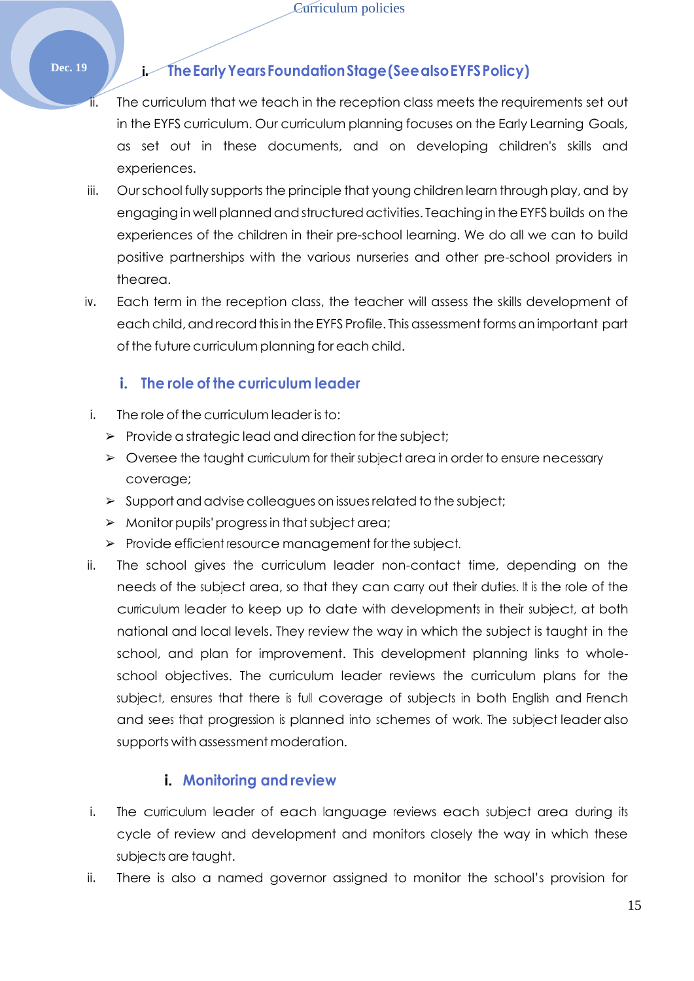## **Dec. 19 i. TheEarlyYearsFoundationStage(SeealsoEYFSPolicy)**

- The curriculum that we teach in the reception class meets the requirements set out in the EYFS curriculum. Our curriculum planning focuses on the Early Learning Goals, as set out in these documents, and on developing children's skills and experiences.
- iii. Our school fully supports the principle that young children learn through play, and by engaging in well planned and structured activities. Teaching in the EYFS builds on the experiences of the children in their pre-school learning. We do all we can to build positive partnerships with the various nurseries and other pre-school providers in thearea.
- iv. Each term in the reception class, the teacher will assess the skills development of each child, and record this in the EYFS Profile. This assessment forms an important part of the future curriculum planning for each child.

## **i. The role of the curriculum leader**

- i. The role of the curriculum leader is to:
	- ➢ Provide a strategic lead and direction for the subject;
	- ➢ Oversee the taught curriculum for their subject area in order to ensure necessary coverage;
	- $\triangleright$  Support and advise colleagues on issues related to the subject;
	- $\triangleright$  Monitor pupils' progress in that subject area;
	- ➢ Provide efficient resource management for the subject.
- ii. The school gives the curriculum leader non-contact time, depending on the needs of the subject area, so that they can carry out their duties. It is the role of the curriculum leader to keep up to date with developments in their subject, at both national and local levels. They review the way in which the subject is taught in the school, and plan for improvement. This development planning links to wholeschool objectives. The curriculum leader reviews the curriculum plans for the subject, ensures that there is full coverage of subjects in both English and French and sees that progression is planned into schemes of work. The subject leader also supports with assessment moderation.

## **i. Monitoring and review**

- i. The curriculum leader of each language reviews each subject area during its cycle of review and development and monitors closely the way in which these subjects are taught.
- ii. There is also a named governor assigned to monitor the school's provision for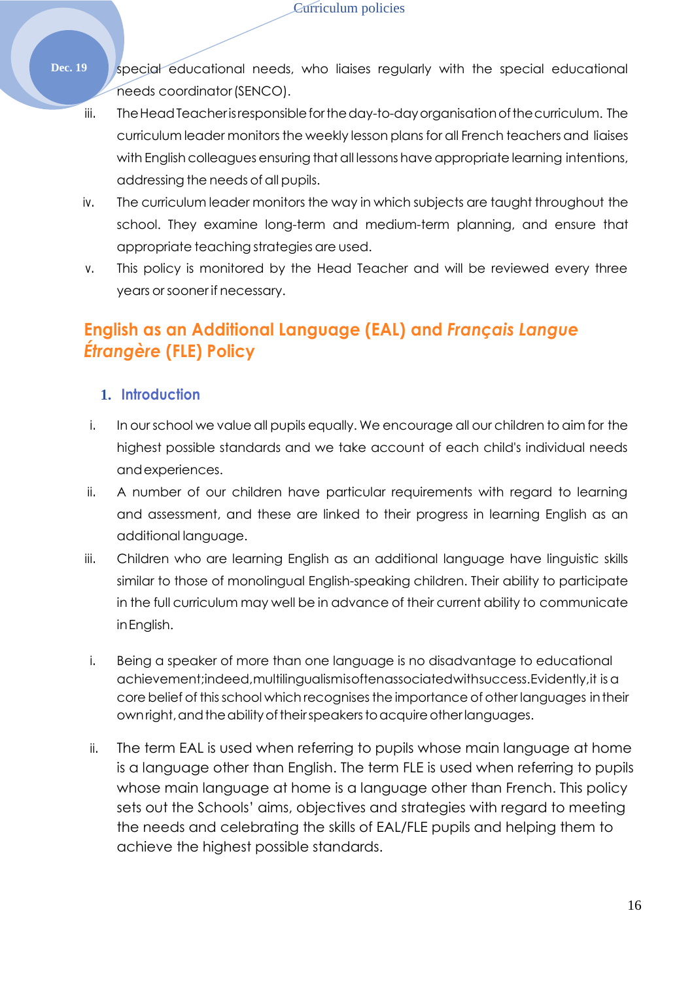- **Dec. 19** special educational needs, who liaises regularly with the special educational needs coordinator(SENCO).
	- iii. The Head Teacher is responsible for the day-to-day organisation of the curriculum. The curriculum leader monitors the weekly lesson plans for all French teachers and liaises with English colleagues ensuring that all lessons have appropriate learning intentions, addressing the needs of all pupils.
	- iv. The curriculum leader monitors the way in which subjects are taught throughout the school. They examine long-term and medium-term planning, and ensure that appropriate teaching strategies are used.
	- v. This policy is monitored by the Head Teacher and will be reviewed every three years orsooner if necessary.

## <span id="page-15-0"></span>**English as an Additional Language (EAL) and** *Français Langue Étrangère* **(FLE) Policy**

### **1. Introduction**

- i. In ourschool we value all pupils equally. We encourage all our children to aim for the highest possible standards and we take account of each child's individual needs andexperiences.
- ii. A number of our children have particular requirements with regard to learning and assessment, and these are linked to their progress in learning English as an additional language.
- iii. Children who are learning English as an additional language have linguistic skills similar to those of monolingual English-speaking children. Their ability to participate in the full curriculum may well be in advance of their current ability to communicate inEnglish.
- i. Being a speaker of more than one language is no disadvantage to educational achievement;indeed,multilingualismisoftenassociatedwithsuccess.Evidently,it isa core belief of this school which recognises the importance of other languages in their own right, and the ability of their speakers to acquire other languages.
- ii. The term EAL is used when referring to pupils whose main language at home is a language other than English. The term FLE is used when referring to pupils whose main language at home is a language other than French. This policy sets out the Schools' aims, objectives and strategies with regard to meeting the needs and celebrating the skills of EAL/FLE pupils and helping them to achieve the highest possible standards.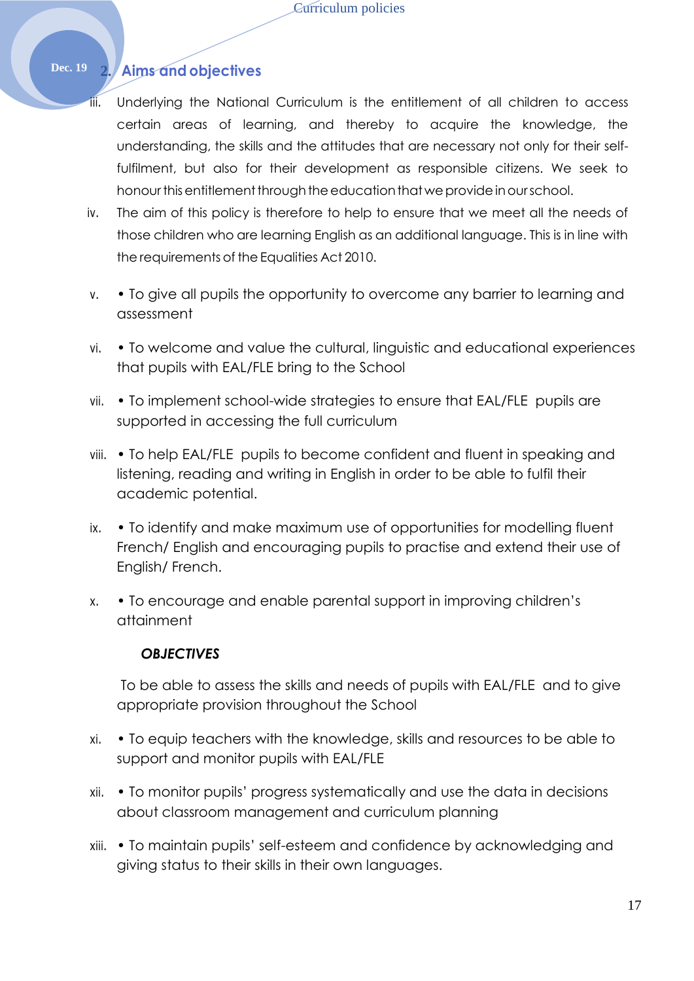## **Dec. 19 2. Aims and objectives**

- iii. Underlying the National Curriculum is the entitlement of all children to access certain areas of learning, and thereby to acquire the knowledge, the understanding, the skills and the attitudes that are necessary not only for their selffulfilment, but also for their development as responsible citizens. We seek to honour this entitlement through the education that we provide in our school.
- iv. The aim of this policy is therefore to help to ensure that we meet all the needs of those children who are learning English as an additional language. This is in line with the requirements of the Equalities Act 2010.
- v. To give all pupils the opportunity to overcome any barrier to learning and assessment
- vi. To welcome and value the cultural, linguistic and educational experiences that pupils with EAL/FLE bring to the School
- vii. To implement school-wide strategies to ensure that EAL/FLE pupils are supported in accessing the full curriculum
- viii. To help EAL/FLE pupils to become confident and fluent in speaking and listening, reading and writing in English in order to be able to fulfil their academic potential.
- ix. To identify and make maximum use of opportunities for modelling fluent French/ English and encouraging pupils to practise and extend their use of English/ French.
- x. To encourage and enable parental support in improving children's attainment

#### *OBJECTIVES*

To be able to assess the skills and needs of pupils with EAL/FLE and to give appropriate provision throughout the School

- xi. To equip teachers with the knowledge, skills and resources to be able to support and monitor pupils with EAL/FLE
- xii. To monitor pupils' progress systematically and use the data in decisions about classroom management and curriculum planning
- xiii. To maintain pupils' self-esteem and confidence by acknowledging and giving status to their skills in their own languages.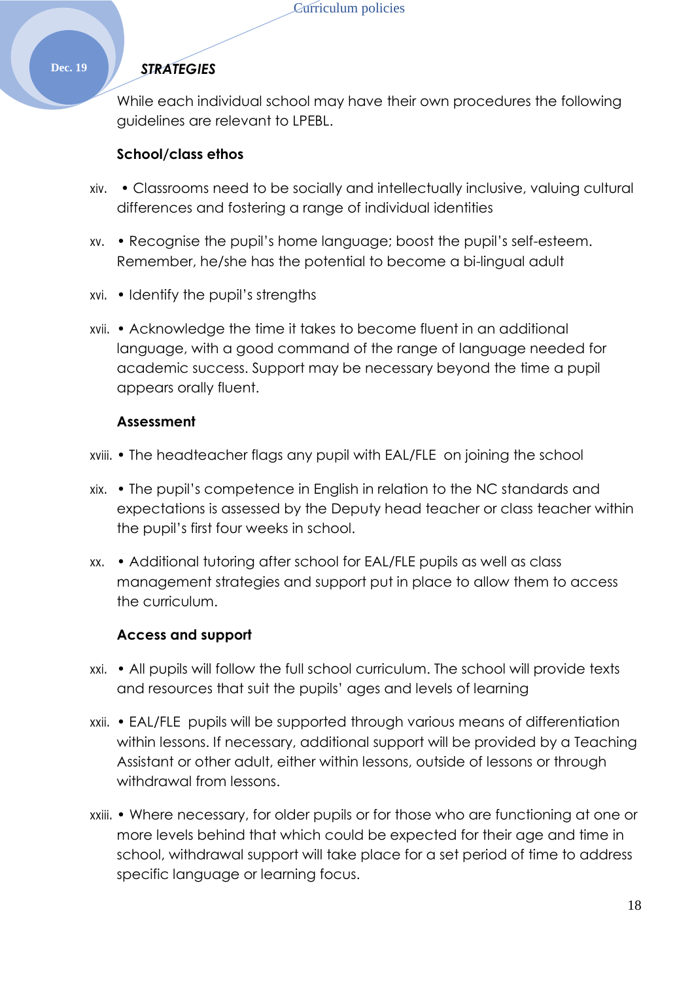#### **Dec. 19** *STRATEGIES*

While each individual school may have their own procedures the following guidelines are relevant to LPEBL.

#### **School/class ethos**

- xiv. Classrooms need to be socially and intellectually inclusive, valuing cultural differences and fostering a range of individual identities
- xv. Recognise the pupil's home language; boost the pupil's self-esteem. Remember, he/she has the potential to become a bi-lingual adult
- xvi. Identify the pupil's strengths
- xvii. Acknowledge the time it takes to become fluent in an additional language, with a good command of the range of language needed for academic success. Support may be necessary beyond the time a pupil appears orally fluent.

#### **Assessment**

- xviii. The headteacher flags any pupil with EAL/FLE on joining the school
- xix. The pupil's competence in English in relation to the NC standards and expectations is assessed by the Deputy head teacher or class teacher within the pupil's first four weeks in school.
- xx. Additional tutoring after school for EAL/FLE pupils as well as class management strategies and support put in place to allow them to access the curriculum.

#### **Access and support**

- xxi. All pupils will follow the full school curriculum. The school will provide texts and resources that suit the pupils' ages and levels of learning
- xxii. EAL/FLE pupils will be supported through various means of differentiation within lessons. If necessary, additional support will be provided by a Teaching Assistant or other adult, either within lessons, outside of lessons or through withdrawal from lessons.
- xxiii. Where necessary, for older pupils or for those who are functioning at one or more levels behind that which could be expected for their age and time in school, withdrawal support will take place for a set period of time to address specific language or learning focus.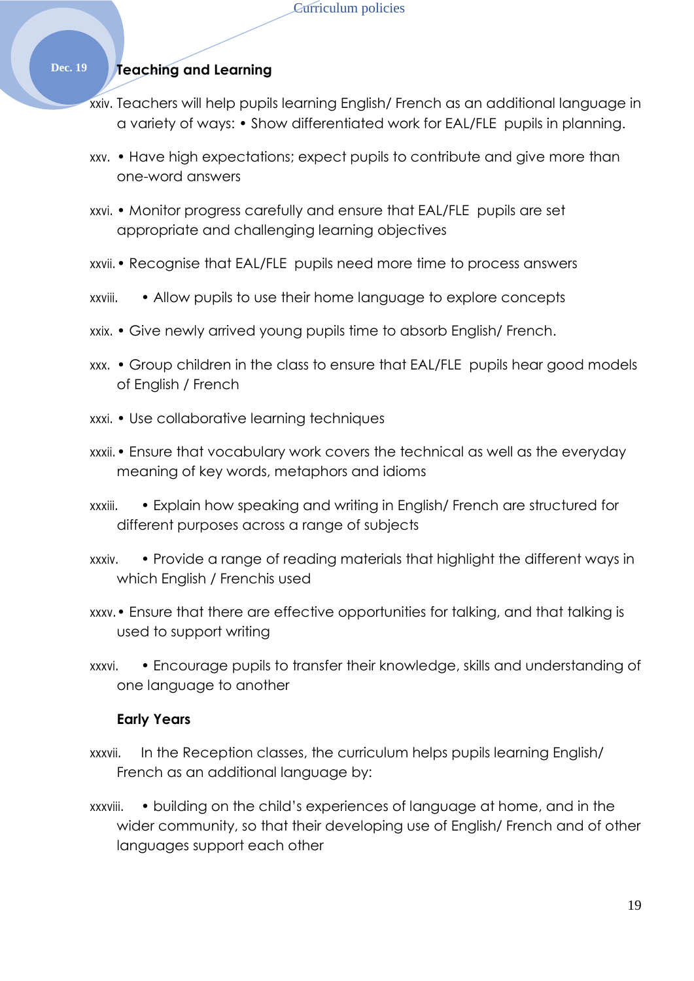#### **Dec. 19 Teaching and Learning**

- xxiv. Teachers will help pupils learning English/ French as an additional language in a variety of ways: • Show differentiated work for EAL/FLE pupils in planning.
- xxv. Have high expectations; expect pupils to contribute and give more than one-word answers
- xxvi. Monitor progress carefully and ensure that EAL/FLE pupils are set appropriate and challenging learning objectives
- xxvii.• Recognise that EAL/FLE pupils need more time to process answers
- xxviii. Allow pupils to use their home language to explore concepts
- xxix. Give newly arrived young pupils time to absorb English/ French.
- xxx. Group children in the class to ensure that EAL/FLE pupils hear good models of English / French
- xxxi. Use collaborative learning techniques
- xxxii.• Ensure that vocabulary work covers the technical as well as the everyday meaning of key words, metaphors and idioms
- xxxiii. Explain how speaking and writing in English/ French are structured for different purposes across a range of subjects
- xxxiv. Provide a range of reading materials that highlight the different ways in which English / Frenchis used
- xxxv.• Ensure that there are effective opportunities for talking, and that talking is used to support writing
- xxxvi. Encourage pupils to transfer their knowledge, skills and understanding of one language to another

#### **Early Years**

- xxxvii. In the Reception classes, the curriculum helps pupils learning English/ French as an additional language by:
- xxxviii. building on the child's experiences of language at home, and in the wider community, so that their developing use of English/ French and of other languages support each other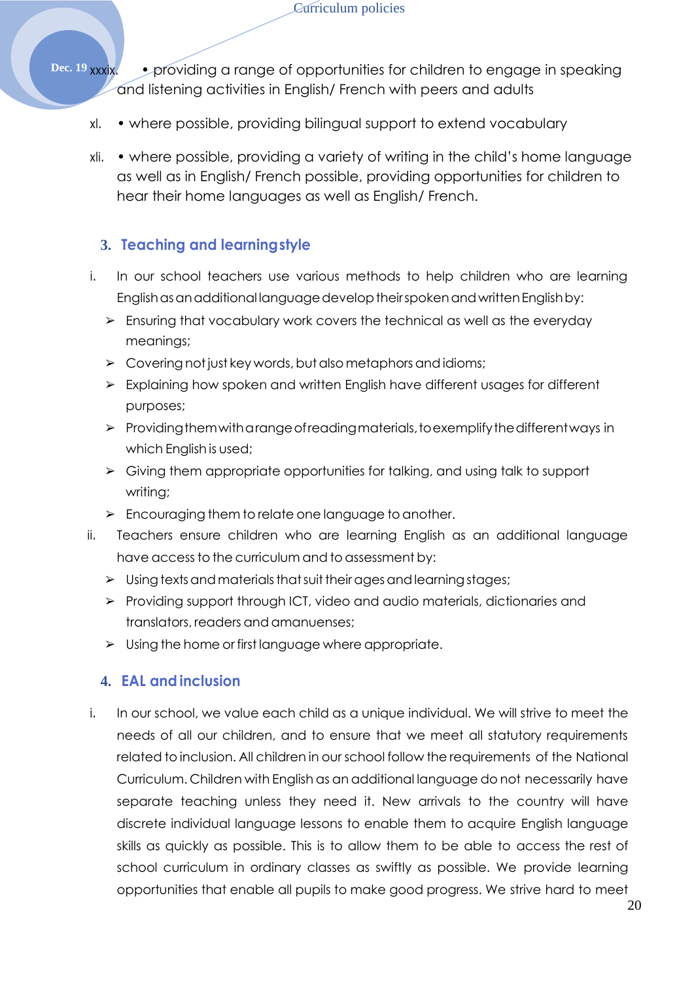Curriculum policies

**Dec. 19 xxxix.** • providing a range of opportunities for children to engage in speaking and listening activities in English/ French with peers and adults

- xl. where possible, providing bilingual support to extend vocabulary
- xli. where possible, providing a variety of writing in the child's home language as well as in English/ French possible, providing opportunities for children to hear their home languages as well as English/ French.

## **3. Teaching and learningstyle**

- i. In our school teachers use various methods to help children who are learning English as an additional language develop their spoken and written English by:
	- $\triangleright$  Ensuring that vocabulary work covers the technical as well as the everyday meanings;
	- $\triangleright$  Covering not just key words, but also metaphors and idioms;
	- ➢ Explaining how spoken and written English have different usages for different purposes;
	- $\triangleright$  Providing them with a range of reading materials, to exemplify the different ways in which English is used;
	- ➢ Giving them appropriate opportunities for talking, and using talk to support writing;
	- $\triangleright$  Encouraging them to relate one language to another.
- ii. Teachers ensure children who are learning English as an additional language have accessto the curriculum and to assessment by:
	- $>$  Using texts and materials that suit their ages and learning stages;
	- ➢ Providing support through ICT, video and audio materials, dictionaries and translators, readers and amanuenses;
	- ➢ Using the home or first language where appropriate.

### **4. EAL and inclusion**

i. In our school, we value each child as a unique individual. We will strive to meet the needs of all our children, and to ensure that we meet all statutory requirements related to inclusion. All children in our school follow the requirements of the National Curriculum. Children with English as an additional language do not necessarily have separate teaching unless they need it. New arrivals to the country will have discrete individual language lessons to enable them to acquire English language skills as quickly as possible. This is to allow them to be able to access the rest of school curriculum in ordinary classes as swiftly as possible. We provide learning opportunities that enable all pupils to make good progress. We strive hard to meet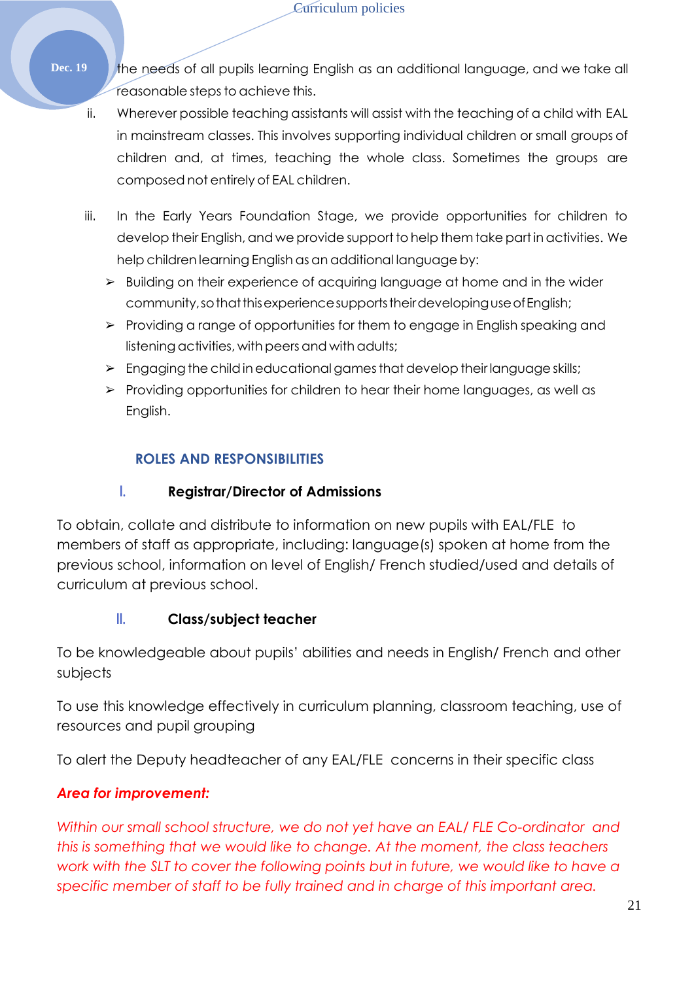- Dec. 19 the needs of all pupils learning English as an additional language, and we take all reasonable steps to achieve this.
	- ii. Wherever possible teaching assistants will assist with the teaching of a child with EAL in mainstream classes. This involves supporting individual children or small groups of children and, at times, teaching the whole class. Sometimes the groups are composed not entirely of EAL children.
	- iii. In the Early Years Foundation Stage, we provide opportunities for children to develop their English, and we provide support to help them take part in activities. We help children learning English as an additional language by:
		- ➢ Building on their experience of acquiring language at home and in the wider community, so that this experience supports their developing use of English;
		- ➢ Providing a range of opportunities for them to engage in English speaking and listening activities, with peers and with adults;
		- $\triangleright$  Engaging the child in educational games that develop their language skills;
		- ➢ Providing opportunities for children to hear their home languages, as well as English.

## **ROLES AND RESPONSIBILITIES**

## **I. Registrar/Director of Admissions**

To obtain, collate and distribute to information on new pupils with EAL/FLE to members of staff as appropriate, including: language(s) spoken at home from the previous school, information on level of English/ French studied/used and details of curriculum at previous school.

## **II. Class/subject teacher**

To be knowledgeable about pupils' abilities and needs in English/ French and other subjects

To use this knowledge effectively in curriculum planning, classroom teaching, use of resources and pupil grouping

To alert the Deputy headteacher of any EAL/FLE concerns in their specific class

## *Area for improvement:*

*Within our small school structure, we do not yet have an EAL/ FLE Co-ordinator and this is something that we would like to change. At the moment, the class teachers*  work with the SLT to cover the following points but in future, we would like to have a *specific member of staff to be fully trained and in charge of this important area.*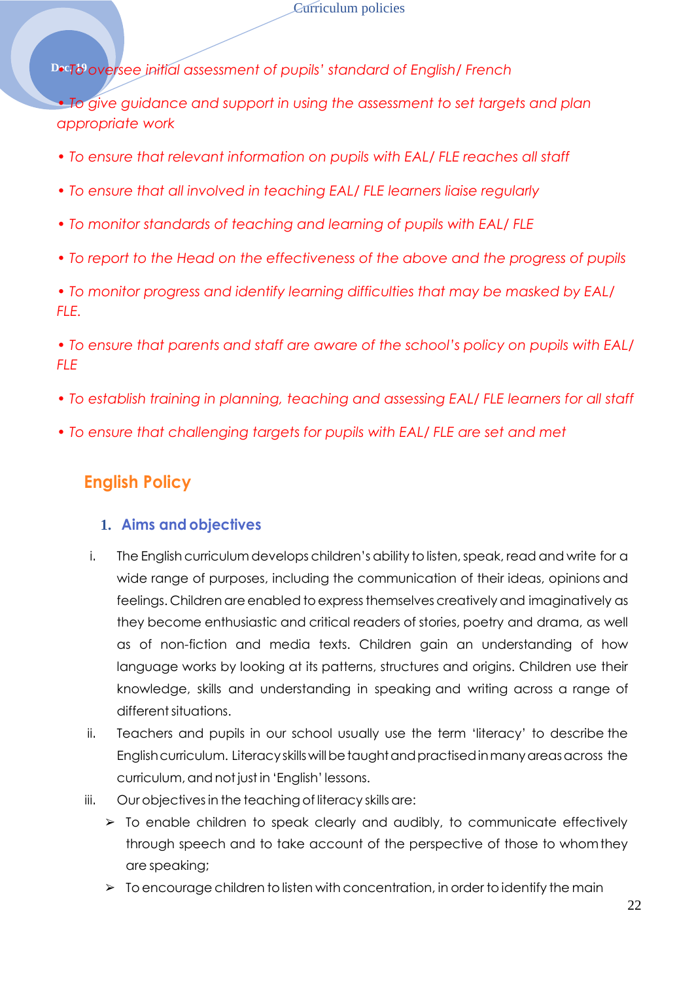**Dec7d oversee initial assessment of pupils' standard of English/ French** 

*• To give guidance and support in using the assessment to set targets and plan appropriate work* 

- *To ensure that relevant information on pupils with EAL/ FLE reaches all staff*
- *To ensure that all involved in teaching EAL/ FLE learners liaise regularly*
- *To monitor standards of teaching and learning of pupils with EAL/ FLE*
- *To report to the Head on the effectiveness of the above and the progress of pupils*

*• To monitor progress and identify learning difficulties that may be masked by EAL/ FLE.* 

*• To ensure that parents and staff are aware of the school's policy on pupils with EAL/ FLE* 

- *To establish training in planning, teaching and assessing EAL/ FLE learners for all staff*
- *To ensure that challenging targets for pupils with EAL/ FLE are set and met*

## <span id="page-21-0"></span>**English Policy**

#### **1. Aims and objectives**

- i. The English curriculum develops children's ability to listen, speak, read and write for a wide range of purposes, including the communication of their ideas, opinions and feelings. Children are enabled to express themselves creatively and imaginatively as they become enthusiastic and critical readers of stories, poetry and drama, as well as of non-fiction and media texts. Children gain an understanding of how language works by looking at its patterns, structures and origins. Children use their knowledge, skills and understanding in speaking and writing across a range of different situations.
- ii. Teachers and pupils in our school usually use the term 'literacy' to describe the Englishcurriculum. Literacyskillswillbetaughtandpractisedinmanyareasacross the curriculum, and not just in 'English' lessons.
- iii. Our objectives in the teaching of literacy skills are:
	- ➢ To enable children to speak clearly and audibly, to communicate effectively through speech and to take account of the perspective of those to whomthey are speaking;
	- $\triangleright$  To encourage children to listen with concentration, in order to identify the main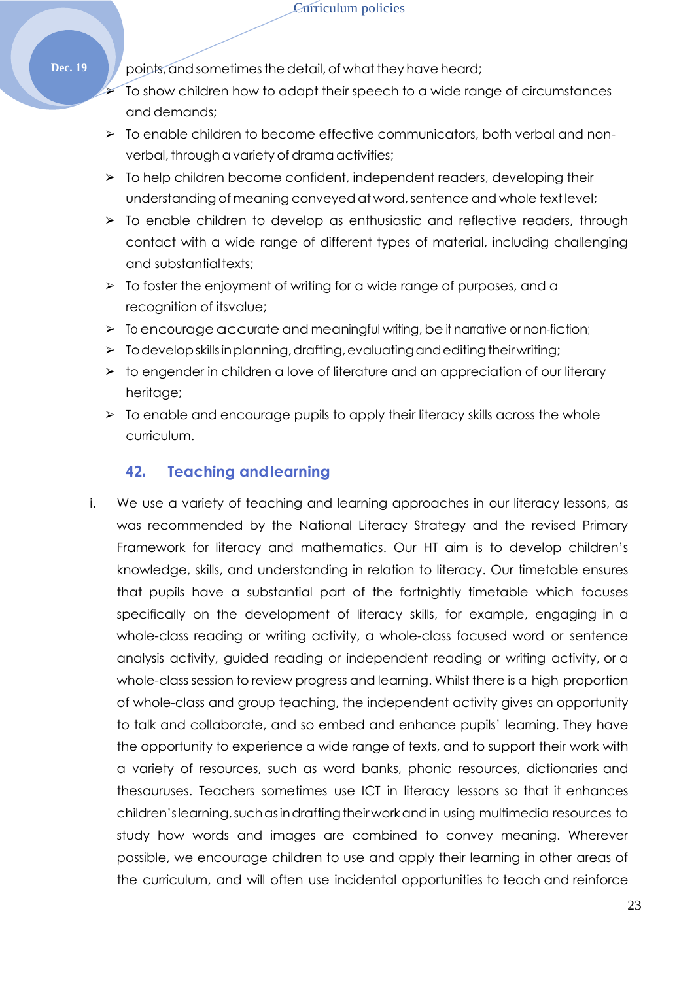**Dec. 19** points, and sometimes the detail, of what they have heard;

- ➢ To show children how to adapt their speech to a wide range of circumstances and demands;
- ➢ To enable children to become effective communicators, both verbal and nonverbal, through a variety of drama activities;
- $\triangleright$  To help children become confident, independent readers, developing their understanding of meaning conveyed at word, sentence and whole text level;
- ➢ To enable children to develop as enthusiastic and reflective readers, through contact with a wide range of different types of material, including challenging and substantialtexts;
- ➢ To foster the enjoyment of writing for a wide range of purposes, and a recognition of itsvalue;
- $\triangleright$  To encourage accurate and meaningful writing, be it narrative or non-fiction;
- $\triangleright$  To develop skills in planning, drafting, evaluating and editing their writing;
- ➢ to engender in children a love of literature and an appreciation of our literary heritage;
- $\triangleright$  To enable and encourage pupils to apply their literacy skills across the whole curriculum.

### **42. Teaching andlearning**

i. We use a variety of teaching and learning approaches in our literacy lessons, as was recommended by the National Literacy Strategy and the revised Primary Framework for literacy and mathematics. Our HT aim is to develop children's knowledge, skills, and understanding in relation to literacy. Our timetable ensures that pupils have a substantial part of the fortnightly timetable which focuses specifically on the development of literacy skills, for example, engaging in a whole-class reading or writing activity, a whole-class focused word or sentence analysis activity, guided reading or independent reading or writing activity, or a whole-class session to review progress and learning. Whilst there is a high proportion of whole-class and group teaching, the independent activity gives an opportunity to talk and collaborate, and so embed and enhance pupils' learning. They have the opportunity to experience a wide range of texts, and to support their work with a variety of resources, such as word banks, phonic resources, dictionaries and thesauruses. Teachers sometimes use ICT in literacy lessons so that it enhances children'slearning,suchasindraftingtheirworkandin using multimedia resources to study how words and images are combined to convey meaning. Wherever possible, we encourage children to use and apply their learning in other areas of the curriculum, and will often use incidental opportunities to teach and reinforce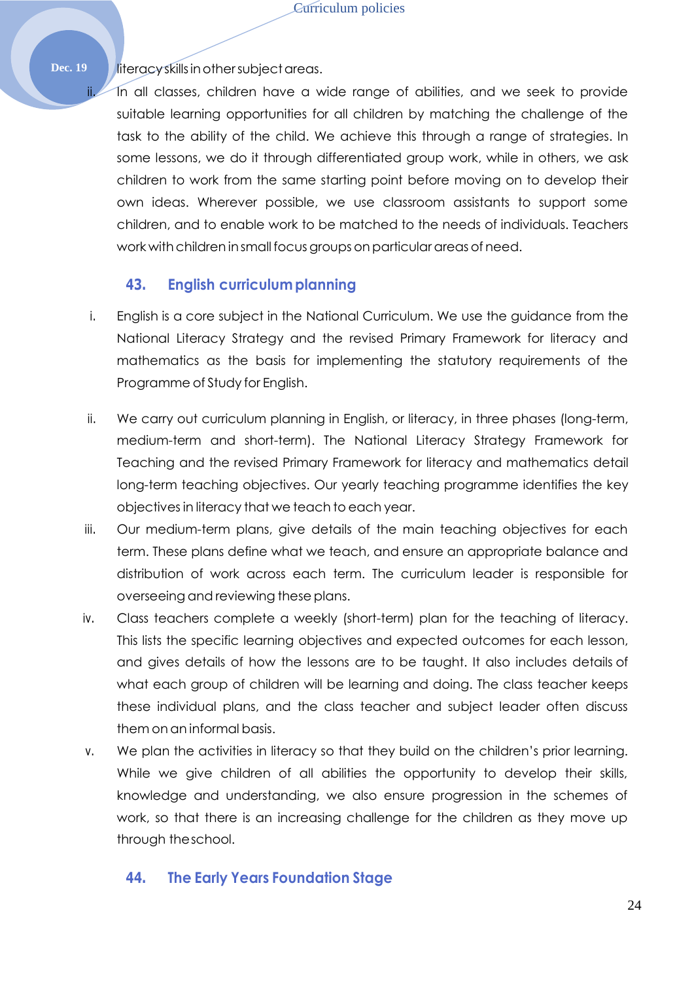Dec. 19 literacy skills in other subject areas.

ii. In all classes, children have a wide range of abilities, and we seek to provide suitable learning opportunities for all children by matching the challenge of the task to the ability of the child. We achieve this through a range of strategies. In some lessons, we do it through differentiated group work, while in others, we ask children to work from the same starting point before moving on to develop their own ideas. Wherever possible, we use classroom assistants to support some children, and to enable work to be matched to the needs of individuals. Teachers work with children in small focus groups on particular areas of need.

## **43. English curriculumplanning**

- i. English is a core subject in the National Curriculum. We use the guidance from the National Literacy Strategy and the revised Primary Framework for literacy and mathematics as the basis for implementing the statutory requirements of the Programme of Study for English.
- ii. We carry out curriculum planning in English, or literacy, in three phases (long-term, medium-term and short-term). The National Literacy Strategy Framework for Teaching and the revised Primary Framework for literacy and mathematics detail long-term teaching objectives. Our yearly teaching programme identifies the key objectivesin literacy that we teach to each year.
- iii. Our medium-term plans, give details of the main teaching objectives for each term. These plans define what we teach, and ensure an appropriate balance and distribution of work across each term. The curriculum leader is responsible for overseeing and reviewing these plans.
- iv. Class teachers complete a weekly (short-term) plan for the teaching of literacy. This lists the specific learning objectives and expected outcomes for each lesson, and gives details of how the lessons are to be taught. It also includes details of what each group of children will be learning and doing. The class teacher keeps these individual plans, and the class teacher and subject leader often discuss them on an informal basis.
- v. We plan the activities in literacy so that they build on the children's prior learning. While we give children of all abilities the opportunity to develop their skills, knowledge and understanding, we also ensure progression in the schemes of work, so that there is an increasing challenge for the children as they move up through theschool.

## **44. The Early Years Foundation Stage**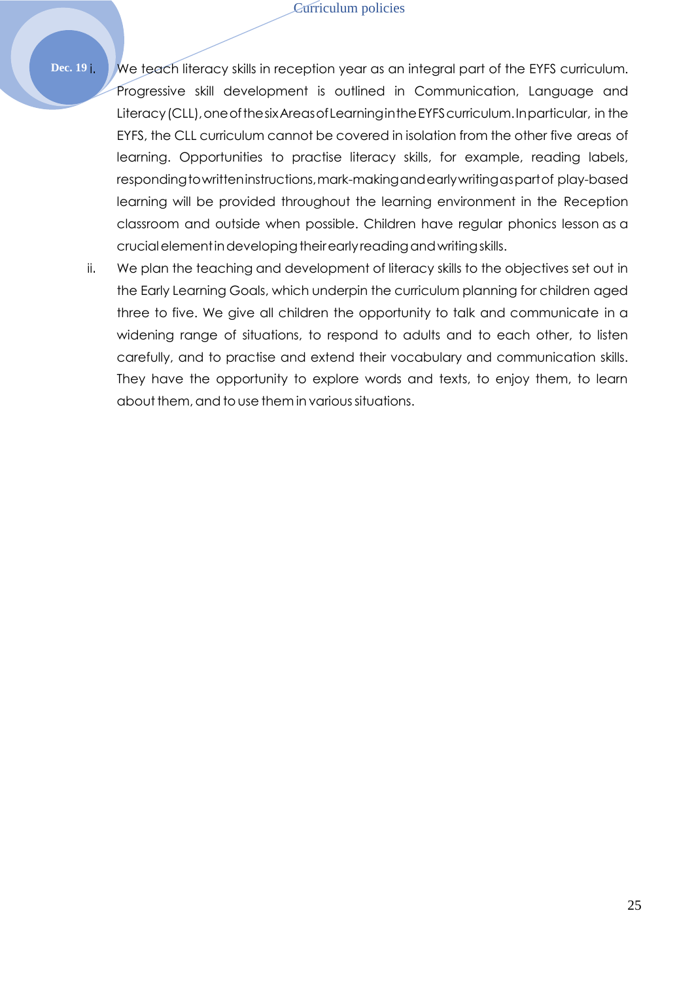Dec. 19 i. We teach literacy skills in reception year as an integral part of the EYFS curriculum. Progressive skill development is outlined in Communication, Language and Literacy(CLL),oneofthesixAreasofLearningintheEYFScurriculum.Inparticular, in the EYFS, the CLL curriculum cannot be covered in isolation from the other five areas of learning. Opportunities to practise literacy skills, for example, reading labels, respondingtowritteninstructions,mark-makingandearlywritingaspartof play-based learning will be provided throughout the learning environment in the Reception classroom and outside when possible. Children have regular phonics lesson as a crucial element in developing their early reading and writing skills.

ii. We plan the teaching and development of literacy skills to the objectives set out in the Early Learning Goals, which underpin the curriculum planning for children aged three to five. We give all children the opportunity to talk and communicate in a widening range of situations, to respond to adults and to each other, to listen carefully, and to practise and extend their vocabulary and communication skills. They have the opportunity to explore words and texts, to enjoy them, to learn about them, and to use them in various situations.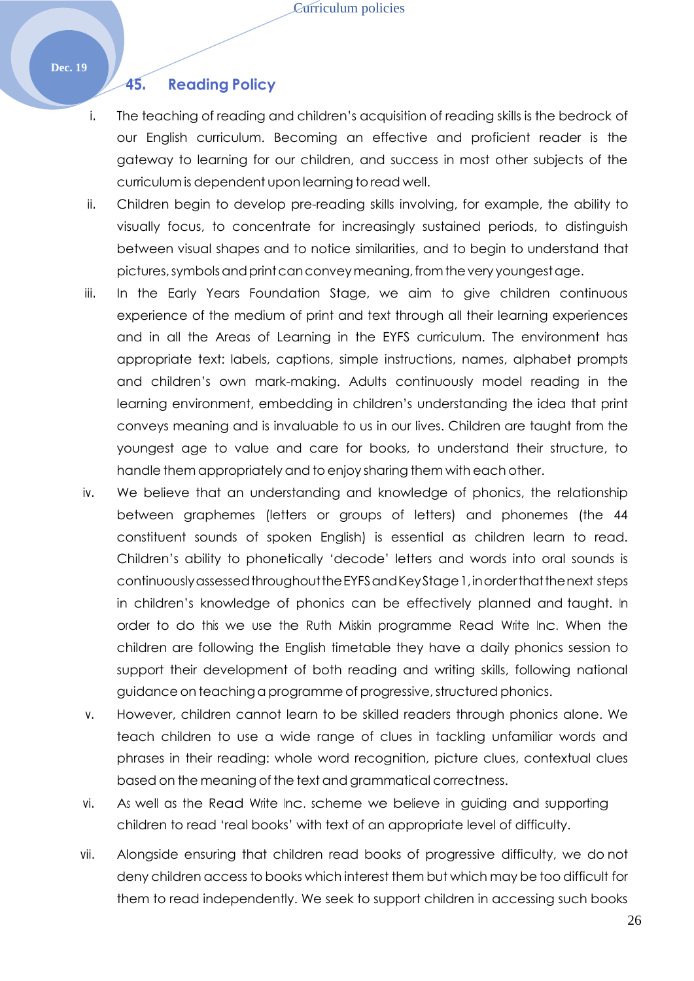Curriculum policies

#### **Dec. 19**

#### **45. Reading Policy**

- i. The teaching of reading and children's acquisition of reading skills is the bedrock of our English curriculum. Becoming an effective and proficient reader is the gateway to learning for our children, and success in most other subjects of the curriculum is dependent upon learning to read well.
- ii. Children begin to develop pre-reading skills involving, for example, the ability to visually focus, to concentrate for increasingly sustained periods, to distinguish between visual shapes and to notice similarities, and to begin to understand that pictures,symbolsandprintcanconveymeaning,fromthevery youngestage.
- iii. In the Early Years Foundation Stage, we aim to give children continuous experience of the medium of print and text through all their learning experiences and in all the Areas of Learning in the EYFS curriculum. The environment has appropriate text: labels, captions, simple instructions, names, alphabet prompts and children's own mark-making. Adults continuously model reading in the learning environment, embedding in children's understanding the idea that print conveys meaning and is invaluable to us in our lives. Children are taught from the youngest age to value and care for books, to understand their structure, to handle them appropriately and toenjoy sharing them with each other.
- iv. We believe that an understanding and knowledge of phonics, the relationship between graphemes (letters or groups of letters) and phonemes (the 44 constituent sounds of spoken English) is essential as children learn to read. Children's ability to phonetically 'decode' letters and words into oral sounds is continuouslyassessedthroughouttheEYFSandKeyStage1,inorderthatthenext steps in children's knowledge of phonics can be effectively planned and taught. In order to do this we use the Ruth Miskin programme Read Write Inc. When the children are following the English timetable they have a daily phonics session to support their development of both reading and writing skills, following national guidance on teaching a programme of progressive, structured phonics.
- v. However, children cannot learn to be skilled readers through phonics alone. We teach children to use a wide range of clues in tackling unfamiliar words and phrases in their reading: whole word recognition, picture clues, contextual clues based on the meaning of the text and grammatical correctness.
- vi. As well as the Read Write Inc. scheme we believe in guiding and supporting children to read 'real books' with text of an appropriate level of difficulty.
- vii. Alongside ensuring that children read books of progressive difficulty, we do not deny children access to books which interest them but which may be too difficult for them to read independently. We seek to support children in accessing such books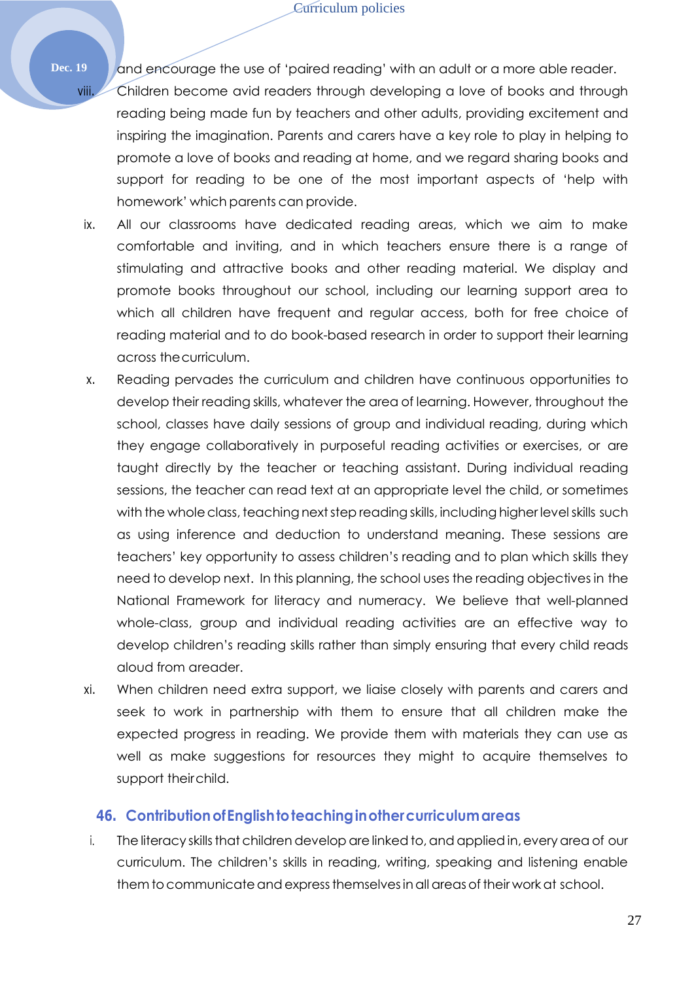Dec. 19 and encourage the use of 'paired reading' with an adult or a more able reader. viii. Children become avid readers through developing a love of books and through reading being made fun by teachers and other adults, providing excitement and inspiring the imagination. Parents and carers have a key role to play in helping to promote a love of books and reading at home, and we regard sharing books and support for reading to be one of the most important aspects of 'help with homework' which parents can provide.

- ix. All our classrooms have dedicated reading areas, which we aim to make comfortable and inviting, and in which teachers ensure there is a range of stimulating and attractive books and other reading material. We display and promote books throughout our school, including our learning support area to which all children have frequent and regular access, both for free choice of reading material and to do book-based research in order to support their learning across thecurriculum.
- x. Reading pervades the curriculum and children have continuous opportunities to develop their reading skills, whatever the area of learning. However, throughout the school, classes have daily sessions of group and individual reading, during which they engage collaboratively in purposeful reading activities or exercises, or are taught directly by the teacher or teaching assistant. During individual reading sessions, the teacher can read text at an appropriate level the child, or sometimes with the whole class, teaching next step reading skills, including higher level skills such as using inference and deduction to understand meaning. These sessions are teachers' key opportunity to assess children's reading and to plan which skills they need to develop next. In this planning, the school uses the reading objectives in the National Framework for literacy and numeracy. We believe that well-planned whole-class, group and individual reading activities are an effective way to develop children's reading skills rather than simply ensuring that every child reads aloud from areader.
- xi. When children need extra support, we liaise closely with parents and carers and seek to work in partnership with them to ensure that all children make the expected progress in reading. We provide them with materials they can use as well as make suggestions for resources they might to acquire themselves to support theirchild.

#### **46. ContributionofEnglishtoteachinginothercurriculumareas**

i. The literacy skills that children develop are linked to, and applied in, every area of our curriculum. The children's skills in reading, writing, speaking and listening enable them to communicate and express themselves in all areas of their work at school.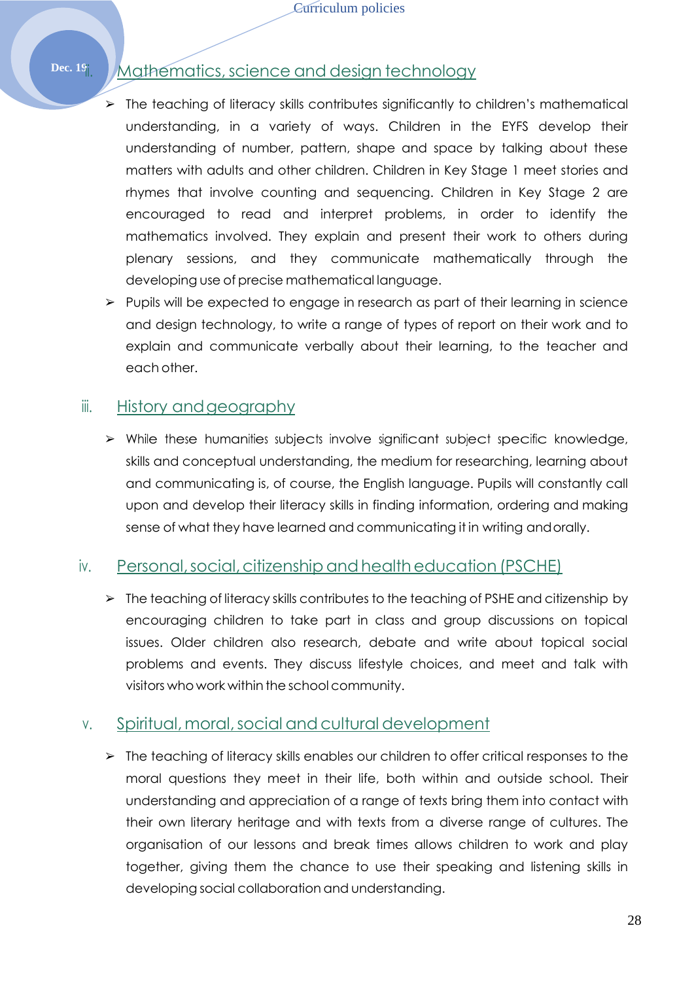# Dec. 19<sup>i</sup>i. Mathematics, science and design technology

- $\triangleright$  The teaching of literacy skills contributes significantly to children's mathematical understanding, in a variety of ways. Children in the EYFS develop their understanding of number, pattern, shape and space by talking about these matters with adults and other children. Children in Key Stage 1 meet stories and rhymes that involve counting and sequencing. Children in Key Stage 2 are encouraged to read and interpret problems, in order to identify the mathematics involved. They explain and present their work to others during plenary sessions, and they communicate mathematically through the developing use of precise mathematical language.
- ➢ Pupils will be expected to engage in research as part of their learning in science and design technology, to write a range of types of report on their work and to explain and communicate verbally about their learning, to the teacher and each other.

## iii. History and geography

➢ While these humanities subjects involve significant subject specific knowledge, skills and conceptual understanding, the medium for researching, learning about and communicating is, of course, the English language. Pupils will constantly call upon and develop their literacy skills in finding information, ordering and making sense of what they have learned and communicating it in writing andorally.

## iv. Personal,social,citizenshipandhealtheducation (PSCHE)

 $\triangleright$  The teaching of literacy skills contributes to the teaching of PSHE and citizenship by encouraging children to take part in class and group discussions on topical issues. Older children also research, debate and write about topical social problems and events. They discuss lifestyle choices, and meet and talk with visitors who work within the school community.

## v. Spiritual,moral,social andcultural development

➢ The teaching of literacy skills enables our children to offer critical responses to the moral questions they meet in their life, both within and outside school. Their understanding and appreciation of a range of texts bring them into contact with their own literary heritage and with texts from a diverse range of cultures. The organisation of our lessons and break times allows children to work and play together, giving them the chance to use their speaking and listening skills in developing social collaboration and understanding.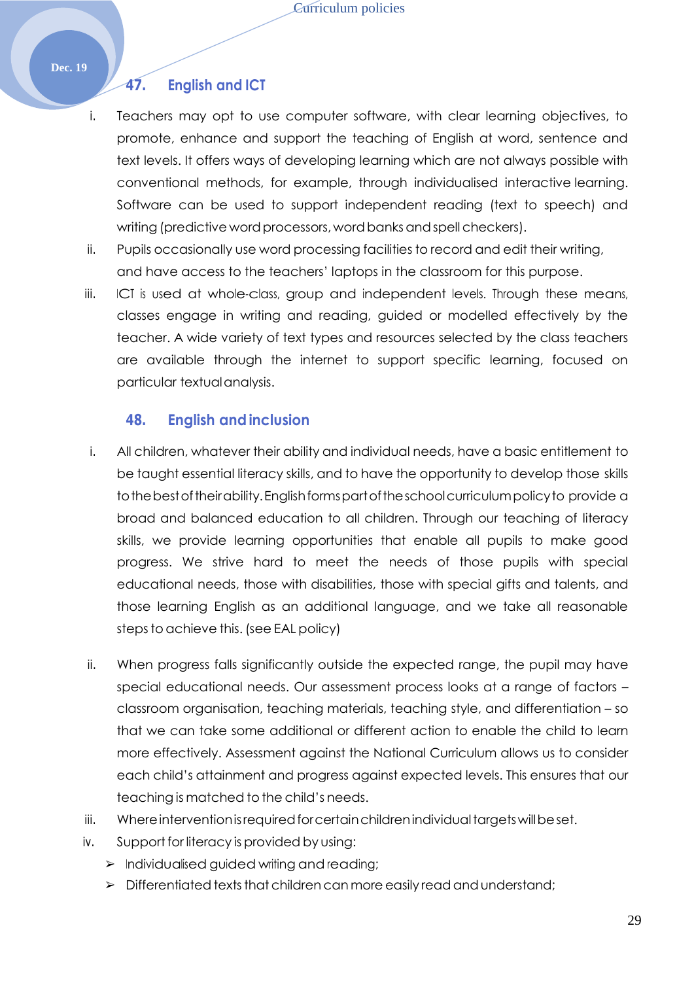#### **Dec. 19**

#### **47. English and ICT**

- i. Teachers may opt to use computer software, with clear learning objectives, to promote, enhance and support the teaching of English at word, sentence and text levels. It offers ways of developing learning which are not always possible with conventional methods, for example, through individualised interactive learning. Software can be used to support independent reading (text to speech) and writing (predictive word processors, word banks and spell checkers).
- ii. Pupils occasionally use word processing facilities to record and edit their writing, and have access to the teachers' laptops in the classroom for this purpose.
- iii. ICT is used at whole-class, group and independent levels. Through these means, classes engage in writing and reading, guided or modelled effectively by the teacher. A wide variety of text types and resources selected by the class teachers are available through the internet to support specific learning, focused on particular textualanalysis.

#### **48. English andinclusion**

- i. All children, whatever their ability and individual needs, have a basic entitlement to be taught essential literacy skills, and to have the opportunity to develop those skills tothebestoftheirability.Englishformspartoftheschoolcurriculumpolicyto provide a broad and balanced education to all children. Through our teaching of literacy skills, we provide learning opportunities that enable all pupils to make good progress. We strive hard to meet the needs of those pupils with special educational needs, those with disabilities, those with special gifts and talents, and those learning English as an additional language, and we take all reasonable steps to achieve this. (see EAL policy)
- ii. When progress falls significantly outside the expected range, the pupil may have special educational needs. Our assessment process looks at a range of factors – classroom organisation, teaching materials, teaching style, and differentiation – so that we can take some additional or different action to enable the child to learn more effectively. Assessment against the National Curriculum allows us to consider each child's attainment and progress against expected levels. This ensures that our teaching is matched to the child's needs.
- iii. Where intervention is required for certain children individual targets will be set.
- iv. Support for literacy is provided by using:
	- ➢ Individualised guided writing and reading;
	- $\triangleright$  Differentiated texts that children can more easily read and understand;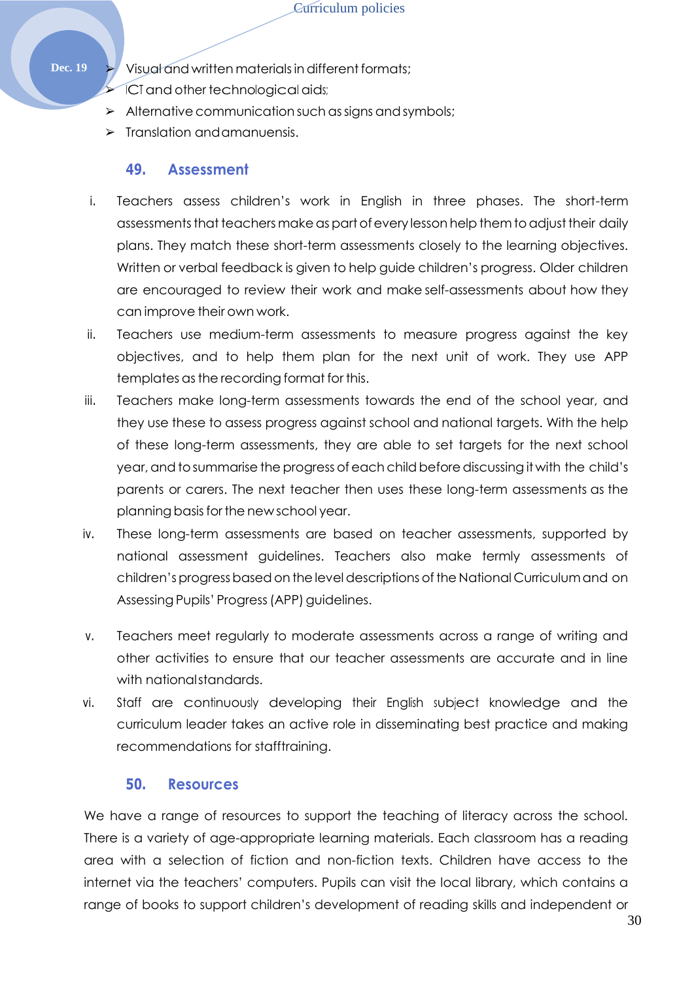**Dec. 19**  $\blacktriangleright$  Visual and written materials in different formats;

ICT and other technological aids;

- $\triangleright$  Alternative communication such as signs and symbols;
- $\triangleright$  Translation and amanuensis.

#### **49. Assessment**

- i. Teachers assess children's work in English in three phases. The short-term assessments that teachers make as part of every lesson help them to adjust their daily plans. They match these short-term assessments closely to the learning objectives. Written or verbal feedback is given to help guide children's progress. Older children are encouraged to review their work and make self-assessments about how they can improve their own work.
- ii. Teachers use medium-term assessments to measure progress against the key objectives, and to help them plan for the next unit of work. They use APP templates asthe recording format for this.
- iii. Teachers make long-term assessments towards the end of the school year, and they use these to assess progress against school and national targets. With the help of these long-term assessments, they are able to set targets for the next school year, and to summarise the progress of each child before discussing it with the child's parents or carers. The next teacher then uses these long-term assessments as the planning basis for the new school year.
- iv. These long-term assessments are based on teacher assessments, supported by national assessment guidelines. Teachers also make termly assessments of children's progress based on the level descriptions of the National Curriculum and on Assessing Pupils' Progress (APP) guidelines.
- v. Teachers meet regularly to moderate assessments across a range of writing and other activities to ensure that our teacher assessments are accurate and in line with nationalstandards.
- vi. Staff are continuously developing their English subject knowledge and the curriculum leader takes an active role in disseminating best practice and making recommendations for stafftraining.

### **50. Resources**

We have a range of resources to support the teaching of literacy across the school. There is a variety of age-appropriate learning materials. Each classroom has a reading area with a selection of fiction and non-fiction texts. Children have access to the internet via the teachers' computers. Pupils can visit the local library, which contains a range of books to support children's development of reading skills and independent or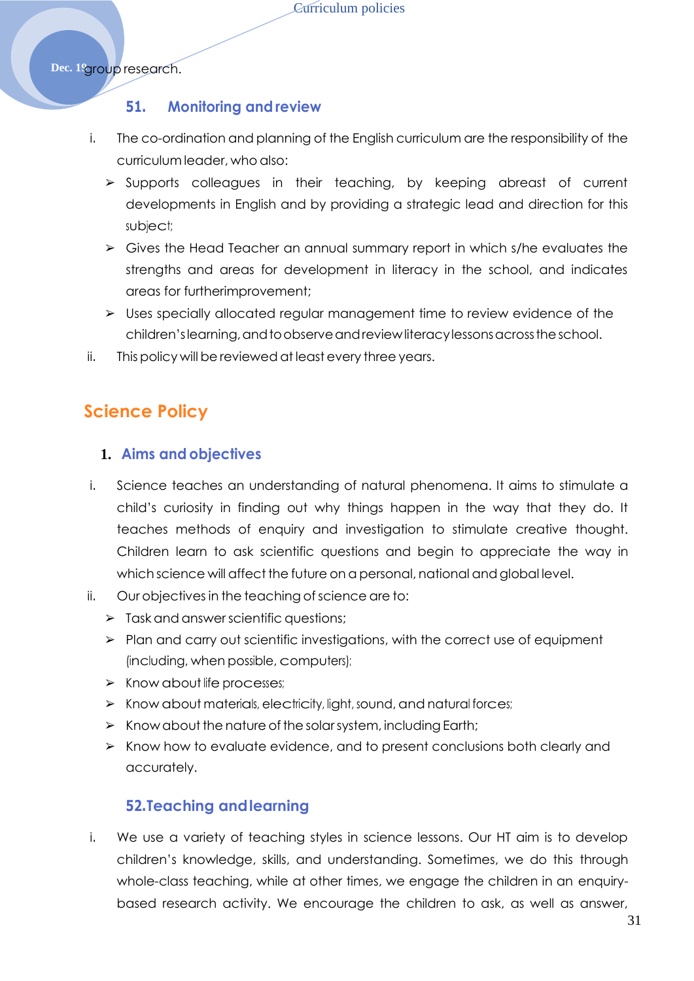Dec. 1<sup>9</sup>group research.

#### **51. Monitoring and review**

- i. The co-ordination and planning of the English curriculum are the responsibility of the curriculum leader, who also:
	- ➢ Supports colleagues in their teaching, by keeping abreast of current developments in English and by providing a strategic lead and direction for this subject;
	- ➢ Gives the Head Teacher an annual summary report in which s/he evaluates the strengths and areas for development in literacy in the school, and indicates areas for furtherimprovement;
	- ➢ Uses specially allocated regular management time to review evidence of the children's learning, and to observe and review literacy lessons across the school.
- ii. This policy will be reviewed at least every three years.

## <span id="page-30-0"></span>**Science Policy**

#### **1. Aims and objectives**

- i. Science teaches an understanding of natural phenomena. It aims to stimulate a child's curiosity in finding out why things happen in the way that they do. It teaches methods of enquiry and investigation to stimulate creative thought. Children learn to ask scientific questions and begin to appreciate the way in which science will affect the future on a personal, national and global level.
- ii. Our objectives in the teaching ofscience are to:
	- ➢ Task and answerscientific questions;
	- ➢ Plan and carry out scientific investigations, with the correct use of equipment (including, when possible, computers);
	- ➢ Know about life processes;
	- ➢ Know about materials, electricity, light, sound, and natural forces;
	- $\triangleright$  Know about the nature of the solar system, including Earth;
	- ➢ Know how to evaluate evidence, and to present conclusions both clearly and accurately.

#### **52.Teaching andlearning**

i. We use a variety of teaching styles in science lessons. Our HT aim is to develop children's knowledge, skills, and understanding. Sometimes, we do this through whole-class teaching, while at other times, we engage the children in an enquirybased research activity. We encourage the children to ask, as well as answer,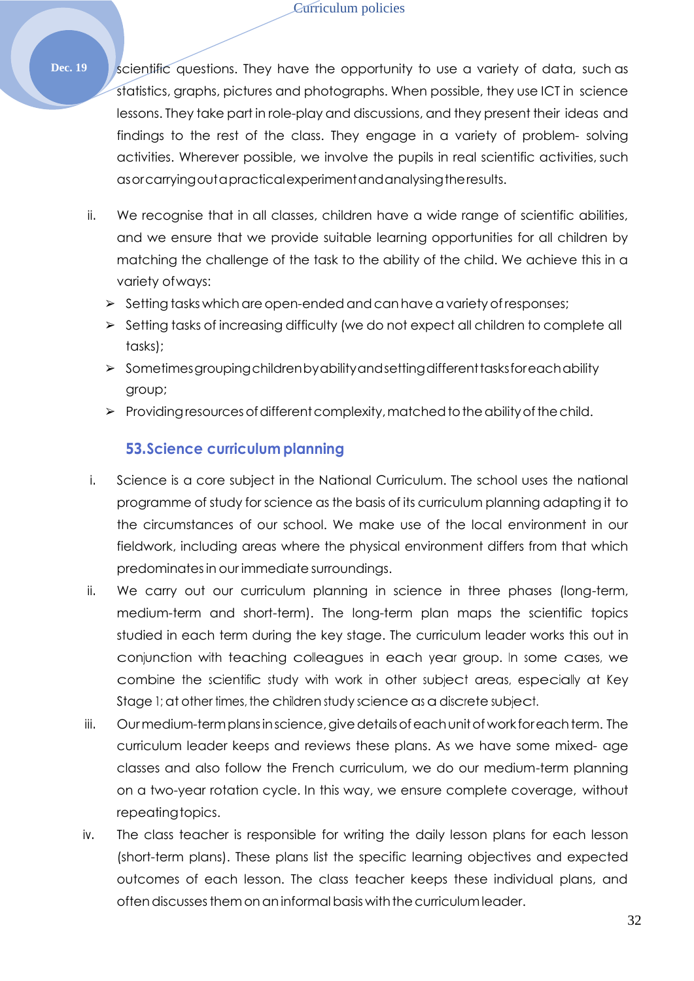Dec. 19 Scientific questions. They have the opportunity to use a variety of data, such as statistics, graphs, pictures and photographs. When possible, they use ICT in science lessons. They take part in role-play and discussions, and they present their ideas and findings to the rest of the class. They engage in a variety of problem- solving activities. Wherever possible, we involve the pupils in real scientific activities, such asorcarryingoutapracticalexperimentandanalysingtheresults.

- ii. We recognise that in all classes, children have a wide range of scientific abilities, and we ensure that we provide suitable learning opportunities for all children by matching the challenge of the task to the ability of the child. We achieve this in a variety ofways:
	- $\geq$  Setting tasks which are open-ended and can have a variety of responses;
	- ➢ Setting tasks of increasing difficulty (we do not expect all children to complete all tasks);
	- ➢ Sometimesgroupingchildrenbyabilityandsettingdifferenttasksforeachability group;
	- $\triangleright$  Providing resources of different complexity, matched to the ability of the child.

#### **53.Science curriculum planning**

- i. Science is a core subject in the National Curriculum. The school uses the national programme of study for science as the basis of its curriculum planning adapting it to the circumstances of our school. We make use of the local environment in our fieldwork, including areas where the physical environment differs from that which predominatesin our immediate surroundings.
- ii. We carry out our curriculum planning in science in three phases (long-term, medium-term and short-term). The long-term plan maps the scientific topics studied in each term during the key stage. The curriculum leader works this out in conjunction with teaching colleagues in each year group. In some cases, we combine the scientific study with work in other subject areas, especially at Key Stage 1; at other times, the children study science as a discrete subject.
- iii. Ourmedium-termplansinscience,givedetailsofeachunitof work foreachterm. The curriculum leader keeps and reviews these plans. As we have some mixed- age classes and also follow the French curriculum, we do our medium-term planning on a two-year rotation cycle. In this way, we ensure complete coverage, without repeating topics.
- iv. The class teacher is responsible for writing the daily lesson plans for each lesson (short-term plans). These plans list the specific learning objectives and expected outcomes of each lesson. The class teacher keeps these individual plans, and often discusses them on an informal basis with the curriculum leader.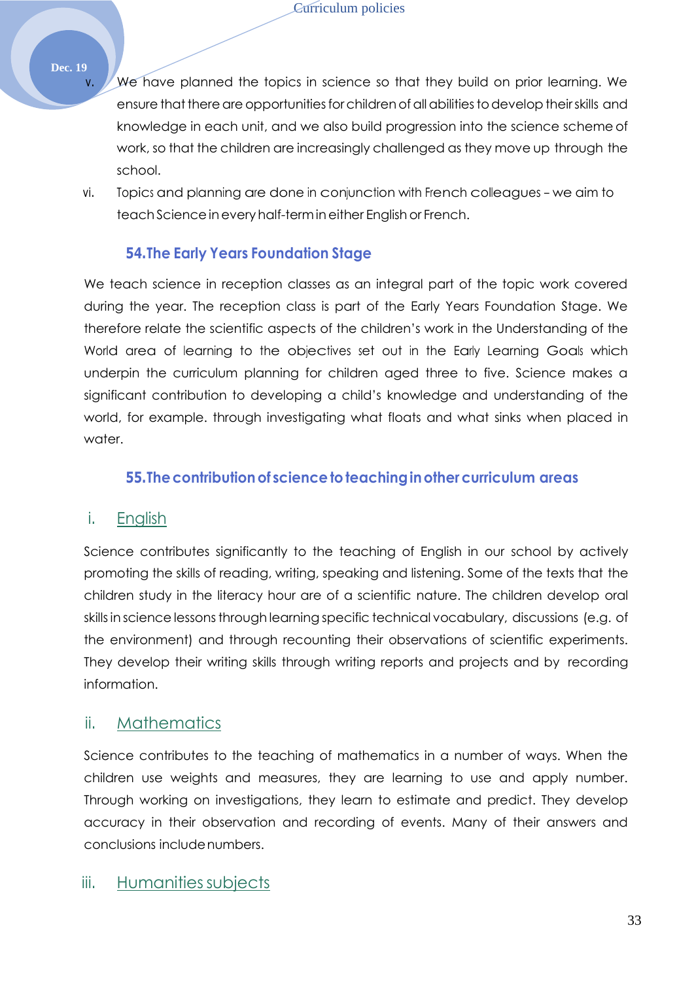#### **Dec. 19**

- v. We have planned the topics in science so that they build on prior learning. We ensure that there are opportunities for children of all abilities to develop their skills and knowledge in each unit, and we also build progression into the science scheme of work, so that the children are increasingly challenged as they move up through the school.
- vi. Topics and planning are done in conjunction with French colleagues we aim to teach Science in every half-term in either English or French.

#### **54.The Early Years Foundation Stage**

We teach science in reception classes as an integral part of the topic work covered during the year. The reception class is part of the Early Years Foundation Stage. We therefore relate the scientific aspects of the children's work in the Understanding of the World area of learning to the objectives set out in the Early Learning Goals which underpin the curriculum planning for children aged three to five. Science makes a significant contribution to developing a child's knowledge and understanding of the world, for example. through investigating what floats and what sinks when placed in water.

#### **55.Thecontributionof sciencetoteachinginothercurriculum areas**

#### i. English

Science contributes significantly to the teaching of English in our school by actively promoting the skills of reading, writing, speaking and listening. Some of the texts that the children study in the literacy hour are of a scientific nature. The children develop oral skills in science lessons through learning specific technical vocabulary, discussions (e.g. of the environment) and through recounting their observations of scientific experiments. They develop their writing skills through writing reports and projects and by recording information.

#### ii. Mathematics

Science contributes to the teaching of mathematics in a number of ways. When the children use weights and measures, they are learning to use and apply number. Through working on investigations, they learn to estimate and predict. They develop accuracy in their observation and recording of events. Many of their answers and conclusions includenumbers.

## iii. Humanities subjects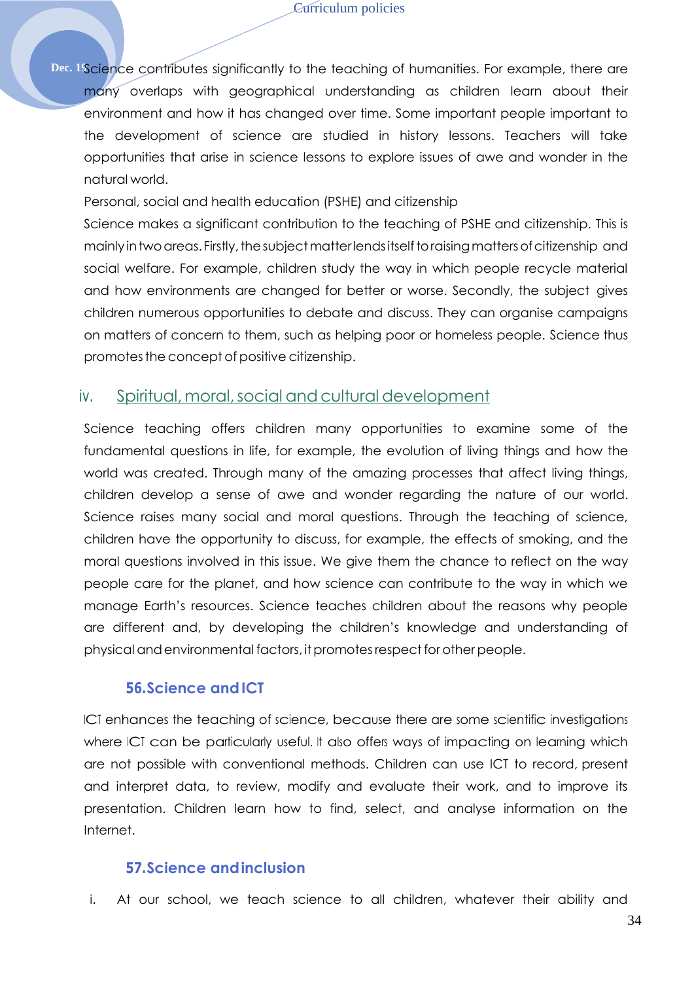Dec. 18 Science contributes significantly to the teaching of humanities. For example, there are many overlaps with geographical understanding as children learn about their environment and how it has changed over time. Some important people important to the development of science are studied in history lessons. Teachers will take opportunities that arise in science lessons to explore issues of awe and wonder in the natural world.

Personal, social and health education (PSHE) and citizenship

Science makes a significant contribution to the teaching of PSHE and citizenship. This is mainly in two areas. Firstly, the subject matter lends itself to raising matters of citizenship and social welfare. For example, children study the way in which people recycle material and how environments are changed for better or worse. Secondly, the subject gives children numerous opportunities to debate and discuss. They can organise campaigns on matters of concern to them, such as helping poor or homeless people. Science thus promotesthe concept of positive citizenship.

#### iv. Spiritual,moral,social andcultural development

Science teaching offers children many opportunities to examine some of the fundamental questions in life, for example, the evolution of living things and how the world was created. Through many of the amazing processes that affect living things, children develop a sense of awe and wonder regarding the nature of our world. Science raises many social and moral questions. Through the teaching of science, children have the opportunity to discuss, for example, the effects of smoking, and the moral questions involved in this issue. We give them the chance to reflect on the way people care for the planet, and how science can contribute to the way in which we manage Earth's resources. Science teaches children about the reasons why people are different and, by developing the children's knowledge and understanding of physical and environmental factors, it promotes respect for other people.

#### **56.Science andICT**

ICT enhances the teaching of science, because there are some scientific investigations where ICT can be particularly useful. It also offers ways of impacting on learning which are not possible with conventional methods. Children can use ICT to record, present and interpret data, to review, modify and evaluate their work, and to improve its presentation. Children learn how to find, select, and analyse information on the Internet.

#### **57.Science andinclusion**

i. At our school, we teach science to all children, whatever their ability and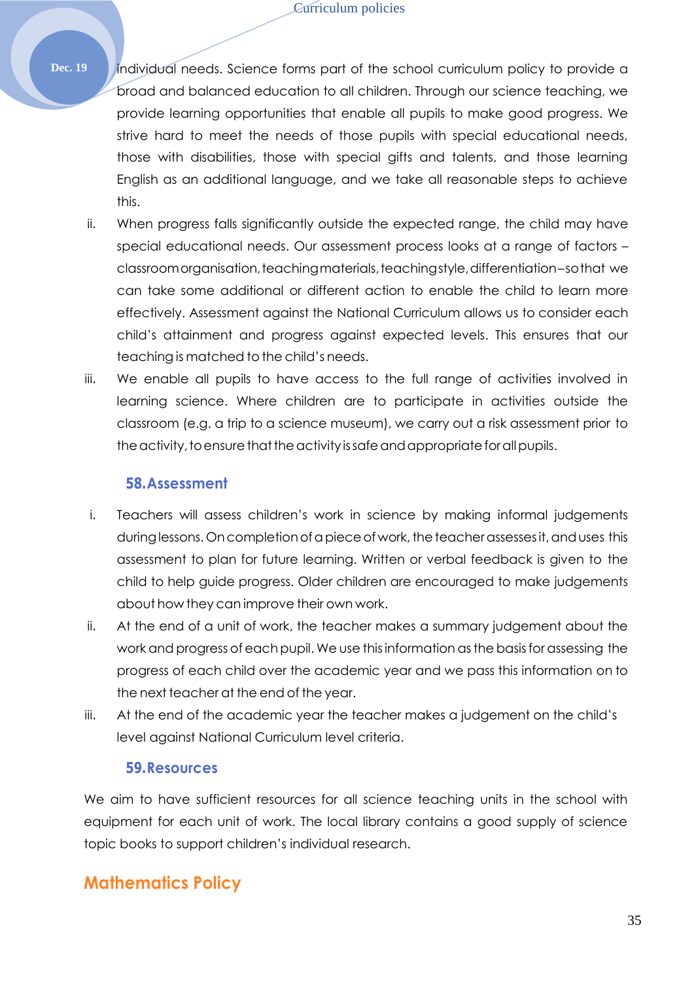- **Dec. 19** individual needs. Science forms part of the school curriculum policy to provide a broad and balanced education to all children. Through our science teaching, we provide learning opportunities that enable all pupils to make good progress. We strive hard to meet the needs of those pupils with special educational needs, those with disabilities, those with special gifts and talents, and those learning English as an additional language, and we take all reasonable steps to achieve this.
	- ii. When progress falls significantly outside the expected range, the child may have special educational needs. Our assessment process looks at a range of factors – classroomorganisation,teachingmaterials,teachingstyle,differentiation–sothat we can take some additional or different action to enable the child to learn more effectively. Assessment against the National Curriculum allows us to consider each child's attainment and progress against expected levels. This ensures that our teaching is matched to the child's needs.
	- iii. We enable all pupils to have access to the full range of activities involved in learning science. Where children are to participate in activities outside the classroom (e.g. a trip to a science museum), we carry out a risk assessment prior to the activity, to ensure that the activity is safe and appropriate for all pupils.

#### **58.Assessment**

- i. Teachers will assess children's work in science by making informal judgements during lessons. On completion of a piece of work, the teacher assesses it, and uses this assessment to plan for future learning. Written or verbal feedback is given to the child to help guide progress. Older children are encouraged to make judgements about how they can improve their own work.
- ii. At the end of a unit of work, the teacher makes a summary judgement about the work and progress of each pupil. We use this information as the basis for assessing the progress of each child over the academic year and we pass this information on to the next teacher at the end of the year.
- iii. At the end of the academic year the teacher makes a judgement on the child's level against National Curriculum level criteria.

#### **59.Resources**

We aim to have sufficient resources for all science teaching units in the school with equipment for each unit of work. The local library contains a good supply of science topic books to support children's individual research.

## <span id="page-34-0"></span>**Mathematics Policy**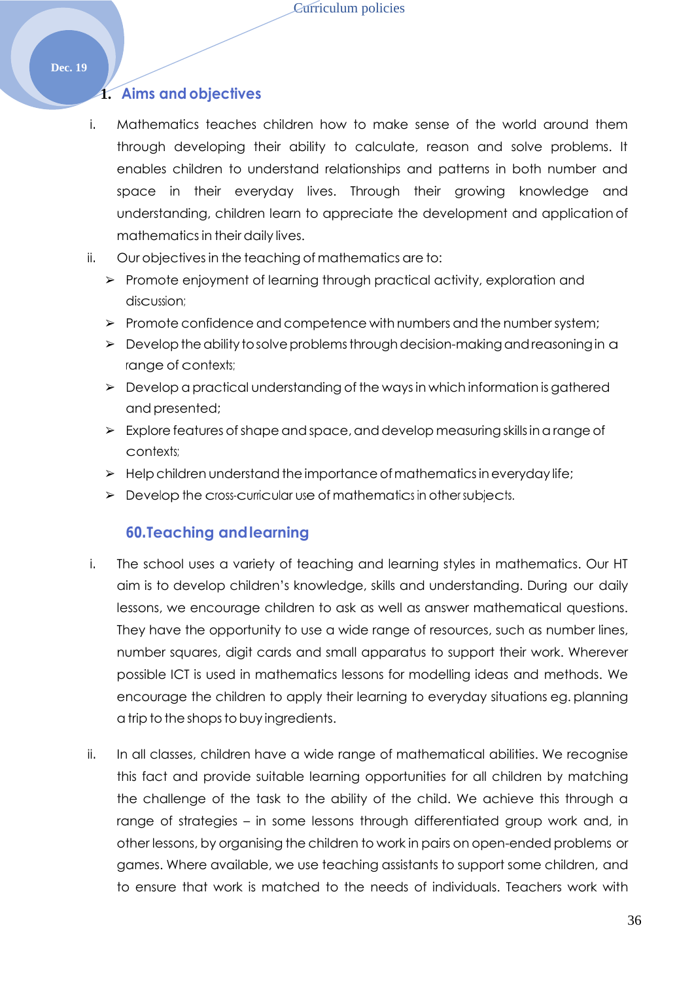#### **1. Aims and objectives**

- i. Mathematics teaches children how to make sense of the world around them through developing their ability to calculate, reason and solve problems. It enables children to understand relationships and patterns in both number and space in their everyday lives. Through their growing knowledge and understanding, children learn to appreciate the development and application of mathematicsin their daily lives.
- ii. Our objectives in the teaching of mathematics are to:
	- ➢ Promote enjoyment of learning through practical activity, exploration and discussion;
	- ➢ Promote confidence and competence with numbers and the numbersystem;
	- $\triangleright$  Develop the ability to solve problems through decision-making and reasoning in a range of contexts;
	- ➢ Develop a practical understanding of the waysin which information is gathered and presented;
	- $\triangleright$  Explore features of shape and space, and develop measuring skills in a range of contexts;
	- $\triangleright$  Help children understand the importance of mathematics in everyday life;
	- ➢ Develop the cross-curricular use of mathematics in other subjects.

#### **60.Teaching andlearning**

- i. The school uses a variety of teaching and learning styles in mathematics. Our HT aim is to develop children's knowledge, skills and understanding. During our daily lessons, we encourage children to ask as well as answer mathematical questions. They have the opportunity to use a wide range of resources, such as number lines, number squares, digit cards and small apparatus to support their work. Wherever possible ICT is used in mathematics lessons for modelling ideas and methods. We encourage the children to apply their learning to everyday situations eg. planning a trip to the shops to buy ingredients.
- ii. In all classes, children have a wide range of mathematical abilities. We recognise this fact and provide suitable learning opportunities for all children by matching the challenge of the task to the ability of the child. We achieve this through a range of strategies – in some lessons through differentiated group work and, in other lessons, by organising the children to work in pairs on open-ended problems or games. Where available, we use teaching assistants to support some children, and to ensure that work is matched to the needs of individuals. Teachers work with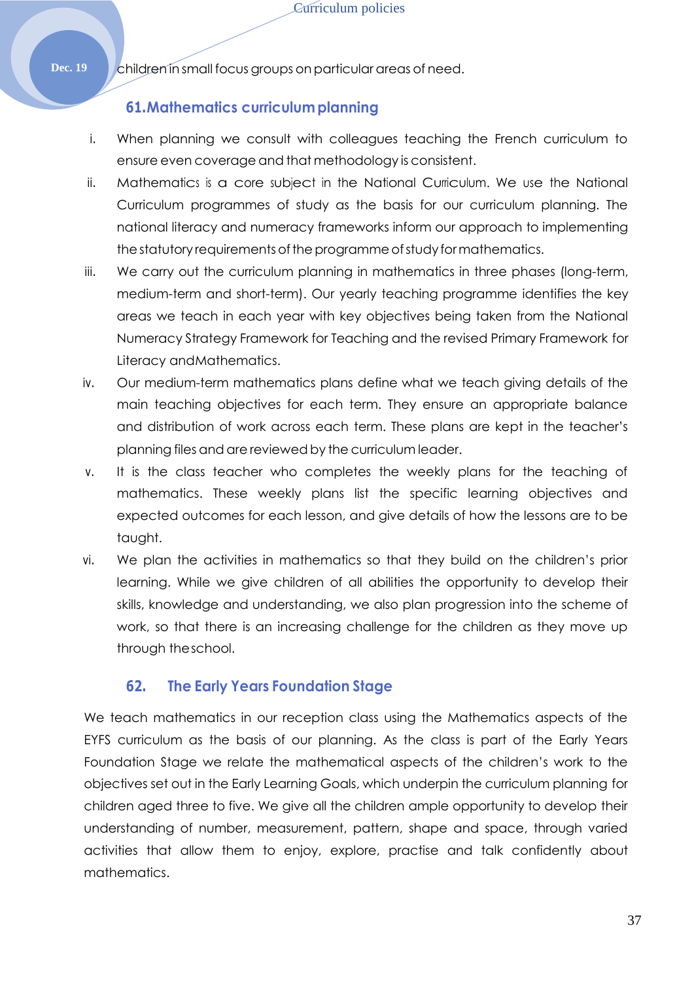#### Dec. 19 children in small focus groups on particular areas of need.

## **61.Mathematics curriculumplanning**

- i. When planning we consult with colleagues teaching the French curriculum to ensure even coverage and that methodology is consistent.
- ii. Mathematics is a core subject in the National Curriculum. We use the National Curriculum programmes of study as the basis for our curriculum planning. The national literacy and numeracy frameworks inform our approach to implementing the statutory requirements of the programme of study for mathematics.
- iii. We carry out the curriculum planning in mathematics in three phases (long-term, medium-term and short-term). Our yearly teaching programme identifies the key areas we teach in each year with key objectives being taken from the National Numeracy Strategy Framework for Teaching and the revised Primary Framework for Literacy andMathematics.
- iv. Our medium-term mathematics plans define what we teach giving details of the main teaching objectives for each term. They ensure an appropriate balance and distribution of work across each term. These plans are kept in the teacher's planning files and are reviewed by the curriculum leader.
- v. It is the class teacher who completes the weekly plans for the teaching of mathematics. These weekly plans list the specific learning objectives and expected outcomes for each lesson, and give details of how the lessons are to be taught.
- vi. We plan the activities in mathematics so that they build on the children's prior learning. While we give children of all abilities the opportunity to develop their skills, knowledge and understanding, we also plan progression into the scheme of work, so that there is an increasing challenge for the children as they move up through theschool.

## **62. The Early Years Foundation Stage**

We teach mathematics in our reception class using the Mathematics aspects of the EYFS curriculum as the basis of our planning. As the class is part of the Early Years Foundation Stage we relate the mathematical aspects of the children's work to the objectives set out in the Early Learning Goals, which underpin the curriculum planning for children aged three to five. We give all the children ample opportunity to develop their understanding of number, measurement, pattern, shape and space, through varied activities that allow them to enjoy, explore, practise and talk confidently about mathematics.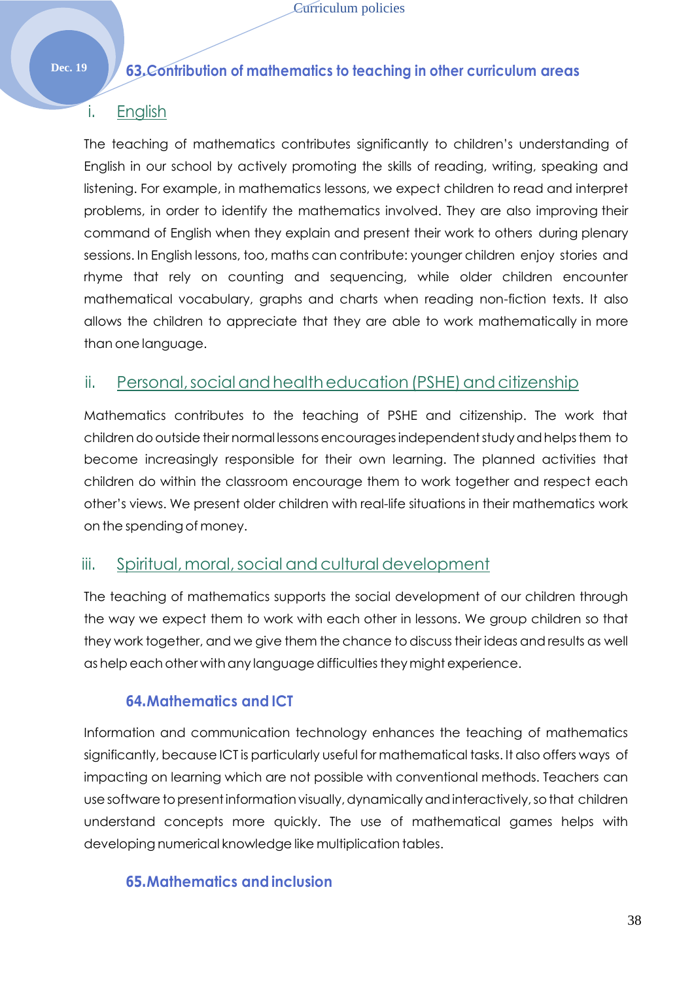## **Dec. 19 63.Contribution of mathematics to teaching in other curriculum areas**

## i. English

The teaching of mathematics contributes significantly to children's understanding of English in our school by actively promoting the skills of reading, writing, speaking and listening. For example, in mathematics lessons, we expect children to read and interpret problems, in order to identify the mathematics involved. They are also improving their command of English when they explain and present their work to others during plenary sessions. In English lessons, too, maths can contribute: younger children enjoy stories and rhyme that rely on counting and sequencing, while older children encounter mathematical vocabulary, graphs and charts when reading non-fiction texts. It also allows the children to appreciate that they are able to work mathematically in more than one language.

## ii. Personal, social and health education (PSHE) and citizenship

Mathematics contributes to the teaching of PSHE and citizenship. The work that childrendooutside their normal lessons encouragesindependentstudyandhelpsthem to become increasingly responsible for their own learning. The planned activities that children do within the classroom encourage them to work together and respect each other's views. We present older children with real-life situations in their mathematics work on the spending of money.

## iii. Spiritual, moral, social and cultural development

The teaching of mathematics supports the social development of our children through the way we expect them to work with each other in lessons. We group children so that they work together, and we give them the chance to discuss their ideas and results as well as help each other with any language difficulties they might experience.

## **64.Mathematics and ICT**

Information and communication technology enhances the teaching of mathematics significantly, because ICT is particularly useful for mathematical tasks. It also offers ways of impacting on learning which are not possible with conventional methods. Teachers can use software to present information visually, dynamically and interactively, so that children understand concepts more quickly. The use of mathematical games helps with developing numerical knowledge like multiplication tables.

## **65.Mathematics and inclusion**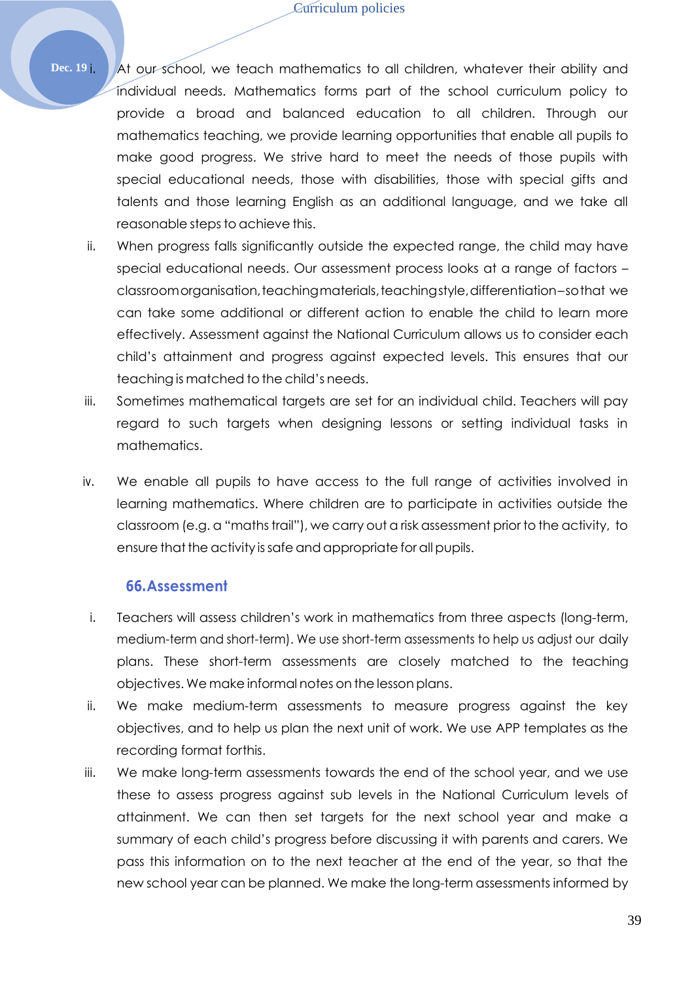**Dec. 19** i. At our school, we teach mathematics to all children, whatever their ability and individual needs. Mathematics forms part of the school curriculum policy to provide a broad and balanced education to all children. Through our mathematics teaching, we provide learning opportunities that enable all pupils to make good progress. We strive hard to meet the needs of those pupils with special educational needs, those with disabilities, those with special gifts and talents and those learning English as an additional language, and we take all reasonable steps to achieve this.

- ii. When progress falls significantly outside the expected range, the child may have special educational needs. Our assessment process looks at a range of factors – classroomorganisation,teachingmaterials,teachingstyle,differentiation–sothat we can take some additional or different action to enable the child to learn more effectively. Assessment against the National Curriculum allows us to consider each child's attainment and progress against expected levels. This ensures that our teaching is matched to the child's needs.
- iii. Sometimes mathematical targets are set for an individual child. Teachers will pay regard to such targets when designing lessons or setting individual tasks in mathematics.
- iv. We enable all pupils to have access to the full range of activities involved in learning mathematics. Where children are to participate in activities outside the classroom (e.g. a "maths trail"), we carry out a risk assessment prior to the activity, to ensure that the activity is safe and appropriate for all pupils.

#### **66.Assessment**

- i. Teachers will assess children's work in mathematics from three aspects (long-term, medium-term and short-term). We use short-term assessments to help us adjust our daily plans. These short-term assessments are closely matched to the teaching objectives. We make informal notes on the lessonplans.
- ii. We make medium-term assessments to measure progress against the key objectives, and to help us plan the next unit of work. We use APP templates as the recording format forthis.
- iii. We make long-term assessments towards the end of the school year, and we use these to assess progress against sub levels in the National Curriculum levels of attainment. We can then set targets for the next school year and make a summary of each child's progress before discussing it with parents and carers. We pass this information on to the next teacher at the end of the year, so that the new school year can be planned. We make the long-term assessments informed by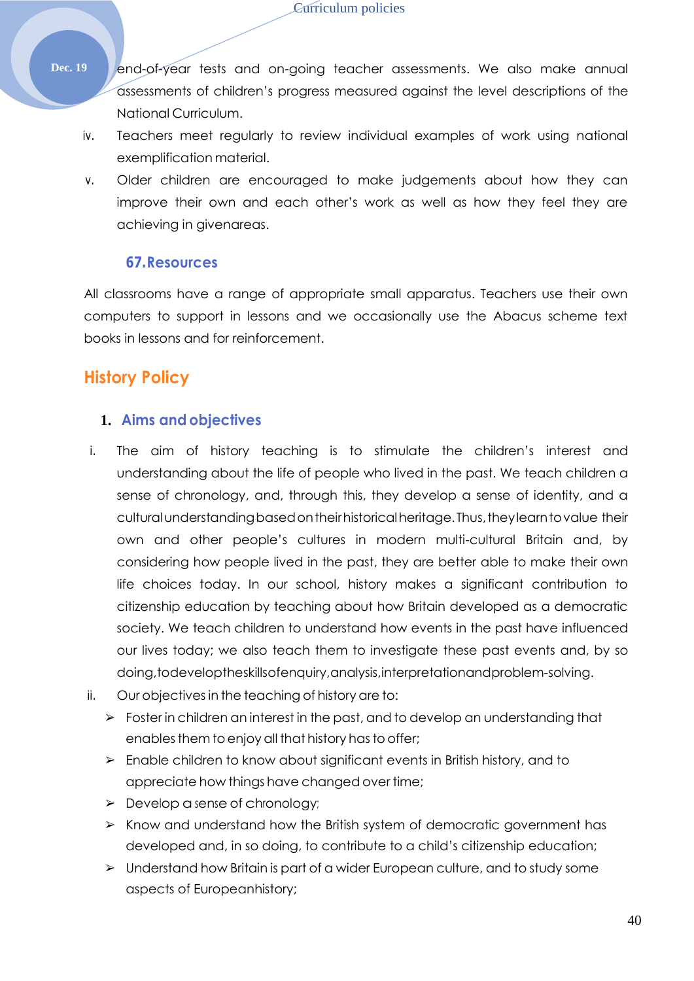- Dec. 19 end-of-year tests and on-going teacher assessments. We also make annual assessments of children's progress measured against the level descriptions of the National Curriculum.
	- iv. Teachers meet regularly to review individual examples of work using national exemplification material.
	- v. Older children are encouraged to make judgements about how they can improve their own and each other's work as well as how they feel they are achieving in givenareas.

## **67.Resources**

All classrooms have a range of appropriate small apparatus. Teachers use their own computers to support in lessons and we occasionally use the Abacus scheme text books in lessons and for reinforcement.

## **History Policy**

#### **1. Aims and objectives**

- i. The aim of history teaching is to stimulate the children's interest and understanding about the life of people who lived in the past. We teach children a sense of chronology, and, through this, they develop a sense of identity, and a cultural understanding based on their historical heritage. Thus, they learn to value their own and other people's cultures in modern multi-cultural Britain and, by considering how people lived in the past, they are better able to make their own life choices today. In our school, history makes a significant contribution to citizenship education by teaching about how Britain developed as a democratic society. We teach children to understand how events in the past have influenced our lives today; we also teach them to investigate these past events and, by so doing,todeveloptheskillsofenquiry,analysis,interpretationandproblem-solving.
- ii. Our objectivesin the teaching of history are to:
	- ➢ Foster in children an interest in the past, and to develop an understanding that enables them to enjoy all that history has to offer;
	- ➢ Enable children to know about significant events in British history, and to appreciate how things have changed over time;
	- ➢ Develop asense of chronology;
	- ➢ Know and understand how the British system of democratic government has developed and, in so doing, to contribute to a child's citizenship education;
	- ➢ Understand how Britain is part of a wider European culture, and to study some aspects of Europeanhistory;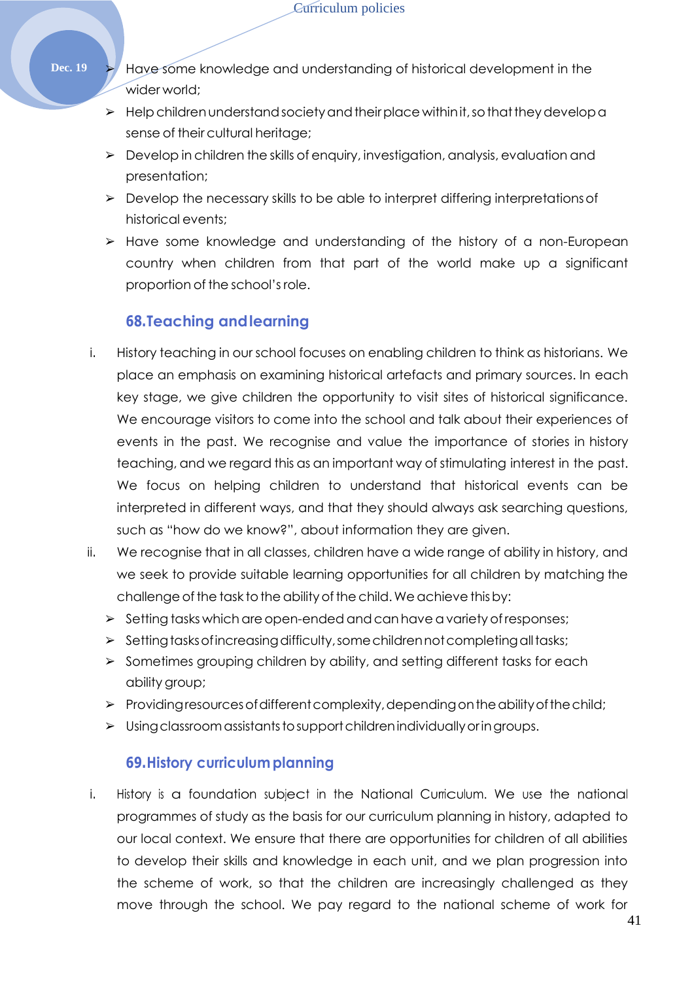- **Dec. 19**  $\rightarrow$  Have some knowledge and understanding of historical development in the wider world;
	- $\triangleright$  Help children understand society and their place within it, so that they develop a sense of their cultural heritage;
	- ➢ Develop in children the skills of enquiry, investigation, analysis, evaluation and presentation;
	- $\triangleright$  Develop the necessary skills to be able to interpret differing interpretations of historical events;
	- ➢ Have some knowledge and understanding of the history of a non-European country when children from that part of the world make up a significant proportion of the school'srole.

## **68.Teaching andlearning**

- i. History teaching in our school focuses on enabling children to think as historians. We place an emphasis on examining historical artefacts and primary sources. In each key stage, we give children the opportunity to visit sites of historical significance. We encourage visitors to come into the school and talk about their experiences of events in the past. We recognise and value the importance of stories in history teaching, and we regard this as an important way of stimulating interest in the past. We focus on helping children to understand that historical events can be interpreted in different ways, and that they should always ask searching questions, such as "how do we know?", about information they are given.
- ii. We recognise that in all classes, children have a wide range of ability in history, and we seek to provide suitable learning opportunities for all children by matching the challenge of the task to the ability of the child. We achieve this by:
	- $\triangleright$  Setting tasks which are open-ended and can have a variety of responses;
	- ➢ Settingtasksofincreasingdifficulty,somechildrennotcompletingalltasks;
	- ➢ Sometimes grouping children by ability, and setting different tasks for each ability group;
	- $\triangleright$  Providing resources of different complexity, depending on the ability of the child;
	- ➢ Usingclassroomassistantstosupportchildrenindividuallyoringroups.

#### **69.History curriculumplanning**

i. History is a foundation subject in the National Curriculum. We use the national programmes of study as the basis for our curriculum planning in history, adapted to our local context. We ensure that there are opportunities for children of all abilities to develop their skills and knowledge in each unit, and we plan progression into the scheme of work, so that the children are increasingly challenged as they move through the school. We pay regard to the national scheme of work for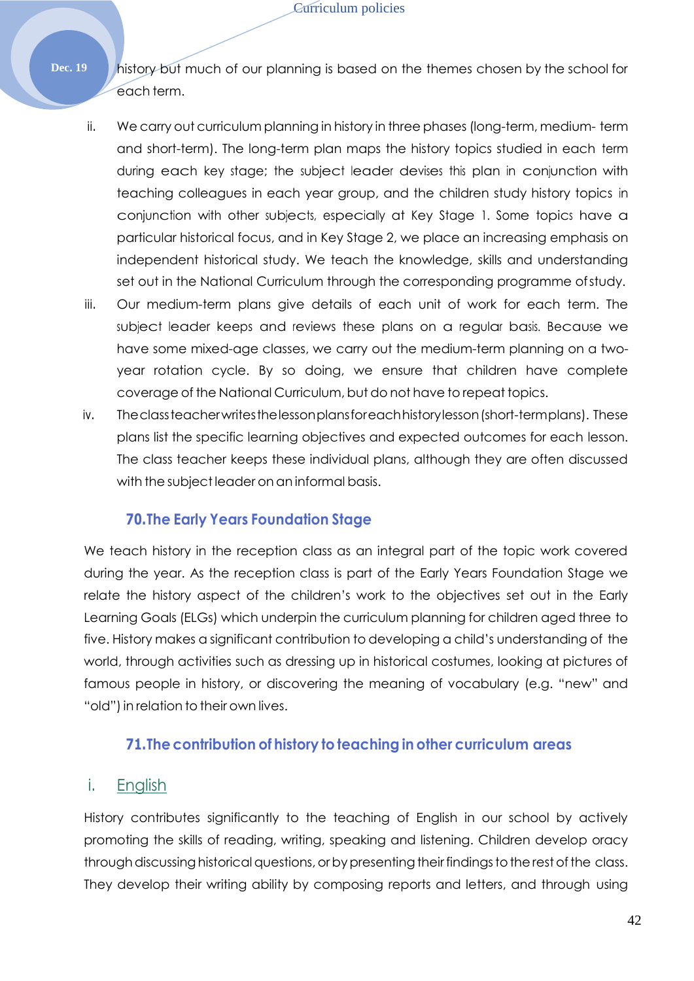- **Dec. 19** history but much of our planning is based on the themes chosen by the school for each term.
	- ii. We carry out curriculum planning in history in three phases (long-term, medium- term and short-term). The long-term plan maps the history topics studied in each term during each key stage; the subject leader devises this plan in conjunction with teaching colleagues in each year group, and the children study history topics in conjunction with other subjects, especially at Key Stage 1. Some topics have a particular historical focus, and in Key Stage 2, we place an increasing emphasis on independent historical study. We teach the knowledge, skills and understanding set out in the National Curriculum through the corresponding programme ofstudy.
	- iii. Our medium-term plans give details of each unit of work for each term. The subject leader keeps and reviews these plans on a regular basis. Because we have some mixed-age classes, we carry out the medium-term planning on a twoyear rotation cycle. By so doing, we ensure that children have complete coverage of the National Curriculum, but do not have to repeat topics.
	- iv. Theclassteacherwritesthelessonplansforeachhistorylesson(short-termplans). These plans list the specific learning objectives and expected outcomes for each lesson. The class teacher keeps these individual plans, although they are often discussed with the subject leader on an informal basis.

## **70.The Early Years Foundation Stage**

We teach history in the reception class as an integral part of the topic work covered during the year. As the reception class is part of the Early Years Foundation Stage we relate the history aspect of the children's work to the objectives set out in the Early Learning Goals (ELGs) which underpin the curriculum planning for children aged three to five. History makes a significant contribution to developing a child's understanding of the world, through activities such as dressing up in historical costumes, looking at pictures of famous people in history, or discovering the meaning of vocabulary (e.g. "new" and "old") in relation to their own lives.

## **71.The contribution of history to teaching in other curriculum areas**

## i. English

History contributes significantly to the teaching of English in our school by actively promoting the skills of reading, writing, speaking and listening. Children develop oracy through discussing historical questions, or by presenting their findings to the rest of the class. They develop their writing ability by composing reports and letters, and through using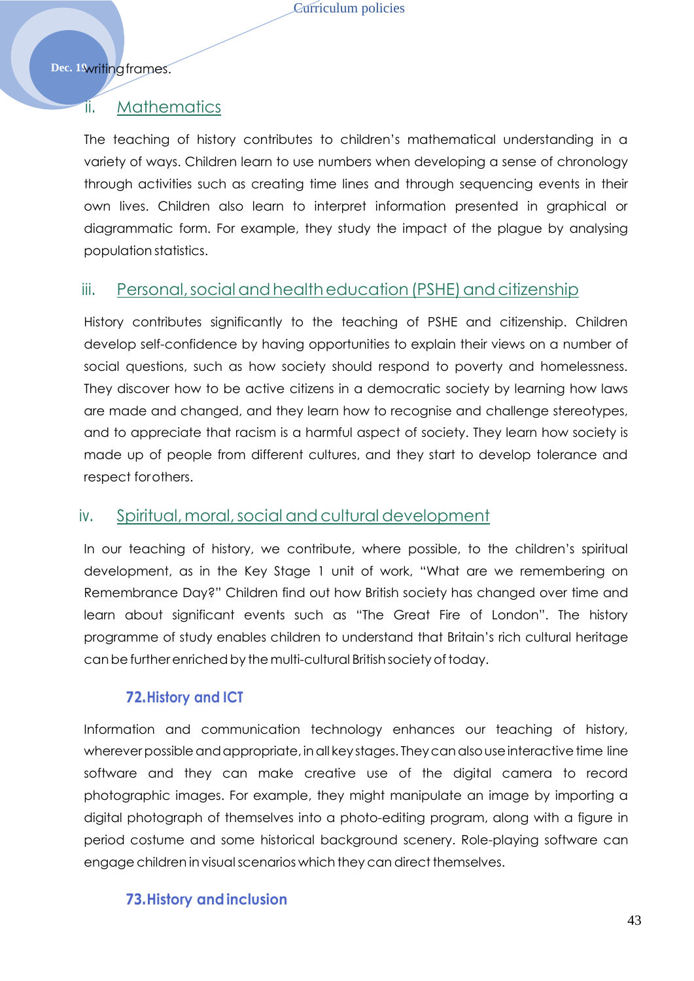Dec. 1<sub>3writingframes.</sub>

## ii. Mathematics

The teaching of history contributes to children's mathematical understanding in a variety of ways. Children learn to use numbers when developing a sense of chronology through activities such as creating time lines and through sequencing events in their own lives. Children also learn to interpret information presented in graphical or diagrammatic form. For example, they study the impact of the plague by analysing population statistics.

## iii. Personal, social and health education (PSHE) and citizenship

History contributes significantly to the teaching of PSHE and citizenship. Children develop self-confidence by having opportunities to explain their views on a number of social questions, such as how society should respond to poverty and homelessness. They discover how to be active citizens in a democratic society by learning how laws are made and changed, and they learn how to recognise and challenge stereotypes, and to appreciate that racism is a harmful aspect of society. They learn how society is made up of people from different cultures, and they start to develop tolerance and respect forothers.

## iv. Spiritual,moral,social andcultural development

In our teaching of history, we contribute, where possible, to the children's spiritual development, as in the Key Stage 1 unit of work, "What are we remembering on Remembrance Day?" Children find out how British society has changed over time and learn about significant events such as "The Great Fire of London". The history programme of study enables children to understand that Britain's rich cultural heritage canbe furtherenrichedby the multi-cultural British societyoftoday.

## **72.History and ICT**

Information and communication technology enhances our teaching of history, wherever possible and appropriate, in all key stages. They can also use interactive time line software and they can make creative use of the digital camera to record photographic images. For example, they might manipulate an image by importing a digital photograph of themselves into a photo-editing program, along with a figure in period costume and some historical background scenery. Role-playing software can engage children invisualscenarios which they can direct themselves.

## **73.History andinclusion**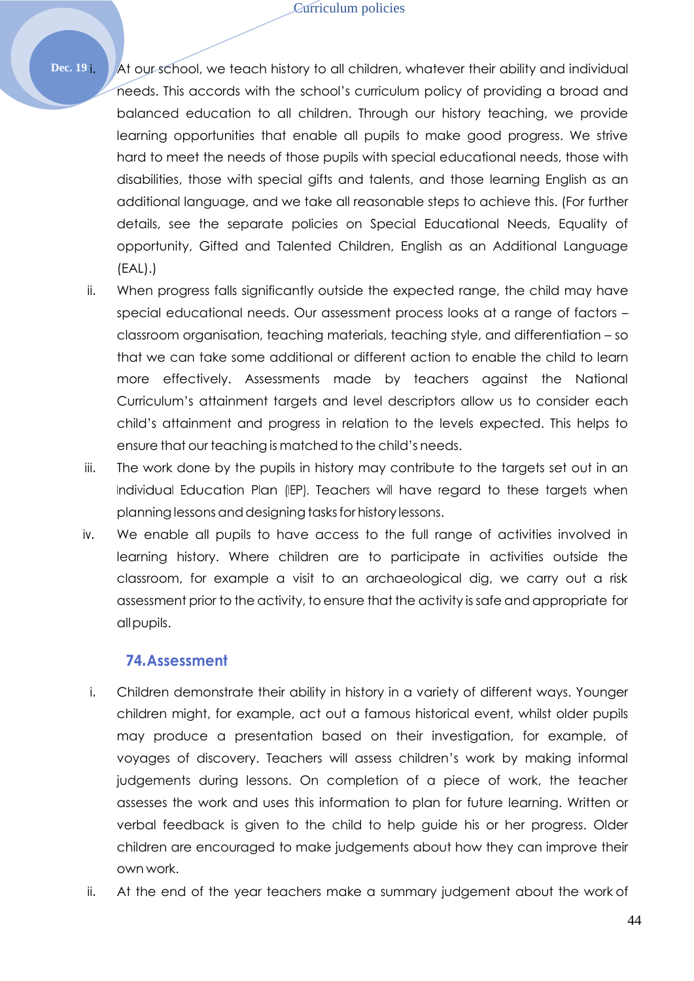**Dec. 19** i. At our school, we teach history to all children, whatever their ability and individual needs. This accords with the school's curriculum policy of providing a broad and balanced education to all children. Through our history teaching, we provide learning opportunities that enable all pupils to make good progress. We strive hard to meet the needs of those pupils with special educational needs, those with disabilities, those with special gifts and talents, and those learning English as an additional language, and we take all reasonable steps to achieve this. (For further details, see the separate policies on Special Educational Needs, Equality of opportunity, Gifted and Talented Children, English as an Additional Language (EAL).)

- ii. When progress falls significantly outside the expected range, the child may have special educational needs. Our assessment process looks at a range of factors – classroom organisation, teaching materials, teaching style, and differentiation – so that we can take some additional or different action to enable the child to learn more effectively. Assessments made by teachers against the National Curriculum's attainment targets and level descriptors allow us to consider each child's attainment and progress in relation to the levels expected. This helps to ensure that our teaching is matched to the child's needs.
- iii. The work done by the pupils in history may contribute to the targets set out in an Individual Education Plan (IEP). Teachers will have regard to these targets when planning lessons and designing tasks for history lessons.
- iv. We enable all pupils to have access to the full range of activities involved in learning history. Where children are to participate in activities outside the classroom, for example a visit to an archaeological dig, we carry out a risk assessment prior to the activity, to ensure that the activity is safe and appropriate for allpupils.

#### **74.Assessment**

- i. Children demonstrate their ability in history in a variety of different ways. Younger children might, for example, act out a famous historical event, whilst older pupils may produce a presentation based on their investigation, for example, of voyages of discovery. Teachers will assess children's work by making informal judgements during lessons. On completion of a piece of work, the teacher assesses the work and uses this information to plan for future learning. Written or verbal feedback is given to the child to help guide his or her progress. Older children are encouraged to make judgements about how they can improve their own work.
- ii. At the end of the year teachers make a summary judgement about the work of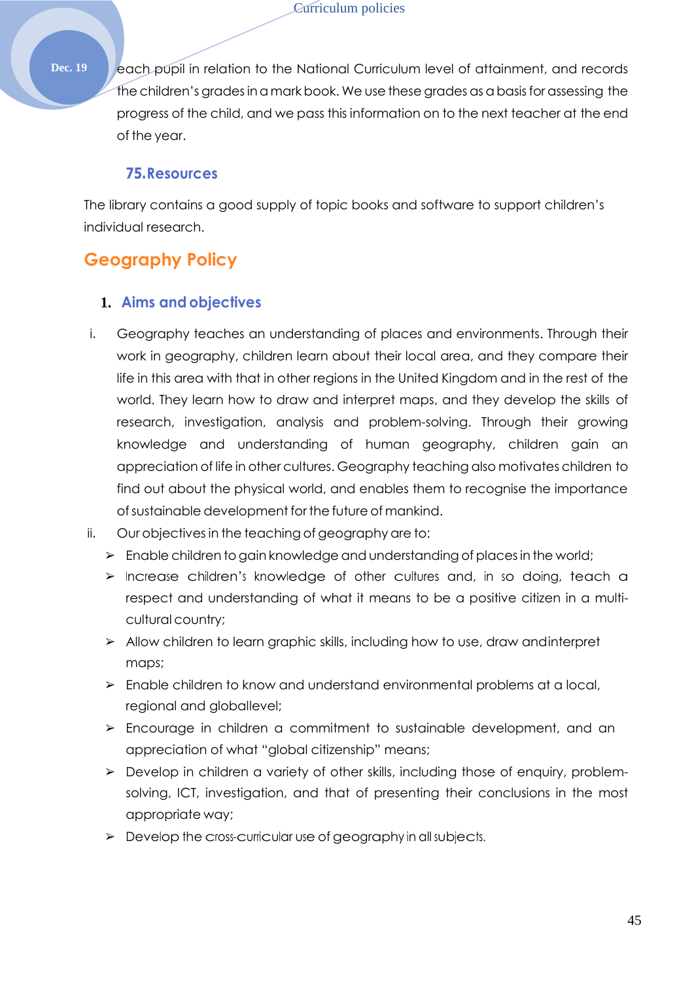**Dec. 19** each pupil in relation to the National Curriculum level of attainment, and records the children's gradesina markbook. We use these grades as a basisfor assessing the progress of the child, and we pass this information on to the next teacher at the end of the year.

#### **75.Resources**

The library contains a good supply of topic books and software to support children's individual research.

# **Geography Policy**

## **1. Aims and objectives**

- i. Geography teaches an understanding of places and environments. Through their work in geography, children learn about their local area, and they compare their life in this area with that in other regions in the United Kingdom and in the rest of the world. They learn how to draw and interpret maps, and they develop the skills of research, investigation, analysis and problem-solving. Through their growing knowledge and understanding of human geography, children gain an appreciation of life in other cultures. Geography teaching also motivates children to find out about the physical world, and enables them to recognise the importance of sustainable development for the future of mankind.
- ii. Our objectives in the teaching of geography are to:
	- ➢ Enable children to gain knowledge and understanding of placesin the world;
	- ➢ Increase children'<sup>s</sup> knowledge of other cultures and, in so doing, teach a respect and understanding of what it means to be a positive citizen in a multicultural country;
	- ➢ Allow children to learn graphic skills, including how to use, draw andinterpret maps;
	- $\triangleright$  Enable children to know and understand environmental problems at a local, regional and globallevel;
	- ➢ Encourage in children a commitment to sustainable development, and an appreciation of what "global citizenship" means;
	- ➢ Develop in children a variety of other skills, including those of enquiry, problemsolving, ICT, investigation, and that of presenting their conclusions in the most appropriate way;
	- ➢ Develop the cross-curricular use of geography in all subjects.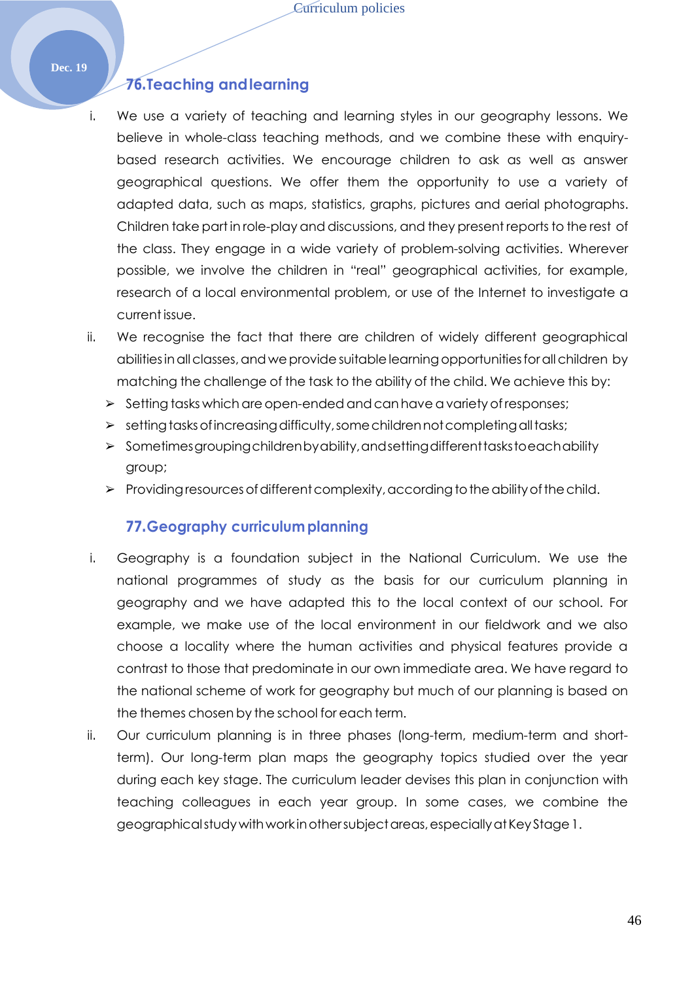## **76.Teaching andlearning**

- i. We use a variety of teaching and learning styles in our geography lessons. We believe in whole-class teaching methods, and we combine these with enquirybased research activities. We encourage children to ask as well as answer geographical questions. We offer them the opportunity to use a variety of adapted data, such as maps, statistics, graphs, pictures and aerial photographs. Children take part in role-play and discussions, and they present reports to the rest of the class. They engage in a wide variety of problem-solving activities. Wherever possible, we involve the children in "real" geographical activities, for example, research of a local environmental problem, or use of the Internet to investigate a current issue.
- ii. We recognise the fact that there are children of widely different geographical abilities in all classes, and we provide suitable learning opportunities for all children by matching the challenge of the task to the ability of the child. We achieve this by:
	- $\geq$  Setting tasks which are open-ended and can have a variety of responses;
	- $\triangleright$  setting tasks of increasing difficulty, some children not completing all tasks;
	- ➢ Sometimesgroupingchildrenbyability,andsettingdifferenttaskstoeachability group;
	- $\triangleright$  Providing resources of different complexity, according to the ability of the child.

#### **77.Geography curriculumplanning**

- i. Geography is a foundation subject in the National Curriculum. We use the national programmes of study as the basis for our curriculum planning in geography and we have adapted this to the local context of our school. For example, we make use of the local environment in our fieldwork and we also choose a locality where the human activities and physical features provide a contrast to those that predominate in our own immediate area. We have regard to the national scheme of work for geography but much of our planning is based on the themes chosen by the school for each term.
- ii. Our curriculum planning is in three phases (long-term, medium-term and shortterm). Our long-term plan maps the geography topics studied over the year during each key stage. The curriculum leader devises this plan in conjunction with teaching colleagues in each year group. In some cases, we combine the geographicalstudywithwork inothersubjectareas,especiallyatKeyStage1.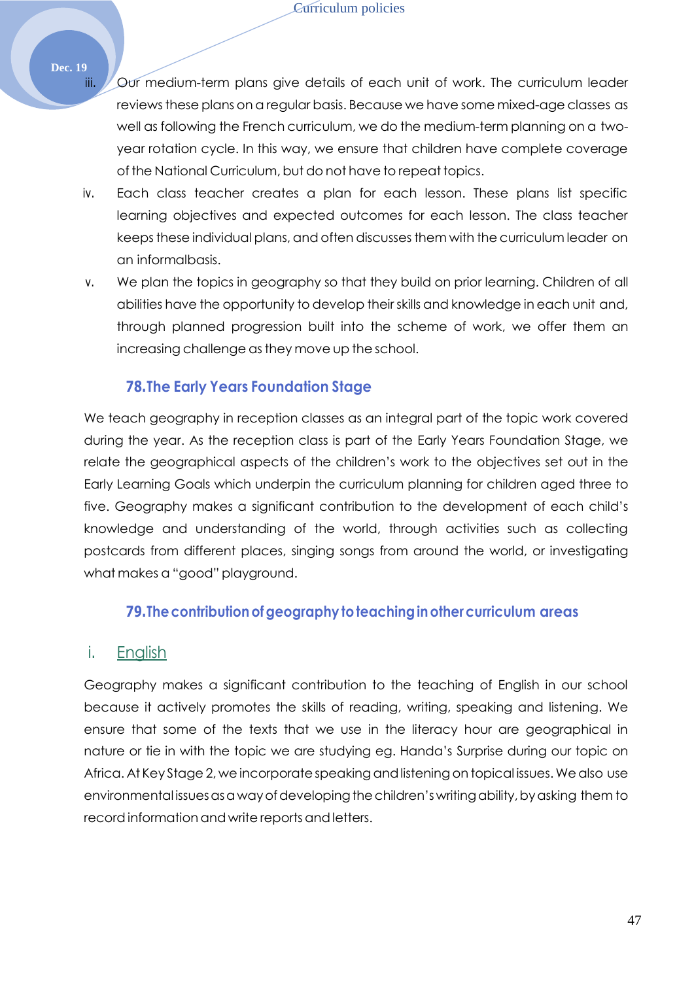- iii. Our medium-term plans give details of each unit of work. The curriculum leader reviewsthese plans on a regular basis. Because we have some mixed-age classes as well as following the French curriculum, we do the medium-term planning on a twoyear rotation cycle. In this way, we ensure that children have complete coverage of the National Curriculum, but do not have to repeat topics.
- iv. Each class teacher creates a plan for each lesson. These plans list specific learning objectives and expected outcomes for each lesson. The class teacher keeps these individual plans, and often discusses them with the curriculum leader on an informalbasis.
- v. We plan the topics in geography so that they build on prior learning. Children of all abilities have the opportunity to develop theirskills and knowledge in each unit and, through planned progression built into the scheme of work, we offer them an increasing challenge as they move up the school.

#### **78.The Early Years Foundation Stage**

We teach geography in reception classes as an integral part of the topic work covered during the year. As the reception class is part of the Early Years Foundation Stage, we relate the geographical aspects of the children's work to the objectives set out in the Early Learning Goals which underpin the curriculum planning for children aged three to five. Geography makes a significant contribution to the development of each child's knowledge and understanding of the world, through activities such as collecting postcards from different places, singing songs from around the world, or investigating what makes a "good" playground.

#### **79.Thecontributionofgeography toteachinginothercurriculum areas**

#### i. English

Geography makes a significant contribution to the teaching of English in our school because it actively promotes the skills of reading, writing, speaking and listening. We ensure that some of the texts that we use in the literacy hour are geographical in nature or tie in with the topic we are studying eg. Handa's Surprise during our topic on Africa. At Key Stage 2, we incorporate speaking and listening on topical issues. We also use environmental issues as a way of developing the children's writing ability, by asking them to record information and write reports and letters.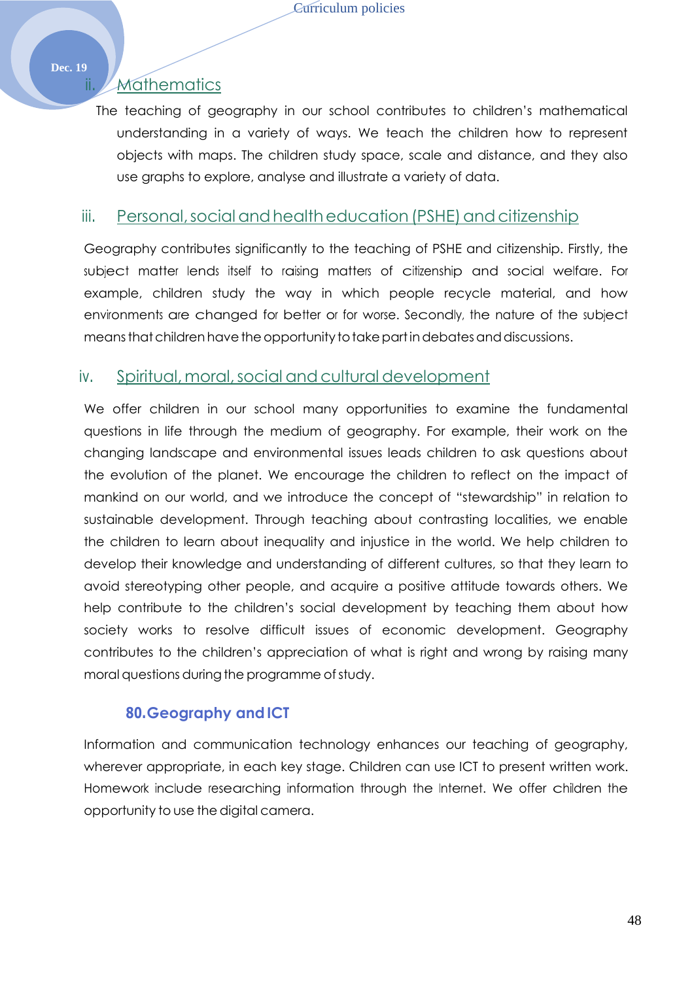## ii. Mathematics

The teaching of geography in our school contributes to children's mathematical understanding in a variety of ways. We teach the children how to represent objects with maps. The children study space, scale and distance, and they also use graphs to explore, analyse and illustrate a variety of data.

#### iii. Personal, social and health education (PSHE) and citizenship

Geography contributes significantly to the teaching of PSHE and citizenship. Firstly, the subject matter lends itself to raising matters of citizenship and social welfare. For example, children study the way in which people recycle material, and how environments are changed for better or for worse. Secondly, the nature of the subject means that children have the opportunity to take part in debates and discussions.

## iv. Spiritual, moral, social and cultural development

We offer children in our school many opportunities to examine the fundamental questions in life through the medium of geography. For example, their work on the changing landscape and environmental issues leads children to ask questions about the evolution of the planet. We encourage the children to reflect on the impact of mankind on our world, and we introduce the concept of "stewardship" in relation to sustainable development. Through teaching about contrasting localities, we enable the children to learn about inequality and injustice in the world. We help children to develop their knowledge and understanding of different cultures, so that they learn to avoid stereotyping other people, and acquire a positive attitude towards others. We help contribute to the children's social development by teaching them about how society works to resolve difficult issues of economic development. Geography contributes to the children's appreciation of what is right and wrong by raising many moral questions during the programme of study.

## **80.Geography andICT**

Information and communication technology enhances our teaching of geography, wherever appropriate, in each key stage. Children can use ICT to present written work. Homework include researching information through the Internet. We offer children the opportunity to use the digital camera.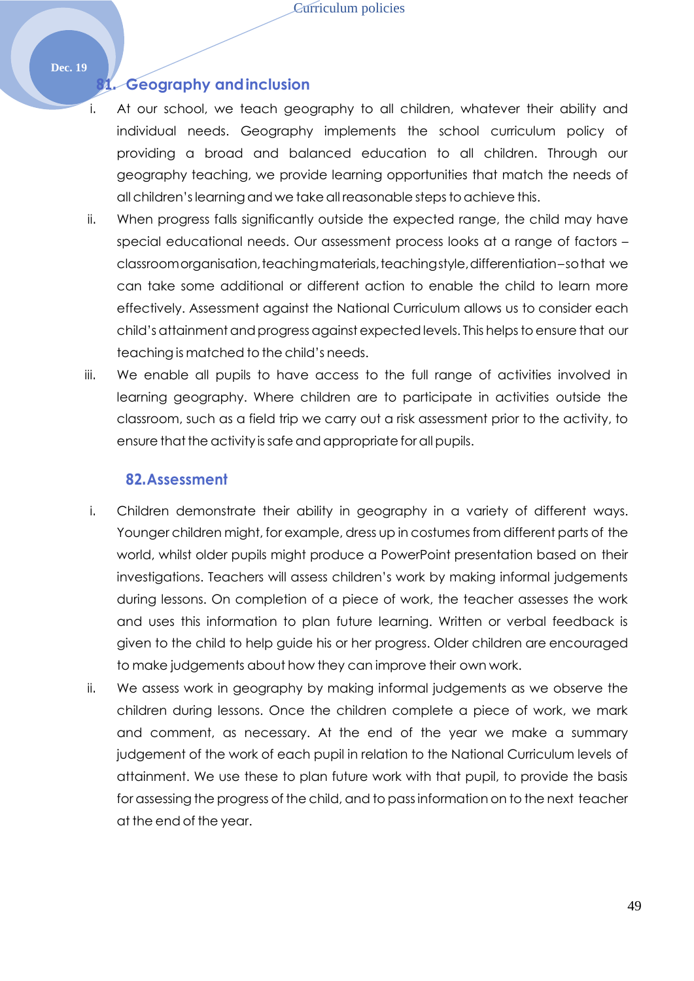#### **81. Geography andinclusion**

- i. At our school, we teach geography to all children, whatever their ability and individual needs. Geography implements the school curriculum policy of providing a broad and balanced education to all children. Through our geography teaching, we provide learning opportunities that match the needs of all children's learning and we take all reasonable steps to achieve this.
- ii. When progress falls significantly outside the expected range, the child may have special educational needs. Our assessment process looks at a range of factors – classroomorganisation, teaching materials, teachingstyle, differentiation–sothat we can take some additional or different action to enable the child to learn more effectively. Assessment against the National Curriculum allows us to consider each child's attainment and progress against expected levels. This helps to ensure that our teaching is matched to the child's needs.
- iii. We enable all pupils to have access to the full range of activities involved in learning geography. Where children are to participate in activities outside the classroom, such as a field trip we carry out a risk assessment prior to the activity, to ensure that the activity is safe and appropriate for all pupils.

#### **82.Assessment**

- i. Children demonstrate their ability in geography in a variety of different ways. Younger children might, for example, dress up in costumes from different parts of the world, whilst older pupils might produce a PowerPoint presentation based on their investigations. Teachers will assess children's work by making informal judgements during lessons. On completion of a piece of work, the teacher assesses the work and uses this information to plan future learning. Written or verbal feedback is given to the child to help guide his or her progress. Older children are encouraged to make judgements about how they can improve their own work.
- ii. We assess work in geography by making informal judgements as we observe the children during lessons. Once the children complete a piece of work, we mark and comment, as necessary. At the end of the year we make a summary judgement of the work of each pupil in relation to the National Curriculum levels of attainment. We use these to plan future work with that pupil, to provide the basis for assessing the progress of the child, and to passinformation on to the next teacher at the end of the year.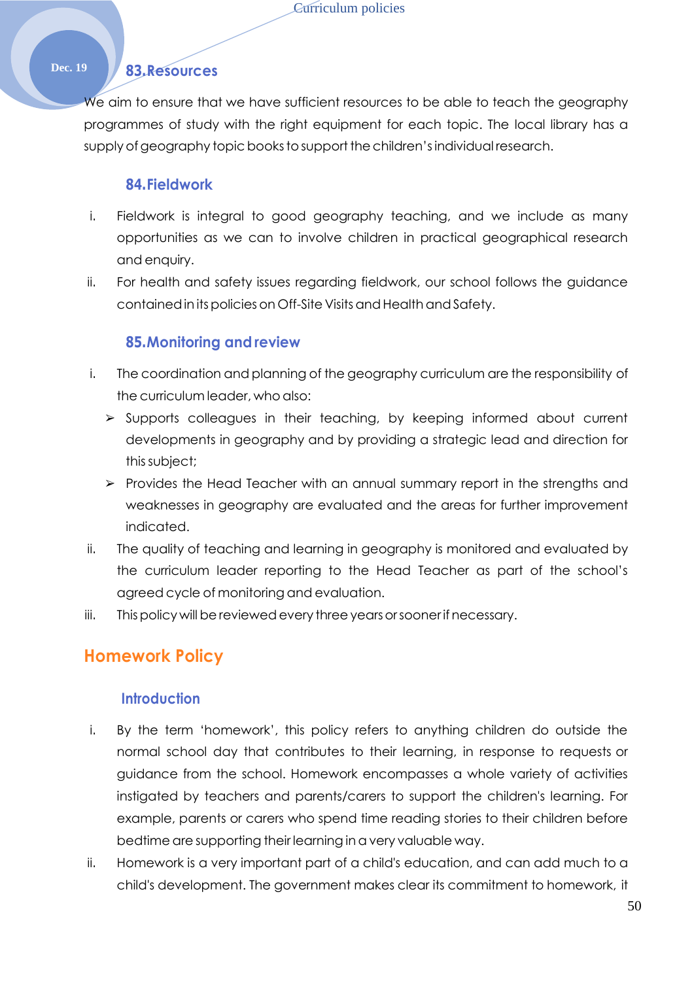## **Dec. 19 83.Resources**

We aim to ensure that we have sufficient resources to be able to teach the geography programmes of study with the right equipment for each topic. The local library has a supply of geography topic books to support the children's individual research.

#### **84.Fieldwork**

- i. Fieldwork is integral to good geography teaching, and we include as many opportunities as we can to involve children in practical geographical research and enquiry.
- ii. For health and safety issues regarding fieldwork, our school follows the guidance contained in its policies on Off-Site Visits and Health and Safety.

#### **85.Monitoring and review**

- i. The coordination and planning of the geography curriculum are the responsibility of the curriculum leader, who also:
	- ➢ Supports colleagues in their teaching, by keeping informed about current developments in geography and by providing a strategic lead and direction for thissubject;
	- $\triangleright$  Provides the Head Teacher with an annual summary report in the strengths and weaknesses in geography are evaluated and the areas for further improvement indicated.
- ii. The quality of teaching and learning in geography is monitored and evaluated by the curriculum leader reporting to the Head Teacher as part of the school's agreed cycle of monitoring and evaluation.
- iii. This policy will be reviewed every three years or sooner if necessary.

## **Homework Policy**

#### **Introduction**

- i. By the term 'homework', this policy refers to anything children do outside the normal school day that contributes to their learning, in response to requests or guidance from the school. Homework encompasses a whole variety of activities instigated by teachers and parents/carers to support the children's learning. For example, parents or carers who spend time reading stories to their children before bedtime are supporting their learning in a very valuable way.
- ii. Homework is a very important part of a child's education, and can add much to a child's development. The government makes clear its commitment to homework, it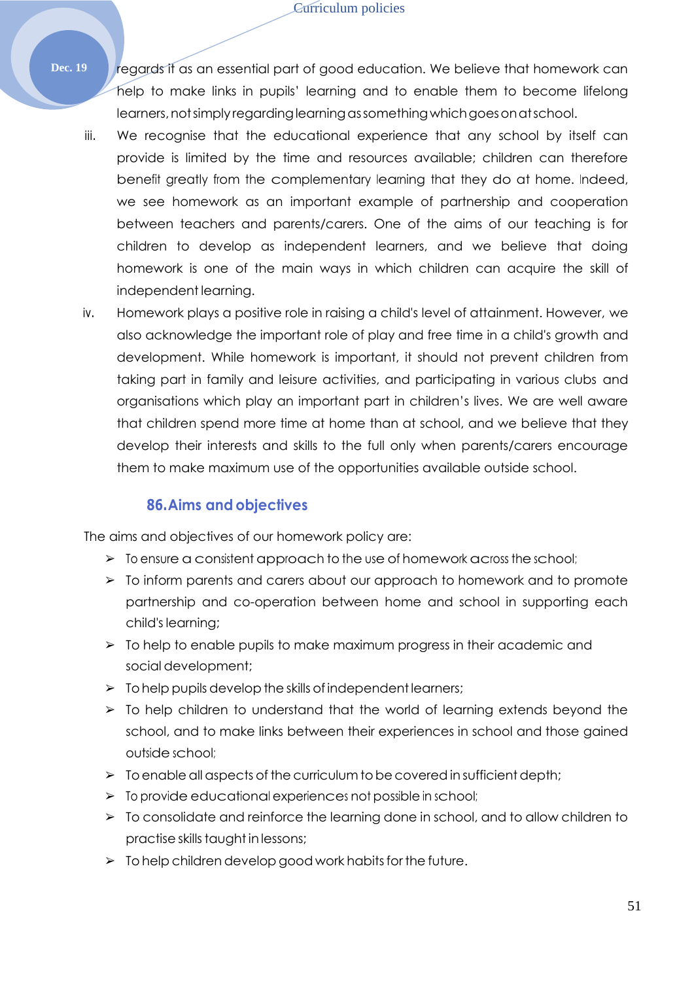**Dec. 19 regards if as an essential part of good education. We believe that homework can** help to make links in pupils' learning and to enable them to become lifelong learners,notsimplyregardinglearningassomethingwhichgoesonatschool.

- iii. We recognise that the educational experience that any school by itself can provide is limited by the time and resources available; children can therefore benefit greatly from the complementary learning that they do at home. Indeed, we see homework as an important example of partnership and cooperation between teachers and parents/carers. One of the aims of our teaching is for children to develop as independent learners, and we believe that doing homework is one of the main ways in which children can acquire the skill of independent learning.
- iv. Homework plays a positive role in raising a child's level of attainment. However, we also acknowledge the important role of play and free time in a child's growth and development. While homework is important, it should not prevent children from taking part in family and leisure activities, and participating in various clubs and organisations which play an important part in children's lives. We are well aware that children spend more time at home than at school, and we believe that they develop their interests and skills to the full only when parents/carers encourage them to make maximum use of the opportunities available outside school.

## **86.Aims and objectives**

The aims and objectives of our homework policy are:

- $\triangleright$  To ensure a consistent approach to the use of homework across the school;
- ➢ To inform parents and carers about our approach to homework and to promote partnership and co-operation between home and school in supporting each child's learning;
- ➢ To help to enable pupils to make maximum progress in their academic and social development;
- $\triangleright$  To help pupils develop the skills of independent learners;
- $\geq$  To help children to understand that the world of learning extends beyond the school, and to make links between their experiences in school and those gained outside school;
- $\triangleright$  To enable all aspects of the curriculum to be covered in sufficient depth;
- ➢ To provide educational experiences not possible in school;
- ➢ To consolidate and reinforce the learning done in school, and to allow children to practise skills taught in lessons;
- $\geq$  To help children develop good work habits for the future.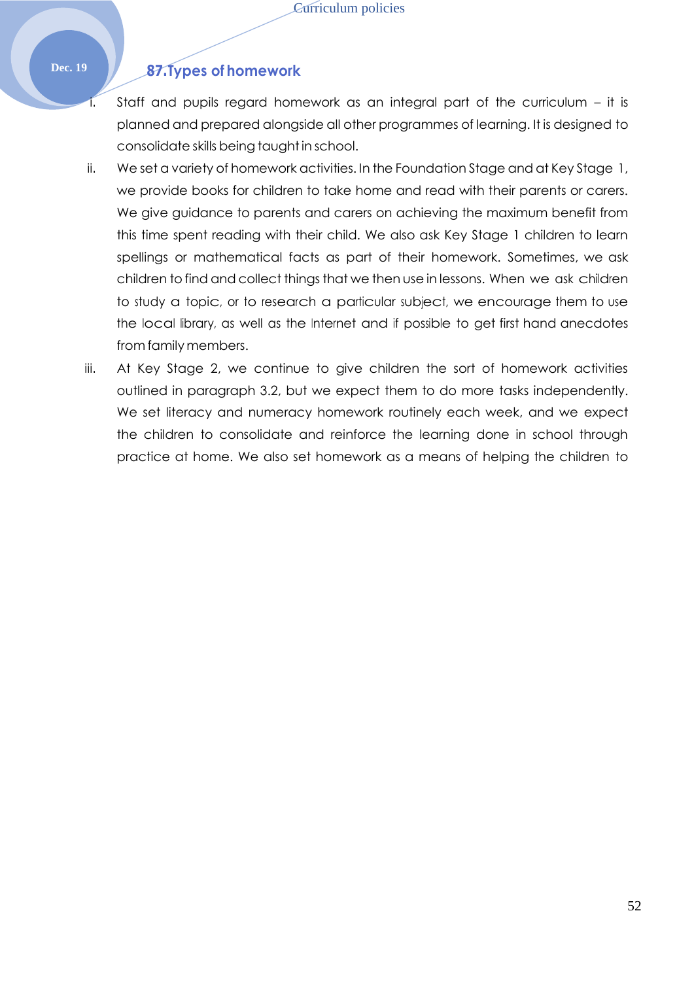## **Dec. 19 87.Types of homework**

- Staff and pupils regard homework as an integral part of the curriculum  $-$  it is planned and prepared alongside all other programmes of learning. It is designed to consolidate skills being taught in school.
- ii. We set a variety of homework activities. In the Foundation Stage and at Key Stage 1, we provide books for children to take home and read with their parents or carers. We give guidance to parents and carers on achieving the maximum benefit from this time spent reading with their child. We also ask Key Stage 1 children to learn spellings or mathematical facts as part of their homework. Sometimes, we ask children to find and collect things that we then use in lessons. When we ask children to study a topic, or to research a particular subject, we encourage them to use the local library, as well as the Internet and if possible to get first hand anecdotes from family members.
- iii. At Key Stage 2, we continue to give children the sort of homework activities outlined in paragraph 3.2, but we expect them to do more tasks independently. We set literacy and numeracy homework routinely each week, and we expect the children to consolidate and reinforce the learning done in school through practice at home. We also set homework as a means of helping the children to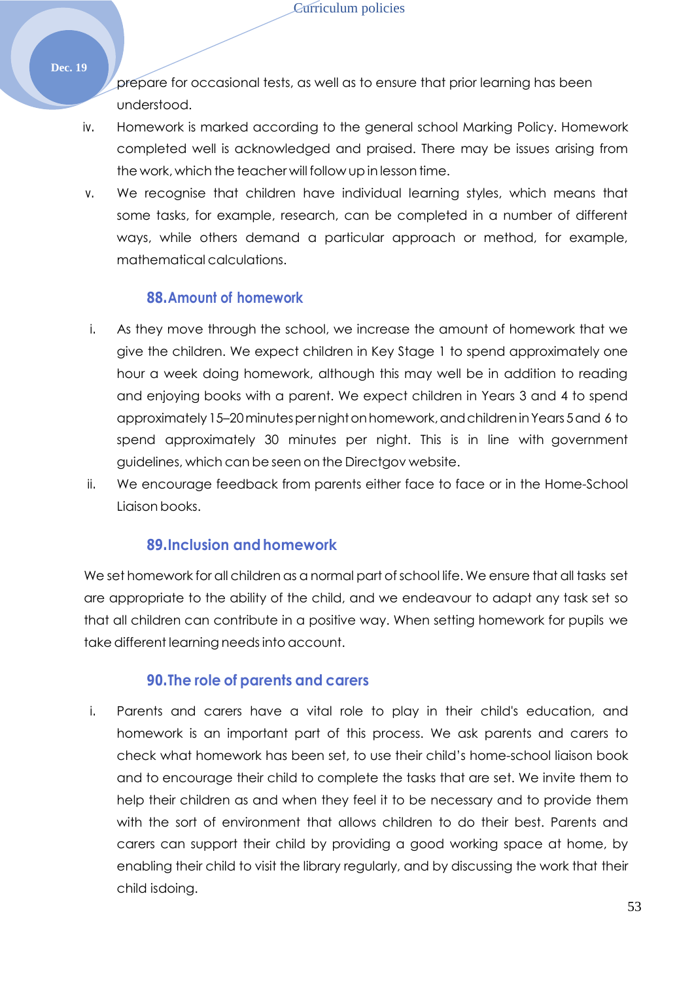prepare for occasional tests, as well as to ensure that prior learning has been understood.

- iv. Homework is marked according to the general school Marking Policy. Homework completed well is acknowledged and praised. There may be issues arising from the work, which the teacher will follow up in lesson time.
- v. We recognise that children have individual learning styles, which means that some tasks, for example, research, can be completed in a number of different ways, while others demand a particular approach or method, for example, mathematical calculations.

#### **88.Amount of homework**

- i. As they move through the school, we increase the amount of homework that we give the children. We expect children in Key Stage 1 to spend approximately one hour a week doing homework, although this may well be in addition to reading and enjoying books with a parent. We expect children in Years 3 and 4 to spend approximately 15–20minutespernightonhomework,andchildreninYears 5and 6 to spend approximately 30 minutes per night. This is in line with government guidelines, which can be seen on the Directgov website.
- ii. We encourage feedback from parents either face to face or in the Home-School Liaison books.

## **89.Inclusion andhomework**

We set homework for all children as a normal part of school life. We ensure that all tasks set are appropriate to the ability of the child, and we endeavour to adapt any task set so that all children can contribute in a positive way. When setting homework for pupils we take different learning needsinto account.

## **90.The role of parents and carers**

i. Parents and carers have a vital role to play in their child's education, and homework is an important part of this process. We ask parents and carers to check what homework has been set, to use their child's home-school liaison book and to encourage their child to complete the tasks that are set. We invite them to help their children as and when they feel it to be necessary and to provide them with the sort of environment that allows children to do their best. Parents and carers can support their child by providing a good working space at home, by enabling their child to visit the library regularly, and by discussing the work that their child isdoing.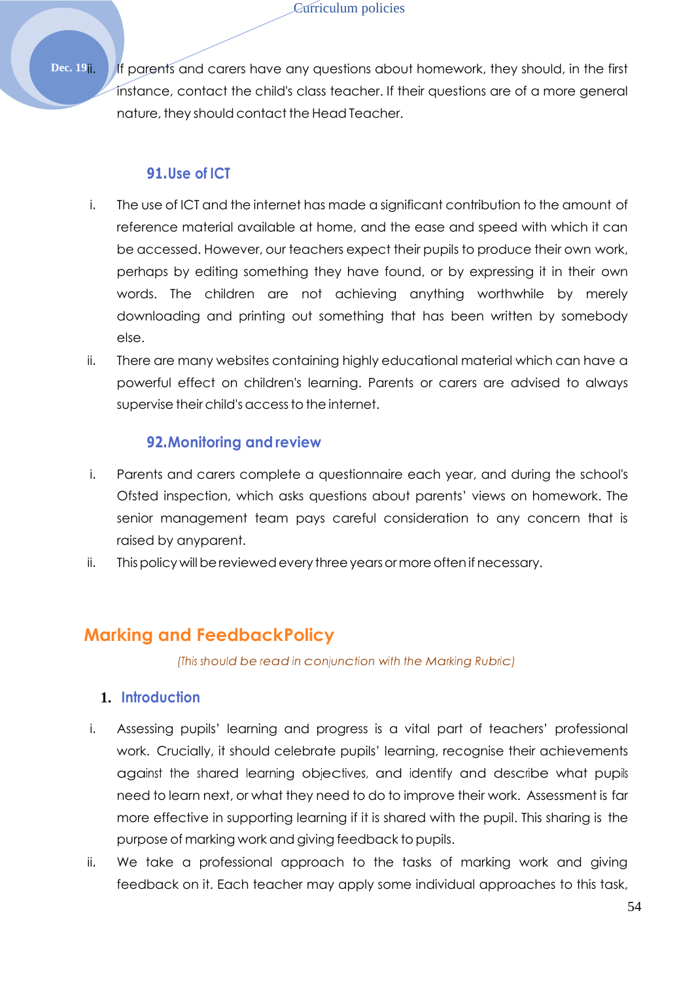Dec. 19ii. If parents and carers have any questions about homework, they should, in the first instance, contact the child's class teacher. If their questions are of a more general nature, they should contact the Head Teacher.

## **91.Use of ICT**

- i. The use of ICT and the internet has made a significant contribution to the amount of reference material available at home, and the ease and speed with which it can be accessed. However, our teachers expect their pupils to produce their own work, perhaps by editing something they have found, or by expressing it in their own words. The children are not achieving anything worthwhile by merely downloading and printing out something that has been written by somebody else.
- ii. There are many websites containing highly educational material which can have a powerful effect on children's learning. Parents or carers are advised to always supervise their child's access to the internet.

## **92.Monitoring and review**

- i. Parents and carers complete a questionnaire each year, and during the school's Ofsted inspection, which asks questions about parents' views on homework. The senior management team pays careful consideration to any concern that is raised by anyparent.
- ii. This policy will be reviewed every three years or more often if necessary.

# **Marking and FeedbackPolicy**

*(This should be read in conjunction with the Marking Rubric)*

## **1. Introduction**

- i. Assessing pupils' learning and progress is a vital part of teachers' professional work. Crucially, it should celebrate pupils' learning, recognise their achievements against the shared learning objectives, and identify and describe what pupils need to learn next, or what they need to do to improve their work. Assessment is far more effective in supporting learning if it is shared with the pupil. This sharing is the purpose of marking work and giving feedback to pupils.
- ii. We take a professional approach to the tasks of marking work and giving feedback on it. Each teacher may apply some individual approaches to this task,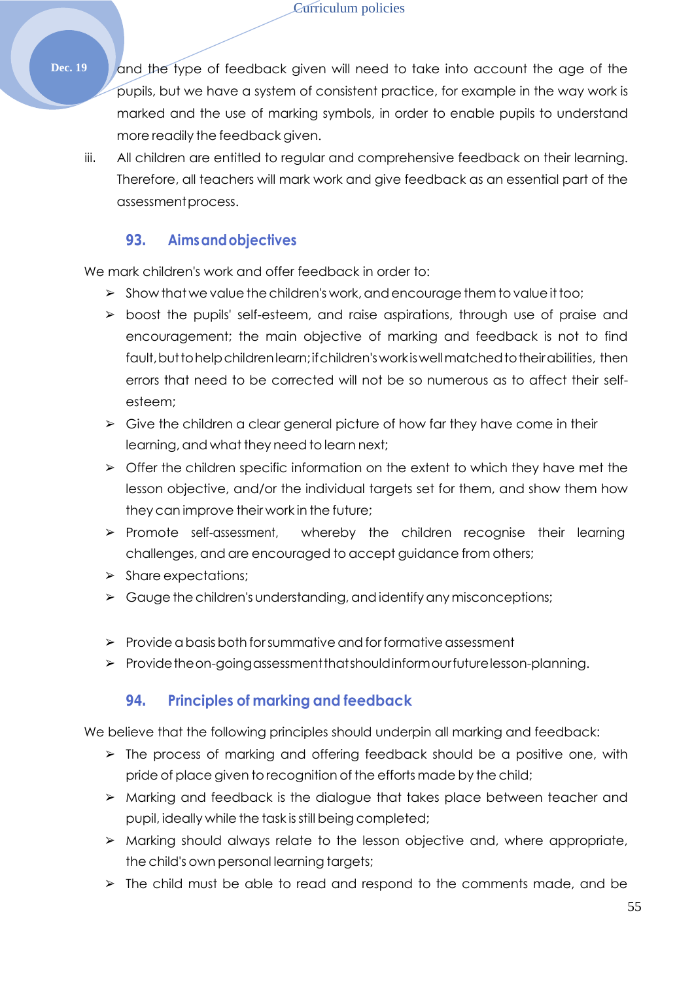**Dec. 19** and the type of feedback given will need to take into account the age of the pupils, but we have a system of consistent practice, for example in the way work is marked and the use of marking symbols, in order to enable pupils to understand more readily the feedback given.

iii. All children are entitled to regular and comprehensive feedback on their learning. Therefore, all teachers will mark work and give feedback as an essential part of the assessmentprocess.

## **93. Aimsandobjectives**

We mark children's work and offer feedback in order to:

- $\triangleright$  Show that we value the children's work, and encourage them to value it too;
- ➢ boost the pupils' self-esteem, and raise aspirations, through use of praise and encouragement; the main objective of marking and feedback is not to find fault, but to help children learn; if children's work is well matched to their abilities, then errors that need to be corrected will not be so numerous as to affect their selfesteem;
- $\triangleright$  Give the children a clear general picture of how far they have come in their learning, and what they need to learn next;
- $\triangleright$  Offer the children specific information on the extent to which they have met the lesson objective, and/or the individual targets set for them, and show them how they can improve their work in the future;
- ➢ Promote self-assessment, whereby the children recognise their learning challenges, and are encouraged to accept guidance from others;
- ➢ Share expectations;
- $\triangleright$  Gauge the children's understanding, and identify any misconceptions;
- $\triangleright$  Provide a basis both for summative and for formative assessment
- ➢ Providetheon-goingassessmentthatshouldinformourfuturelesson-planning.

## **94. Principles of marking and feedback**

We believe that the following principles should underpin all marking and feedback:

- ➢ The process of marking and offering feedback should be a positive one, with pride of place given torecognition of the efforts made by the child;
- ➢ Marking and feedback is the dialogue that takes place between teacher and pupil, ideally while the task isstill being completed;
- ➢ Marking should always relate to the lesson objective and, where appropriate, the child's own personal learning targets;
- ➢ The child must be able to read and respond to the comments made, and be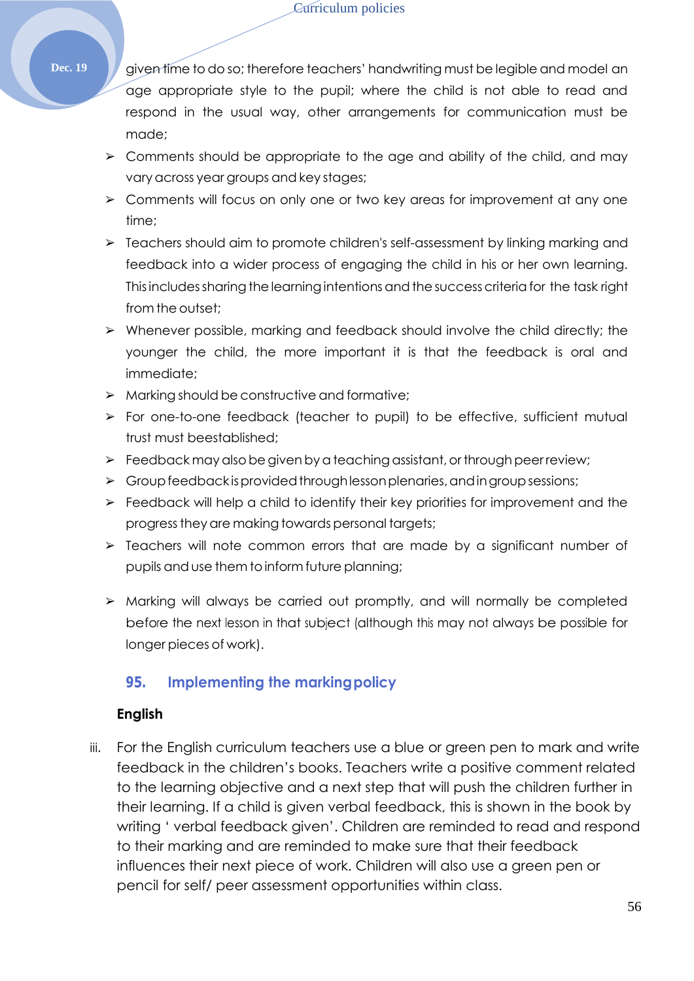**Dec. 19** given time to do so; therefore teachers' handwriting must be legible and model an age appropriate style to the pupil; where the child is not able to read and respond in the usual way, other arrangements for communication must be made;

- $\geq$  Comments should be appropriate to the age and ability of the child, and may vary across year groups and key stages;
- ➢ Comments will focus on only one or two key areas for improvement at any one time;
- ➢ Teachers should aim to promote children's self-assessment by linking marking and feedback into a wider process of engaging the child in his or her own learning. This includes sharing the learning intentions and the success criteria for the task right from the outset;
- ➢ Whenever possible, marking and feedback should involve the child directly; the younger the child, the more important it is that the feedback is oral and immediate;
- ➢ Marking should be constructive and formative;
- ➢ For one-to-one feedback (teacher to pupil) to be effective, sufficient mutual trust must beestablished;
- $\triangleright$  Feedback may also be given by a teaching assistant, or through peer review;
- $\triangleright$  Group feedback is provided through lesson plenaries, and in group sessions;
- $\triangleright$  Feedback will help a child to identify their key priorities for improvement and the progress they are making towards personal targets;
- ➢ Teachers will note common errors that are made by a significant number of pupils and use them to inform future planning;
- ➢ Marking will always be carried out promptly, and will normally be completed before the next lesson in that subject (although this may not always be possible for longer pieces of work).

## **95. Implementing the markingpolicy**

## **English**

iii. For the English curriculum teachers use a blue or green pen to mark and write feedback in the children's books. Teachers write a positive comment related to the learning objective and a next step that will push the children further in their learning. If a child is given verbal feedback, this is shown in the book by writing ' verbal feedback given'. Children are reminded to read and respond to their marking and are reminded to make sure that their feedback influences their next piece of work. Children will also use a green pen or pencil for self/ peer assessment opportunities within class.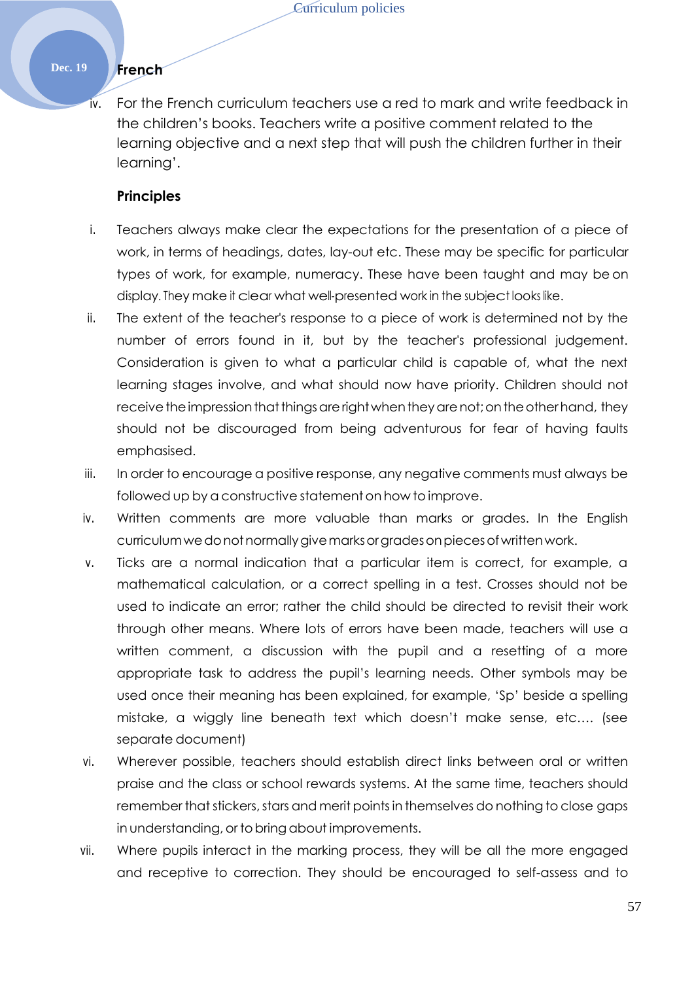## **Dec. 19 French**

iv. For the French curriculum teachers use a red to mark and write feedback in the children's books. Teachers write a positive comment related to the learning objective and a next step that will push the children further in their learning'.

#### **Principles**

- i. Teachers always make clear the expectations for the presentation of a piece of work, in terms of headings, dates, lay-out etc. These may be specific for particular types of work, for example, numeracy. These have been taught and may be on display. They make it clear what well-presented work in the subject looks like.
- ii. The extent of the teacher's response to a piece of work is determined not by the number of errors found in it, but by the teacher's professional judgement. Consideration is given to what a particular child is capable of, what the next learning stages involve, and what should now have priority. Children should not receive the impression that things are right when they are not; on the other hand, they should not be discouraged from being adventurous for fear of having faults emphasised.
- iii. In order to encourage a positive response, any negative comments must always be followed up by a constructive statement on how to improve.
- iv. Written comments are more valuable than marks or grades. In the English curriculumwedonotnormallygivemarksorgradesonpiecesofwrittenwork.
- v. Ticks are a normal indication that a particular item is correct, for example, a mathematical calculation, or a correct spelling in a test. Crosses should not be used to indicate an error; rather the child should be directed to revisit their work through other means. Where lots of errors have been made, teachers will use a written comment, a discussion with the pupil and a resetting of a more appropriate task to address the pupil's learning needs. Other symbols may be used once their meaning has been explained, for example, 'Sp' beside a spelling mistake, a wiggly line beneath text which doesn't make sense, etc…. (see separate document)
- vi. Wherever possible, teachers should establish direct links between oral or written praise and the class or school rewards systems. At the same time, teachers should remember that stickers, stars and merit points in themselves do nothing to close gaps in understanding, or to bring about improvements.
- vii. Where pupils interact in the marking process, they will be all the more engaged and receptive to correction. They should be encouraged to self-assess and to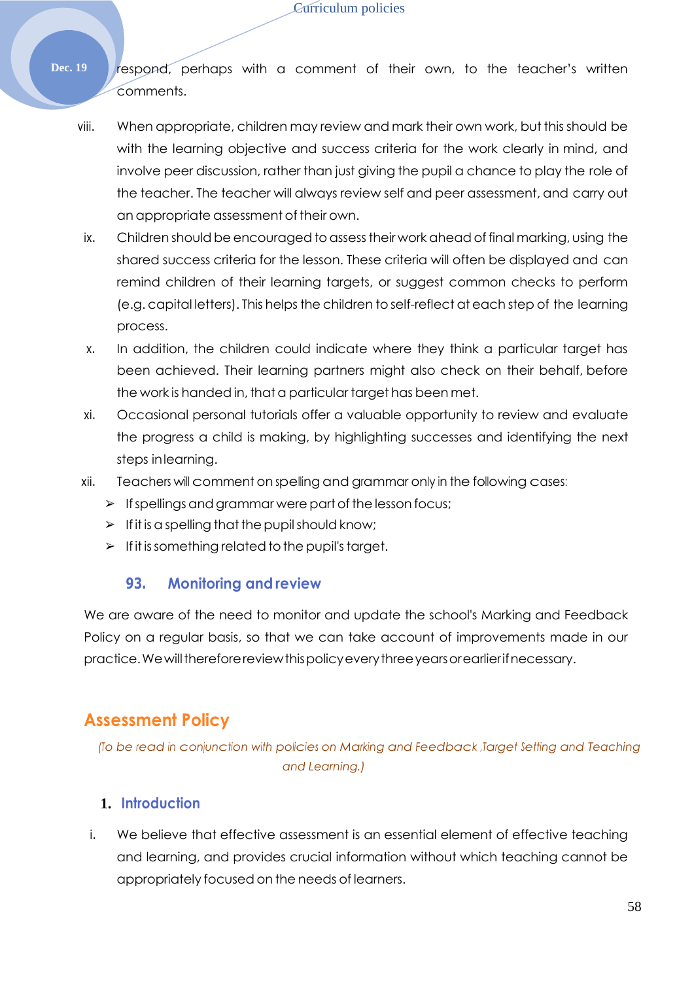#### Curriculum policies

- Dec. 19 **respond**, perhaps with a comment of their own, to the teacher's written comments.
	- viii. When appropriate, children may review and mark their own work, but this should be with the learning objective and success criteria for the work clearly in mind, and involve peer discussion, rather than just giving the pupil a chance to play the role of the teacher. The teacher will always review self and peer assessment, and carry out an appropriate assessment of their own.
	- ix. Children should be encouraged to assess their work ahead of final marking, using the shared success criteria for the lesson. These criteria will often be displayed and can remind children of their learning targets, or suggest common checks to perform (e.g. capital letters). This helps the children to self-reflect at each step of the learning process.
	- x. In addition, the children could indicate where they think a particular target has been achieved. Their learning partners might also check on their behalf, before the work is handed in, that a particular target has been met.
	- xi. Occasional personal tutorials offer a valuable opportunity to review and evaluate the progress a child is making, by highlighting successes and identifying the next steps inlearning.
	- xii. Teachers will comment on spelling and grammar only in the following cases:
		- $\triangleright$  If spellings and grammar were part of the lesson focus;
		- $\triangleright$  If it is a spelling that the pupil should know;
		- $\triangleright$  If it is something related to the pupil's target.

## **93. Monitoring and review**

We are aware of the need to monitor and update the school's Marking and Feedback Policy on a regular basis, so that we can take account of improvements made in our practice.Wewillthereforereviewthispolicyeverythreeyearsorearlierifnecessary.

# **Assessment Policy**

*(To be read in conjunction with policies on Marking and Feedback ,Target Setting and Teaching and Learning.)*

## **1. Introduction**

i. We believe that effective assessment is an essential element of effective teaching and learning, and provides crucial information without which teaching cannot be appropriately focused on the needs of learners.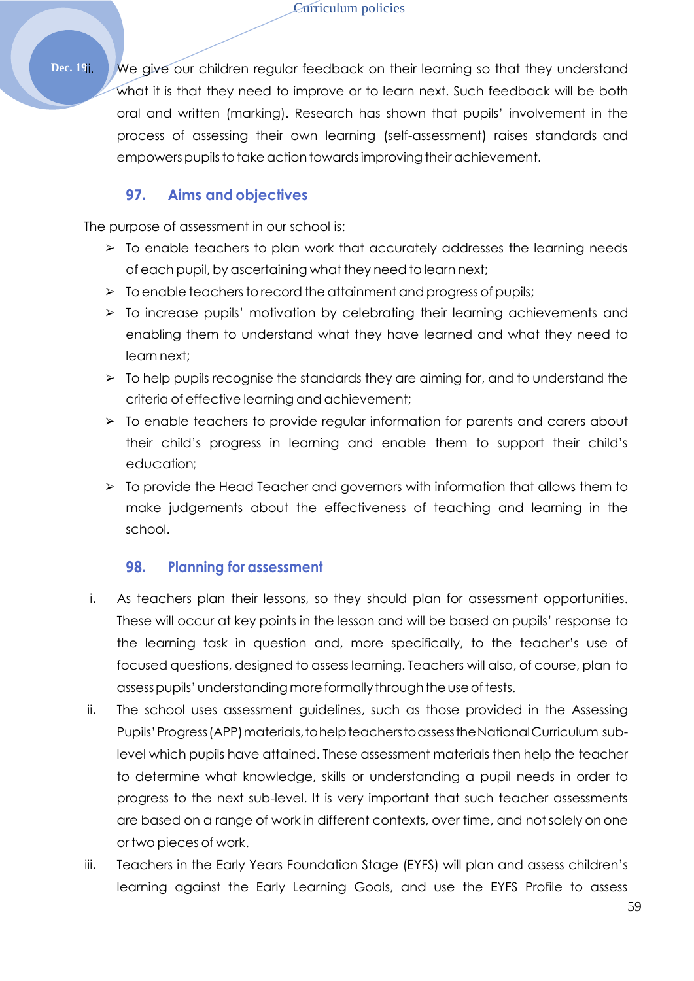Dec. 19ii. We give our children regular feedback on their learning so that they understand what it is that they need to improve or to learn next. Such feedback will be both oral and written (marking). Research has shown that pupils' involvement in the process of assessing their own learning (self-assessment) raises standards and empowers pupils to take action towards improving their achievement.

## **97. Aims and objectives**

The purpose of assessment in our school is:

- ➢ To enable teachers to plan work that accurately addresses the learning needs of each pupil, by ascertaining what they need to learn next;
- $\triangleright$  To enable teachers to record the attainment and progress of pupils;
- ➢ To increase pupils' motivation by celebrating their learning achievements and enabling them to understand what they have learned and what they need to learn next;
- ➢ To help pupils recognise the standards they are aiming for, and to understand the criteria of effective learning and achievement;
- $\geq$  To enable teachers to provide regular information for parents and carers about their child's progress in learning and enable them to support their child's education;
- ➢ To provide the Head Teacher and governors with information that allows them to make judgements about the effectiveness of teaching and learning in the school.

## **98. Planning for assessment**

- i. As teachers plan their lessons, so they should plan for assessment opportunities. These will occur at key points in the lesson and will be based on pupils' response to the learning task in question and, more specifically, to the teacher's use of focused questions, designed to assess learning. Teachers will also, of course, plan to assess pupils' understanding more formally through the use of tests.
- ii. The school uses assessment guidelines, such as those provided in the Assessing Pupils' Progress (APP) materials, to help teachers to assess the National Curriculum sublevel which pupils have attained. These assessment materials then help the teacher to determine what knowledge, skills or understanding a pupil needs in order to progress to the next sub-level. It is very important that such teacher assessments are based on a range of work in different contexts, over time, and notsolely on one or two pieces of work.
- iii. Teachers in the Early Years Foundation Stage (EYFS) will plan and assess children's learning against the Early Learning Goals, and use the EYFS Profile to assess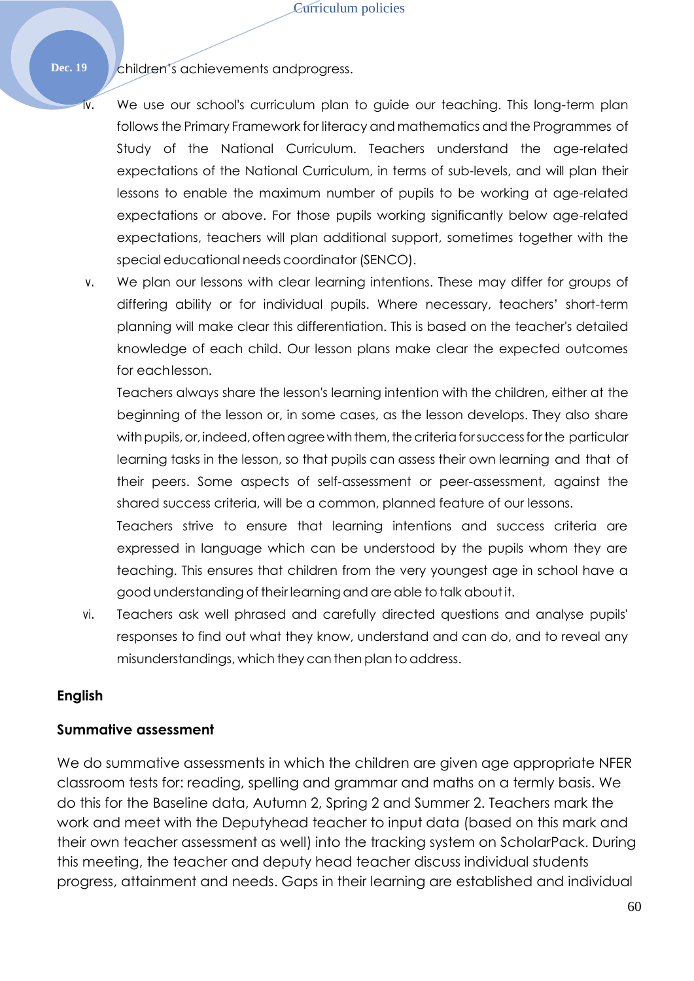Dec. 19 **Children's achievements and progress.** 

- iv. We use our school's curriculum plan to guide our teaching. This long-term plan follows the Primary Framework for literacy and mathematics and the Programmes of Study of the National Curriculum. Teachers understand the age-related expectations of the National Curriculum, in terms of sub-levels, and will plan their lessons to enable the maximum number of pupils to be working at age-related expectations or above. For those pupils working significantly below age-related expectations, teachers will plan additional support, sometimes together with the special educational needs coordinator (SENCO).
- v. We plan our lessons with clear learning intentions. These may differ for groups of differing ability or for individual pupils. Where necessary, teachers' short-term planning will make clear this differentiation. This is based on the teacher's detailed knowledge of each child. Our lesson plans make clear the expected outcomes for eachlesson.

Teachers always share the lesson's learning intention with the children, either at the beginning of the lesson or, in some cases, as the lesson develops. They also share with pupils, or, indeed, often agree with them, the criteria for success for the particular learning tasks in the lesson, so that pupils can assess their own learning and that of their peers. Some aspects of self-assessment or peer-assessment, against the shared success criteria, will be a common, planned feature of our lessons.

Teachers strive to ensure that learning intentions and success criteria are expressed in language which can be understood by the pupils whom they are teaching. This ensures that children from the very youngest age in school have a good understanding of their learning and areable to talk aboutit.

vi. Teachers ask well phrased and carefully directed questions and analyse pupils' responses to find out what they know, understand and can do, and to reveal any misunderstandings, which they can then plan to address.

#### **English**

#### **Summative assessment**

We do summative assessments in which the children are given age appropriate NFER classroom tests for: reading, spelling and grammar and maths on a termly basis. We do this for the Baseline data, Autumn 2, Spring 2 and Summer 2. Teachers mark the work and meet with the Deputyhead teacher to input data (based on this mark and their own teacher assessment as well) into the tracking system on ScholarPack. During this meeting, the teacher and deputy head teacher discuss individual students progress, attainment and needs. Gaps in their learning are established and individual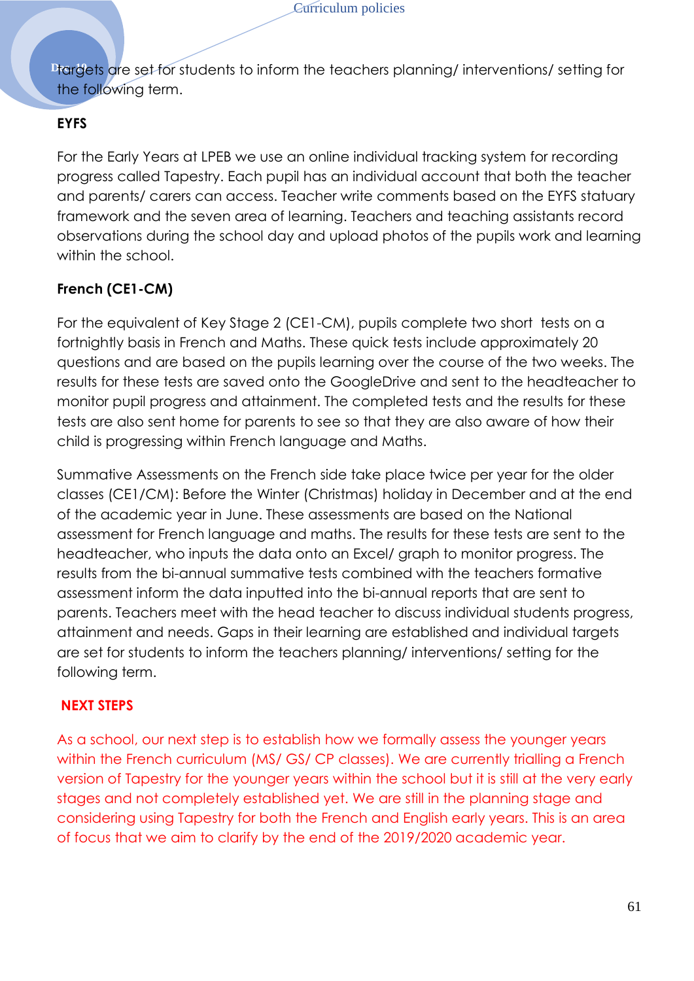**Drangets are set for students to inform the teachers planning/ interventions/ setting for** the following term.

## **EYFS**

For the Early Years at LPEB we use an online individual tracking system for recording progress called Tapestry. Each pupil has an individual account that both the teacher and parents/ carers can access. Teacher write comments based on the EYFS statuary framework and the seven area of learning. Teachers and teaching assistants record observations during the school day and upload photos of the pupils work and learning within the school.

## **French (CE1-CM)**

For the equivalent of Key Stage 2 (CE1-CM), pupils complete two short tests on a fortnightly basis in French and Maths. These quick tests include approximately 20 questions and are based on the pupils learning over the course of the two weeks. The results for these tests are saved onto the GoogleDrive and sent to the headteacher to monitor pupil progress and attainment. The completed tests and the results for these tests are also sent home for parents to see so that they are also aware of how their child is progressing within French language and Maths.

Summative Assessments on the French side take place twice per year for the older classes (CE1/CM): Before the Winter (Christmas) holiday in December and at the end of the academic year in June. These assessments are based on the National assessment for French language and maths. The results for these tests are sent to the headteacher, who inputs the data onto an Excel/ graph to monitor progress. The results from the bi-annual summative tests combined with the teachers formative assessment inform the data inputted into the bi-annual reports that are sent to parents. Teachers meet with the head teacher to discuss individual students progress, attainment and needs. Gaps in their learning are established and individual targets are set for students to inform the teachers planning/ interventions/ setting for the following term.

## **NEXT STEPS**

As a school, our next step is to establish how we formally assess the younger years within the French curriculum (MS/ GS/ CP classes). We are currently trialling a French version of Tapestry for the younger years within the school but it is still at the very early stages and not completely established yet. We are still in the planning stage and considering using Tapestry for both the French and English early years. This is an area of focus that we aim to clarify by the end of the 2019/2020 academic year.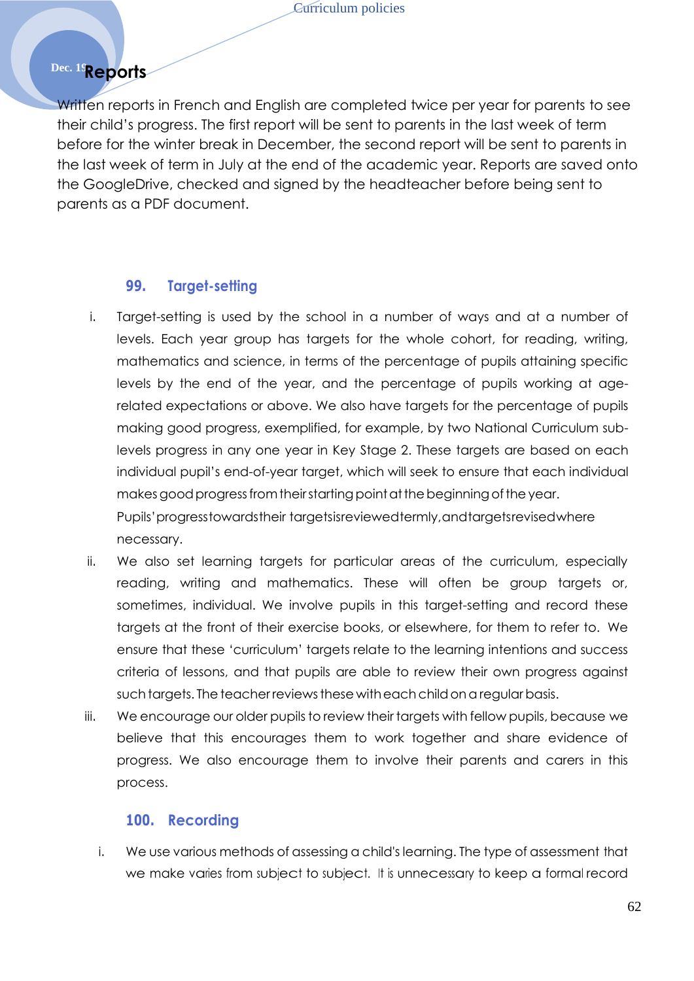# **Dec. 19Reports**

Written reports in French and English are completed twice per year for parents to see their child's progress. The first report will be sent to parents in the last week of term before for the winter break in December, the second report will be sent to parents in the last week of term in July at the end of the academic year. Reports are saved onto the GoogleDrive, checked and signed by the headteacher before being sent to parents as a PDF document.

#### **99. Target-setting**

- i. Target-setting is used by the school in a number of ways and at a number of levels. Each year group has targets for the whole cohort, for reading, writing, mathematics and science, in terms of the percentage of pupils attaining specific levels by the end of the year, and the percentage of pupils working at agerelated expectations or above. We also have targets for the percentage of pupils making good progress, exemplified, for example, by two National Curriculum sublevels progress in any one year in Key Stage 2. These targets are based on each individual pupil's end-of-year target, which will seek to ensure that each individual makes good progress from their starting point at the beginning of the year. Pupils'progresstowardstheir targetsisreviewedtermly,andtargetsrevisedwhere necessary.
- ii. We also set learning targets for particular areas of the curriculum, especially reading, writing and mathematics. These will often be group targets or, sometimes, individual. We involve pupils in this target-setting and record these targets at the front of their exercise books, or elsewhere, for them to refer to. We ensure that these 'curriculum' targets relate to the learning intentions and success criteria of lessons, and that pupils are able to review their own progress against such targets. The teacher reviews these with each child on a regular basis.
- iii. We encourage our older pupils to review their targets with fellow pupils, because we believe that this encourages them to work together and share evidence of progress. We also encourage them to involve their parents and carers in this process.

#### **100. Recording**

i. We use various methods of assessing a child's learning. The type of assessment that we make varies from subject to subject. It is unnecessary to keep a formal record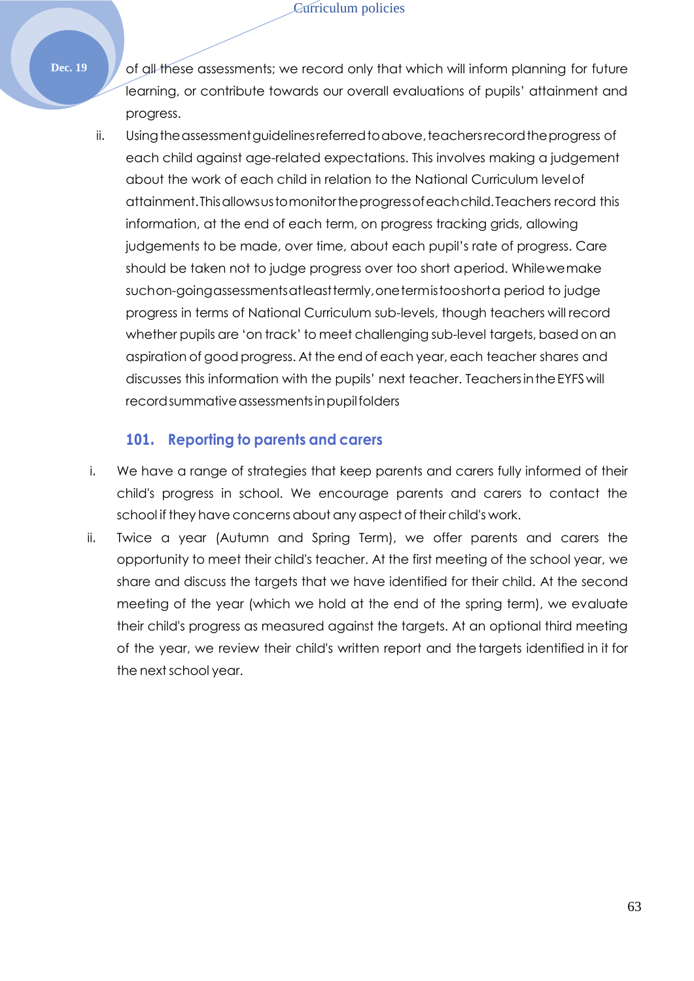**Dec. 19** of all these assessments; we record only that which will inform planning for future learning, or contribute towards our overall evaluations of pupils' attainment and progress.

ii. Using the assessment guidelines referred to above, teachers record the progress of each child against age-related expectations. This involves making a judgement about the work of each child in relation to the National Curriculum levelof attainment.Thisallowsustomonitortheprogressofeachchild.Teachers record this information, at the end of each term, on progress tracking grids, allowing judgements to be made, over time, about each pupil's rate of progress. Care should be taken not to judge progress over too short aperiod. Whilewemake suchon-goingassessmentsatleasttermly,onetermistooshorta period to judge progress in terms of National Curriculum sub-levels, though teachers will record whether pupils are 'on track' to meet challenging sub-level targets, based on an aspiration of good progress. At the end of each year, each teacher shares and discusses this information with the pupils' next teacher. TeachersintheEYFSwill record summative assessments in pupil folders

## **101. Reporting to parents and carers**

- i. We have a range of strategies that keep parents and carers fully informed of their child's progress in school. We encourage parents and carers to contact the school if they have concerns about any aspect of their child's work.
- ii. Twice a year (Autumn and Spring Term), we offer parents and carers the opportunity to meet their child's teacher. At the first meeting of the school year, we share and discuss the targets that we have identified for their child. At the second meeting of the year (which we hold at the end of the spring term), we evaluate their child's progress as measured against the targets. At an optional third meeting of the year, we review their child's written report and thetargets identified in it for the next school year.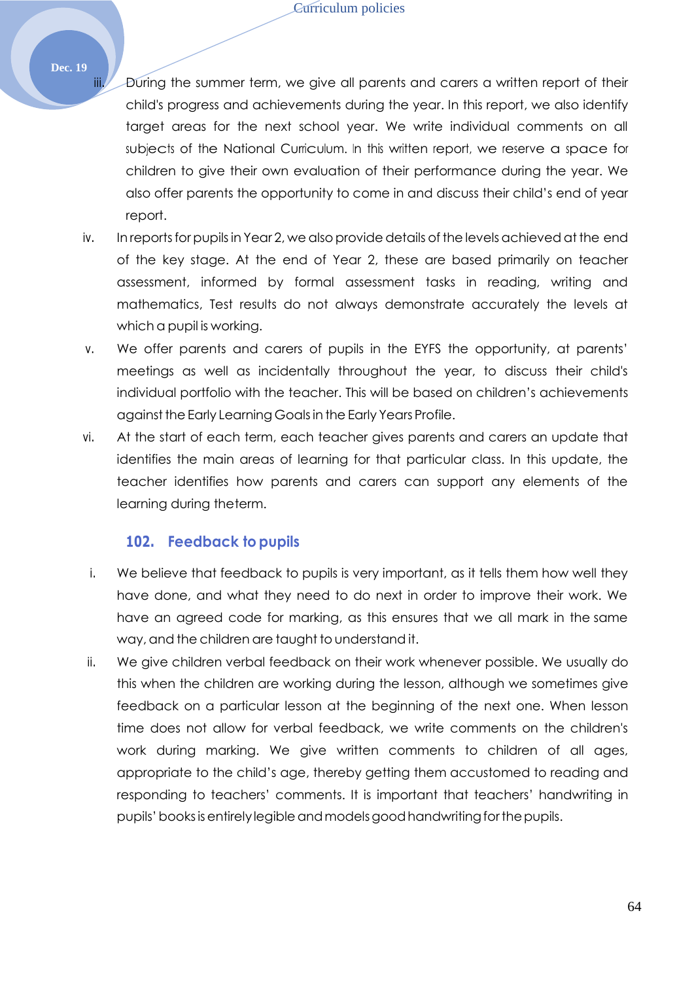- iii. During the summer term, we give all parents and carers a written report of their child's progress and achievements during the year. In this report, we also identify target areas for the next school year. We write individual comments on all subjects of the National Curriculum. In this written report, we reserve a space for children to give their own evaluation of their performance during the year. We also offer parents the opportunity to come in and discuss their child's end of year report.
- iv. In reports for pupils in Year 2, we also provide details of the levels achieved at the end of the key stage. At the end of Year 2, these are based primarily on teacher assessment, informed by formal assessment tasks in reading, writing and mathematics, Test results do not always demonstrate accurately the levels at which a pupil is working.
- v. We offer parents and carers of pupils in the EYFS the opportunity, at parents' meetings as well as incidentally throughout the year, to discuss their child's individual portfolio with the teacher. This will be based on children's achievements against the Early Learning Goals in the Early Years Profile.
- vi. At the start of each term, each teacher gives parents and carers an update that identifies the main areas of learning for that particular class. In this update, the teacher identifies how parents and carers can support any elements of the learning during theterm.

#### **102. Feedback to pupils**

- i. We believe that feedback to pupils is very important, as it tells them how well they have done, and what they need to do next in order to improve their work. We have an agreed code for marking, as this ensures that we all mark in the same way, and the children are taught to understand it.
- ii. We give children verbal feedback on their work whenever possible. We usually do this when the children are working during the lesson, although we sometimes give feedback on a particular lesson at the beginning of the next one. When lesson time does not allow for verbal feedback, we write comments on the children's work during marking. We give written comments to children of all ages, appropriate to the child's age, thereby getting them accustomed to reading and responding to teachers' comments. It is important that teachers' handwriting in pupils' books is entirely legible and models good handwriting for the pupils.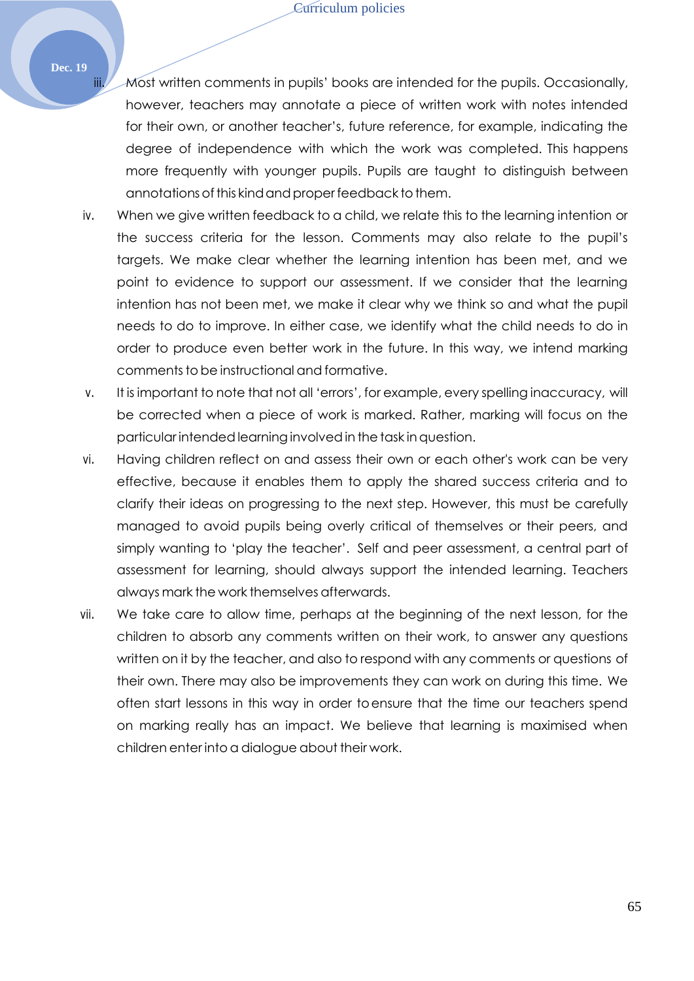iii. Most written comments in pupils' books are intended for the pupils. Occasionally, however, teachers may annotate a piece of written work with notes intended for their own, or another teacher's, future reference, for example, indicating the degree of independence with which the work was completed. This happens more frequently with younger pupils. Pupils are taught to distinguish between annotations of this kind and proper feedback to them.

- iv. When we give written feedback to a child, we relate this to the learning intention or the success criteria for the lesson. Comments may also relate to the pupil's targets. We make clear whether the learning intention has been met, and we point to evidence to support our assessment. If we consider that the learning intention has not been met, we make it clear why we think so and what the pupil needs to do to improve. In either case, we identify what the child needs to do in order to produce even better work in the future. In this way, we intend marking comments to be instructional and formative.
- v. It is important to note that not all 'errors', for example, every spelling inaccuracy, will be corrected when a piece of work is marked. Rather, marking will focus on the particular intendedlearninginvolvedin the task inquestion.
- vi. Having children reflect on and assess their own or each other's work can be very effective, because it enables them to apply the shared success criteria and to clarify their ideas on progressing to the next step. However, this must be carefully managed to avoid pupils being overly critical of themselves or their peers, and simply wanting to 'play the teacher'. Self and peer assessment, a central part of assessment for learning, should always support the intended learning. Teachers always mark the work themselves afterwards.
- vii. We take care to allow time, perhaps at the beginning of the next lesson, for the children to absorb any comments written on their work, to answer any questions written on it by the teacher, and also to respond with any comments or questions of their own. There may also be improvements they can work on during this time. We often start lessons in this way in order toensure that the time our teachers spend on marking really has an impact. We believe that learning is maximised when children enter into a dialogue about their work.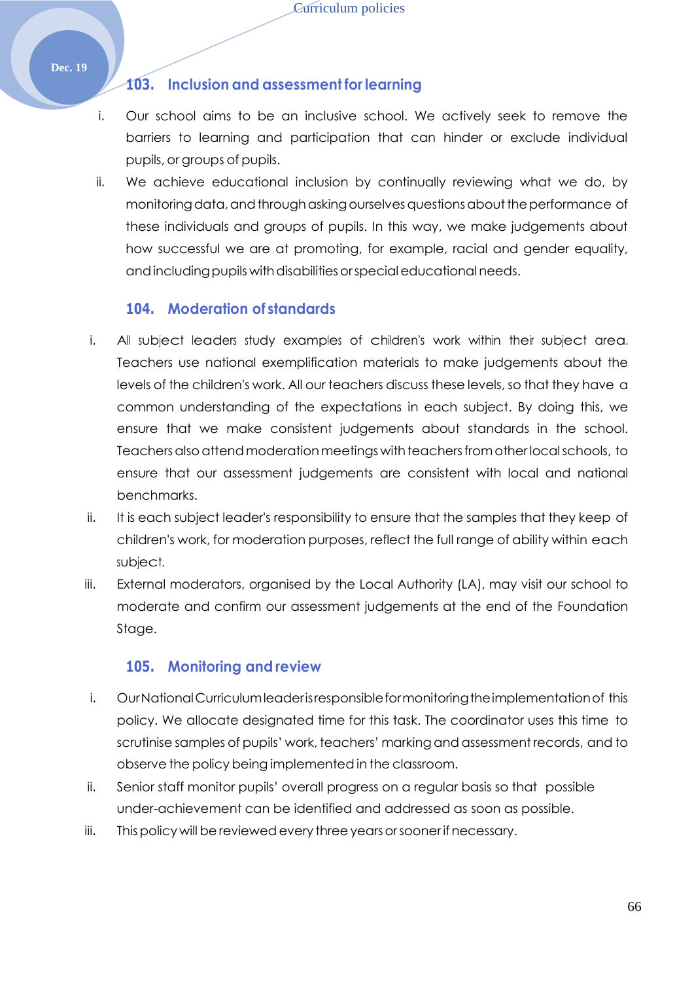#### **103. Inclusion and assessment for learning**

- i. Our school aims to be an inclusive school. We actively seek to remove the barriers to learning and participation that can hinder or exclude individual pupils, or groups of pupils.
- ii. We achieve educational inclusion by continually reviewing what we do, by monitoring data, and through asking ourselves questions about the performance of these individuals and groups of pupils. In this way, we make judgements about how successful we are at promoting, for example, racial and gender equality, and including pupils with disabilities or special educational needs.

#### **104. Moderation of standards**

- i. All subject leaders study examples of children's work within their subject area. Teachers use national exemplification materials to make judgements about the levels of the children's work. All our teachers discuss these levels, so that they have a common understanding of the expectations in each subject. By doing this, we ensure that we make consistent judgements about standards in the school. Teachers also attend moderation meetings with teachers from other local schools, to ensure that our assessment judgements are consistent with local and national benchmarks.
- ii. It is each subject leader's responsibility to ensure that the samples that they keep of children's work, for moderation purposes, reflect the full range of ability within each subject.
- iii. External moderators, organised by the Local Authority (LA), may visit our school to moderate and confirm our assessment judgements at the end of the Foundation Stage.

#### **105. Monitoring and review**

- i. OurNationalCurriculumleaderisresponsibleformonitoringtheimplementationof this policy. We allocate designated time for this task. The coordinator uses this time to scrutinise samples of pupils' work, teachers' marking and assessment records, and to observe the policy being implemented in the classroom.
- ii. Senior staff monitor pupils' overall progress on a regular basis so that possible under-achievement can be identified and addressed as soon as possible.
- iii. This policy will be reviewed every three years or sooner if necessary.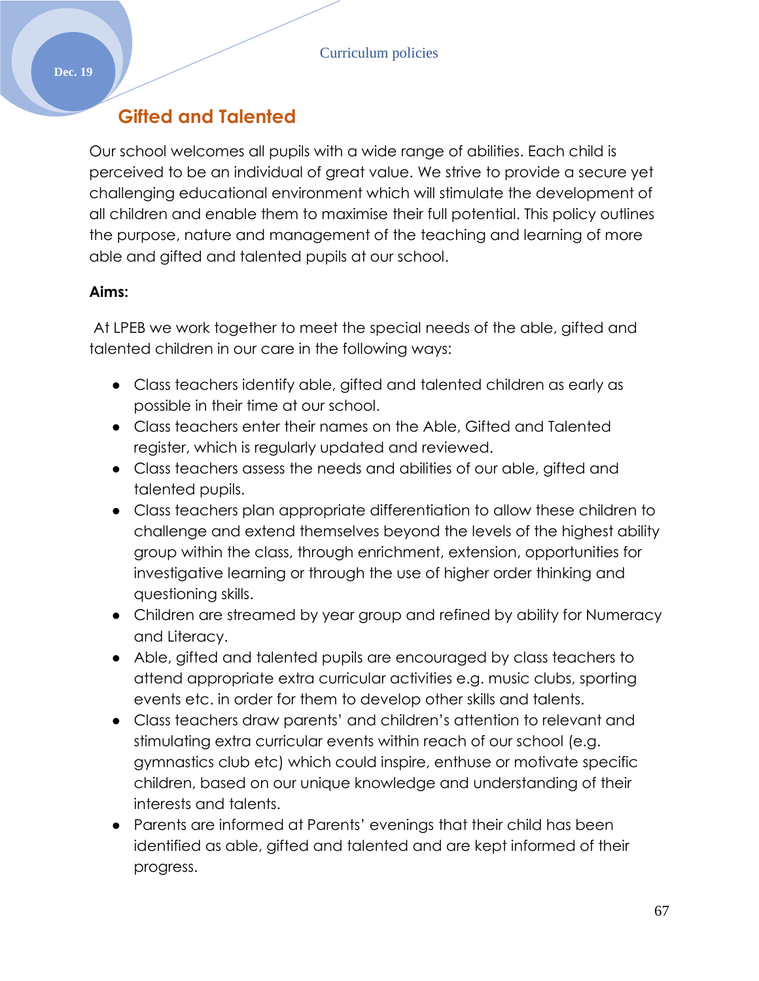# **Gifted and Talented**

Our school welcomes all pupils with a wide range of abilities. Each child is perceived to be an individual of great value. We strive to provide a secure yet challenging educational environment which will stimulate the development of all children and enable them to maximise their full potential. This policy outlines the purpose, nature and management of the teaching and learning of more able and gifted and talented pupils at our school.

#### **Aims:**

At LPEB we work together to meet the special needs of the able, gifted and talented children in our care in the following ways:

- Class teachers identify able, gifted and talented children as early as possible in their time at our school.
- Class teachers enter their names on the Able, Gifted and Talented register, which is regularly updated and reviewed.
- Class teachers assess the needs and abilities of our able, gifted and talented pupils.
- Class teachers plan appropriate differentiation to allow these children to challenge and extend themselves beyond the levels of the highest ability group within the class, through enrichment, extension, opportunities for investigative learning or through the use of higher order thinking and questioning skills.
- Children are streamed by year group and refined by ability for Numeracy and Literacy.
- Able, gifted and talented pupils are encouraged by class teachers to attend appropriate extra curricular activities e.g. music clubs, sporting events etc. in order for them to develop other skills and talents.
- Class teachers draw parents' and children's attention to relevant and stimulating extra curricular events within reach of our school (e.g. gymnastics club etc) which could inspire, enthuse or motivate specific children, based on our unique knowledge and understanding of their interests and talents.
- Parents are informed at Parents' evenings that their child has been identified as able, gifted and talented and are kept informed of their progress.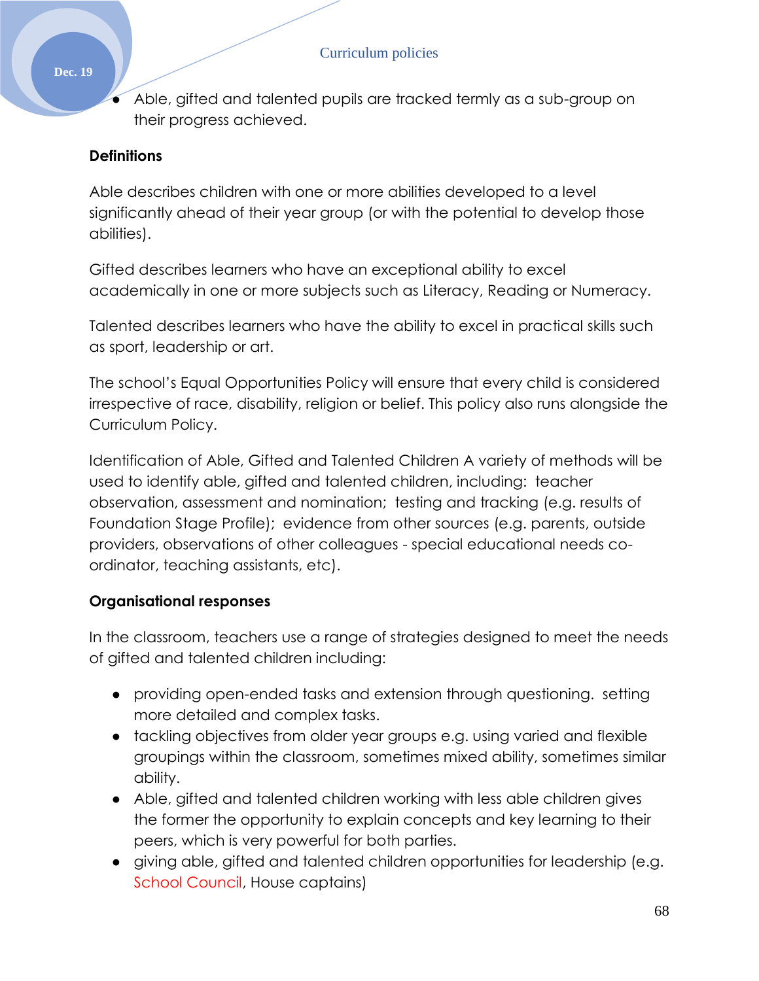Able, gifted and talented pupils are tracked termly as a sub-group on their progress achieved.

## **Definitions**

Able describes children with one or more abilities developed to a level significantly ahead of their year group (or with the potential to develop those abilities).

Gifted describes learners who have an exceptional ability to excel academically in one or more subjects such as Literacy, Reading or Numeracy.

Talented describes learners who have the ability to excel in practical skills such as sport, leadership or art.

The school's Equal Opportunities Policy will ensure that every child is considered irrespective of race, disability, religion or belief. This policy also runs alongside the Curriculum Policy.

Identification of Able, Gifted and Talented Children A variety of methods will be used to identify able, gifted and talented children, including: teacher observation, assessment and nomination; testing and tracking (e.g. results of Foundation Stage Profile); evidence from other sources (e.g. parents, outside providers, observations of other colleagues - special educational needs coordinator, teaching assistants, etc).

## **Organisational responses**

In the classroom, teachers use a range of strategies designed to meet the needs of gifted and talented children including:

- providing open-ended tasks and extension through questioning. setting more detailed and complex tasks.
- tackling objectives from older year groups e.g. using varied and flexible groupings within the classroom, sometimes mixed ability, sometimes similar ability.
- Able, gifted and talented children working with less able children gives the former the opportunity to explain concepts and key learning to their peers, which is very powerful for both parties.
- giving able, gifted and talented children opportunities for leadership (e.g. School Council, House captains)

#### **Dec. 19**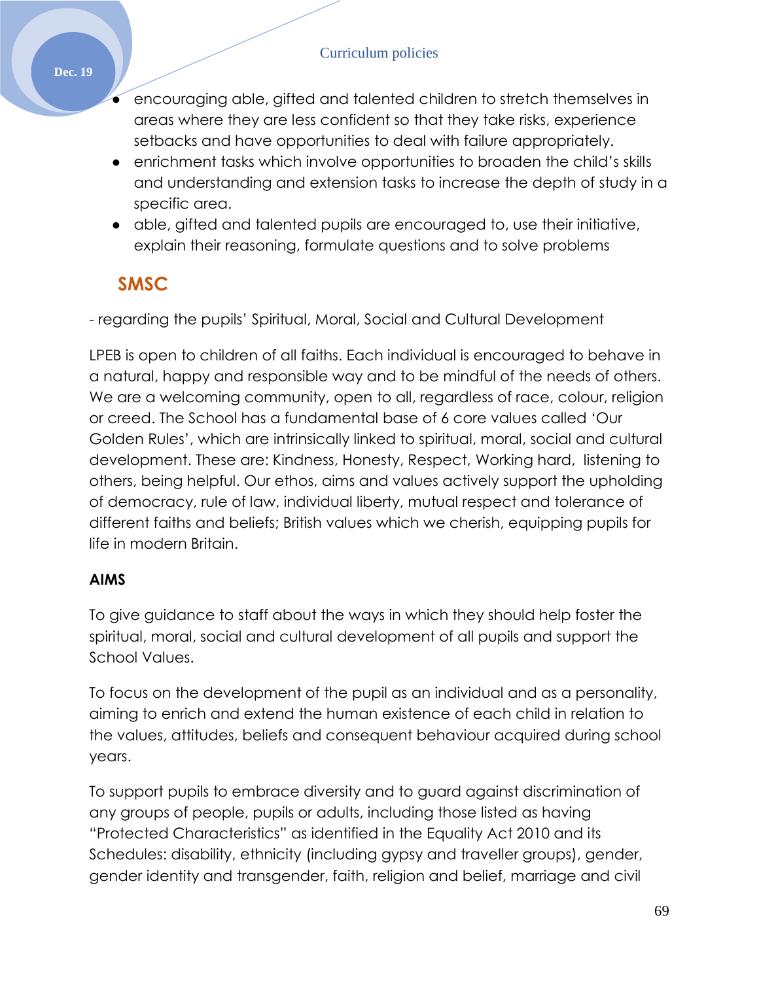#### Curriculum policies

- encouraging able, gifted and talented children to stretch themselves in areas where they are less confident so that they take risks, experience setbacks and have opportunities to deal with failure appropriately.
- enrichment tasks which involve opportunities to broaden the child's skills and understanding and extension tasks to increase the depth of study in a specific area.
- able, gifted and talented pupils are encouraged to, use their initiative, explain their reasoning, formulate questions and to solve problems

# **SMSC**

- regarding the pupils' Spiritual, Moral, Social and Cultural Development

LPEB is open to children of all faiths. Each individual is encouraged to behave in a natural, happy and responsible way and to be mindful of the needs of others. We are a welcoming community, open to all, regardless of race, colour, religion or creed. The School has a fundamental base of 6 core values called 'Our Golden Rules', which are intrinsically linked to spiritual, moral, social and cultural development. These are: Kindness, Honesty, Respect, Working hard, listening to others, being helpful. Our ethos, aims and values actively support the upholding of democracy, rule of law, individual liberty, mutual respect and tolerance of different faiths and beliefs; British values which we cherish, equipping pupils for life in modern Britain.

## **AIMS**

To give guidance to staff about the ways in which they should help foster the spiritual, moral, social and cultural development of all pupils and support the School Values.

To focus on the development of the pupil as an individual and as a personality, aiming to enrich and extend the human existence of each child in relation to the values, attitudes, beliefs and consequent behaviour acquired during school years.

To support pupils to embrace diversity and to guard against discrimination of any groups of people, pupils or adults, including those listed as having "Protected Characteristics" as identified in the Equality Act 2010 and its Schedules: disability, ethnicity (including gypsy and traveller groups), gender, gender identity and transgender, faith, religion and belief, marriage and civil

#### **Dec. 19**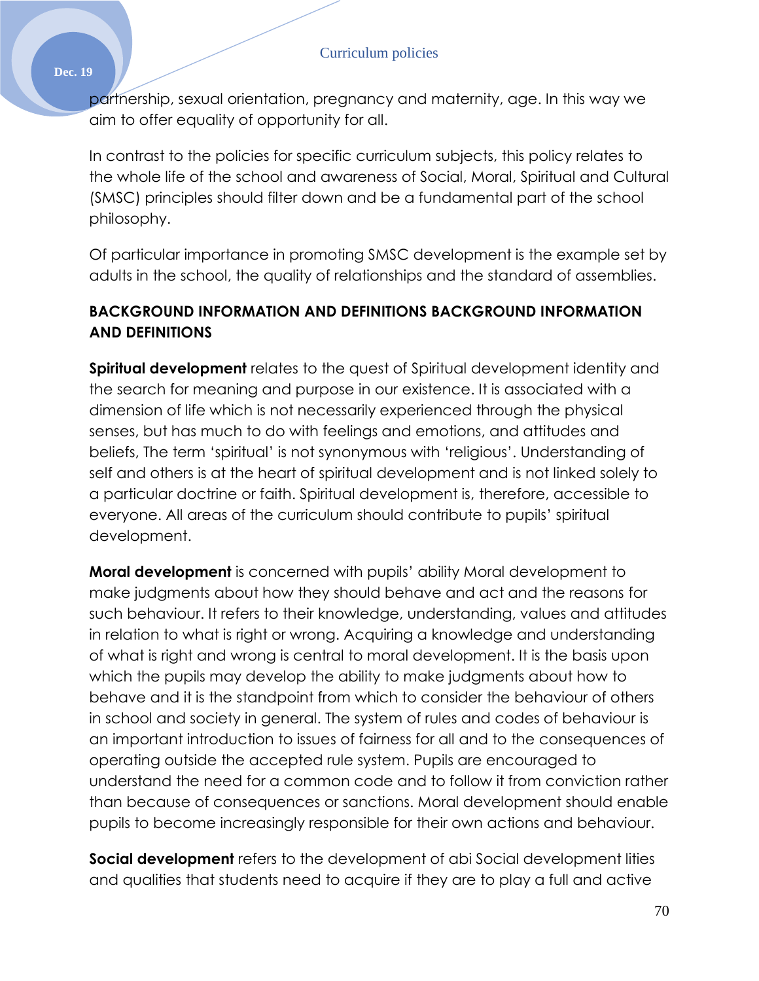partnership, sexual orientation, pregnancy and maternity, age. In this way we aim to offer equality of opportunity for all.

In contrast to the policies for specific curriculum subjects, this policy relates to the whole life of the school and awareness of Social, Moral, Spiritual and Cultural (SMSC) principles should filter down and be a fundamental part of the school philosophy.

Of particular importance in promoting SMSC development is the example set by adults in the school, the quality of relationships and the standard of assemblies.

## **BACKGROUND INFORMATION AND DEFINITIONS BACKGROUND INFORMATION AND DEFINITIONS**

**Spiritual development** relates to the quest of Spiritual development identity and the search for meaning and purpose in our existence. It is associated with a dimension of life which is not necessarily experienced through the physical senses, but has much to do with feelings and emotions, and attitudes and beliefs, The term 'spiritual' is not synonymous with 'religious'. Understanding of self and others is at the heart of spiritual development and is not linked solely to a particular doctrine or faith. Spiritual development is, therefore, accessible to everyone. All areas of the curriculum should contribute to pupils' spiritual development.

**Moral development** is concerned with pupils' ability Moral development to make judgments about how they should behave and act and the reasons for such behaviour. It refers to their knowledge, understanding, values and attitudes in relation to what is right or wrong. Acquiring a knowledge and understanding of what is right and wrong is central to moral development. It is the basis upon which the pupils may develop the ability to make judgments about how to behave and it is the standpoint from which to consider the behaviour of others in school and society in general. The system of rules and codes of behaviour is an important introduction to issues of fairness for all and to the consequences of operating outside the accepted rule system. Pupils are encouraged to understand the need for a common code and to follow it from conviction rather than because of consequences or sanctions. Moral development should enable pupils to become increasingly responsible for their own actions and behaviour.

**Social development** refers to the development of abi Social development lities and qualities that students need to acquire if they are to play a full and active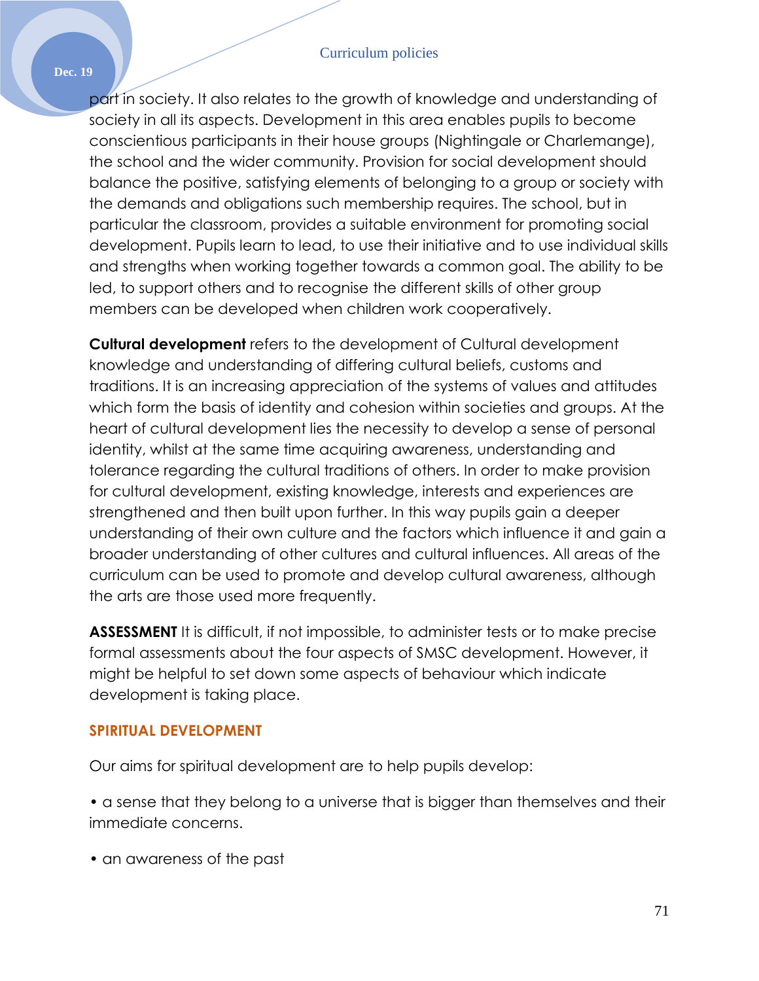#### Curriculum policies

**Dec. 19**

part in society. It also relates to the growth of knowledge and understanding of society in all its aspects. Development in this area enables pupils to become conscientious participants in their house groups (Nightingale or Charlemange), the school and the wider community. Provision for social development should balance the positive, satisfying elements of belonging to a group or society with the demands and obligations such membership requires. The school, but in particular the classroom, provides a suitable environment for promoting social development. Pupils learn to lead, to use their initiative and to use individual skills and strengths when working together towards a common goal. The ability to be led, to support others and to recognise the different skills of other group members can be developed when children work cooperatively.

**Cultural development** refers to the development of Cultural development knowledge and understanding of differing cultural beliefs, customs and traditions. It is an increasing appreciation of the systems of values and attitudes which form the basis of identity and cohesion within societies and groups. At the heart of cultural development lies the necessity to develop a sense of personal identity, whilst at the same time acquiring awareness, understanding and tolerance regarding the cultural traditions of others. In order to make provision for cultural development, existing knowledge, interests and experiences are strengthened and then built upon further. In this way pupils gain a deeper understanding of their own culture and the factors which influence it and gain a broader understanding of other cultures and cultural influences. All areas of the curriculum can be used to promote and develop cultural awareness, although the arts are those used more frequently.

**ASSESSMENT** It is difficult, if not impossible, to administer tests or to make precise formal assessments about the four aspects of SMSC development. However, it might be helpful to set down some aspects of behaviour which indicate development is taking place.

#### **SPIRITUAL DEVELOPMENT**

Our aims for spiritual development are to help pupils develop:

• a sense that they belong to a universe that is bigger than themselves and their immediate concerns.

• an awareness of the past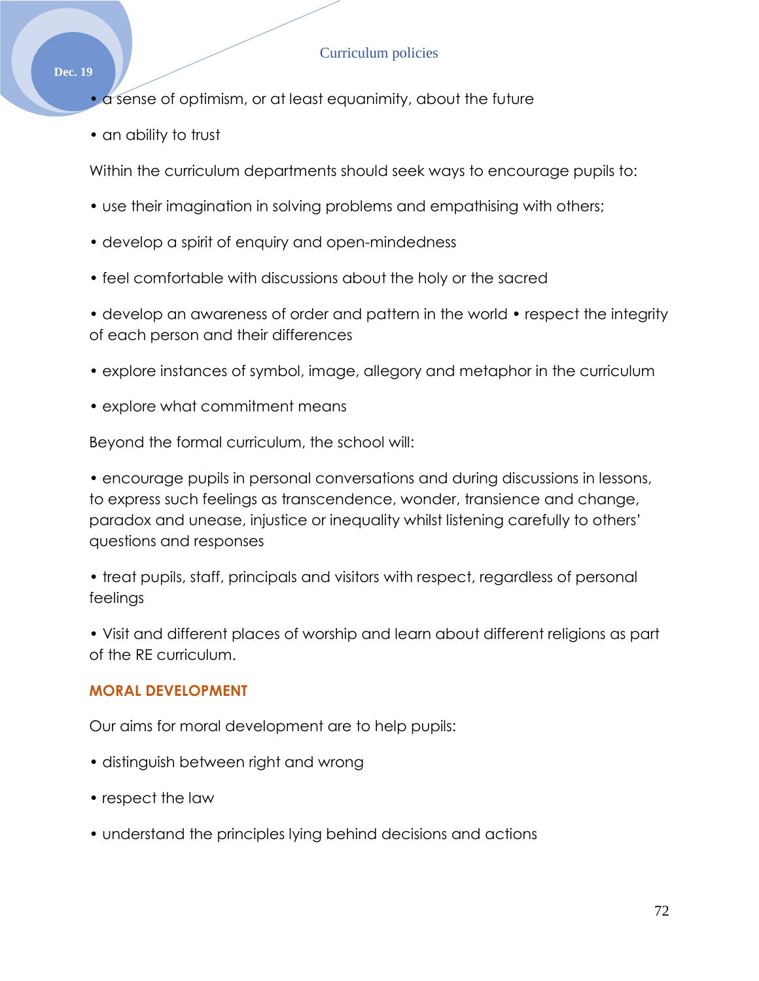• a sense of optimism, or at least equanimity, about the future

• an ability to trust

Within the curriculum departments should seek ways to encourage pupils to:

- use their imagination in solving problems and empathising with others;
- develop a spirit of enquiry and open-mindedness
- feel comfortable with discussions about the holy or the sacred

• develop an awareness of order and pattern in the world • respect the integrity of each person and their differences

- explore instances of symbol, image, allegory and metaphor in the curriculum
- explore what commitment means

Beyond the formal curriculum, the school will:

• encourage pupils in personal conversations and during discussions in lessons, to express such feelings as transcendence, wonder, transience and change, paradox and unease, injustice or inequality whilst listening carefully to others' questions and responses

• treat pupils, staff, principals and visitors with respect, regardless of personal feelings

• Visit and different places of worship and learn about different religions as part of the RE curriculum.

#### **MORAL DEVELOPMENT**

Our aims for moral development are to help pupils:

- distinguish between right and wrong
- respect the law
- understand the principles lying behind decisions and actions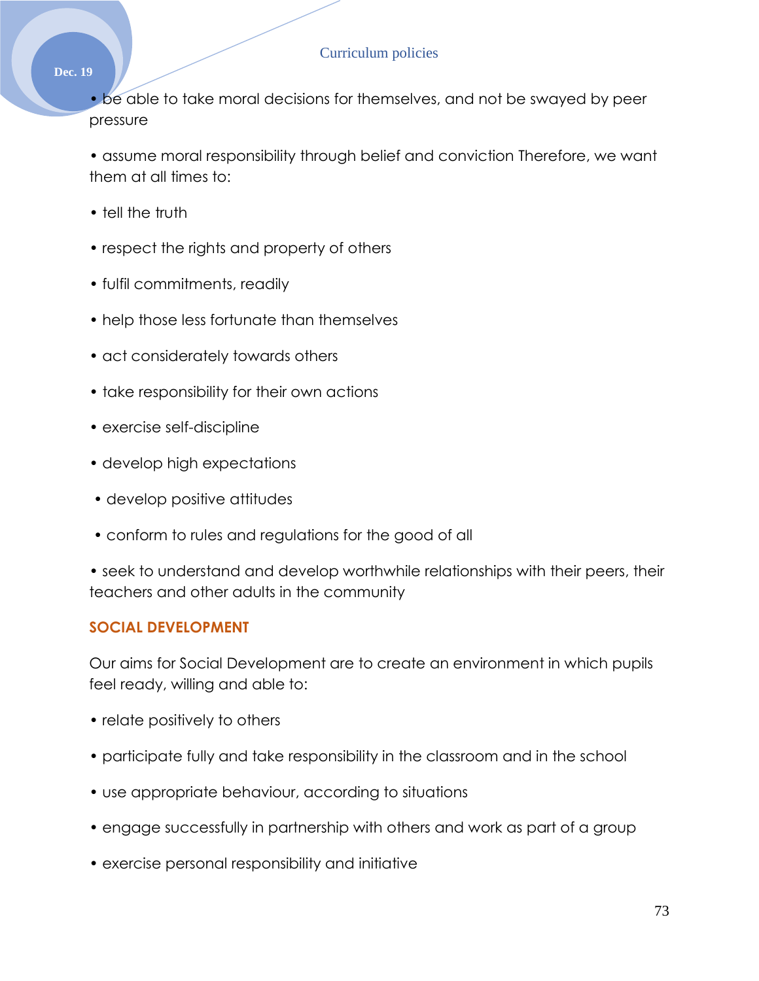#### **Dec. 19**

• be able to take moral decisions for themselves, and not be swayed by peer pressure

• assume moral responsibility through belief and conviction Therefore, we want them at all times to:

- tell the truth
- respect the rights and property of others
- fulfil commitments, readily
- help those less fortunate than themselves
- act considerately towards others
- take responsibility for their own actions
- exercise self-discipline
- develop high expectations
- develop positive attitudes
- conform to rules and regulations for the good of all

• seek to understand and develop worthwhile relationships with their peers, their teachers and other adults in the community

### **SOCIAL DEVELOPMENT**

Our aims for Social Development are to create an environment in which pupils feel ready, willing and able to:

- relate positively to others
- participate fully and take responsibility in the classroom and in the school
- use appropriate behaviour, according to situations
- engage successfully in partnership with others and work as part of a group
- exercise personal responsibility and initiative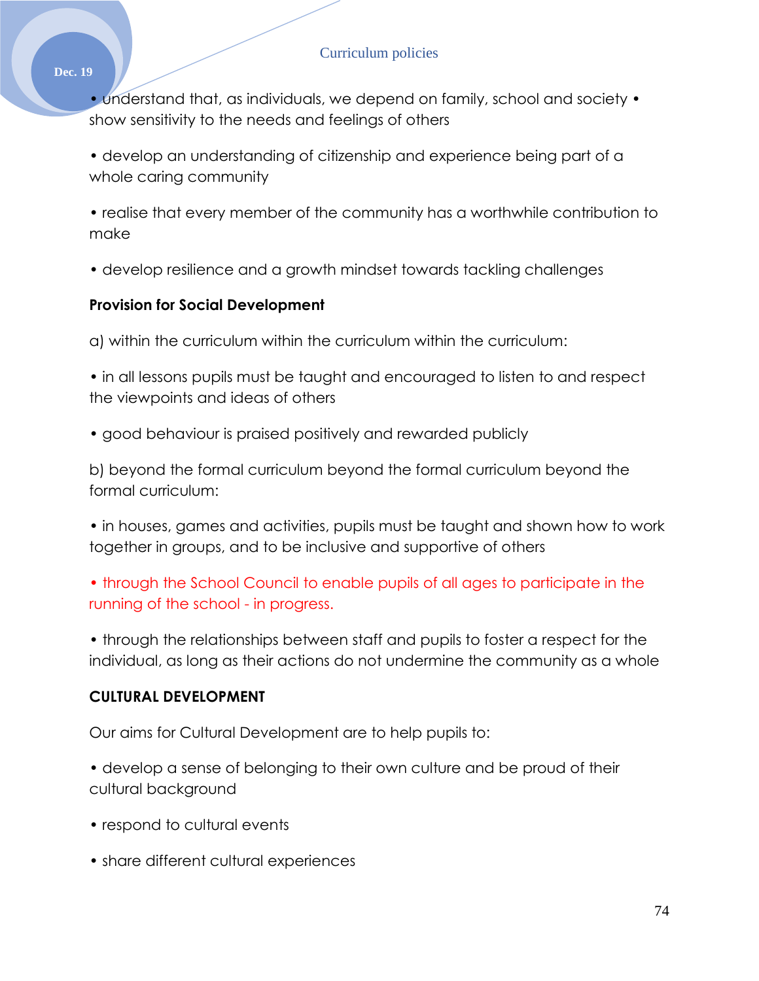• understand that, as individuals, we depend on family, school and society • show sensitivity to the needs and feelings of others

• develop an understanding of citizenship and experience being part of a whole caring community

• realise that every member of the community has a worthwhile contribution to make

• develop resilience and a growth mindset towards tackling challenges

# **Provision for Social Development**

a) within the curriculum within the curriculum within the curriculum:

• in all lessons pupils must be taught and encouraged to listen to and respect the viewpoints and ideas of others

• good behaviour is praised positively and rewarded publicly

b) beyond the formal curriculum beyond the formal curriculum beyond the formal curriculum:

• in houses, games and activities, pupils must be taught and shown how to work together in groups, and to be inclusive and supportive of others

• through the School Council to enable pupils of all ages to participate in the running of the school - in progress.

• through the relationships between staff and pupils to foster a respect for the individual, as long as their actions do not undermine the community as a whole

# **CULTURAL DEVELOPMENT**

Our aims for Cultural Development are to help pupils to:

• develop a sense of belonging to their own culture and be proud of their cultural background

- respond to cultural events
- share different cultural experiences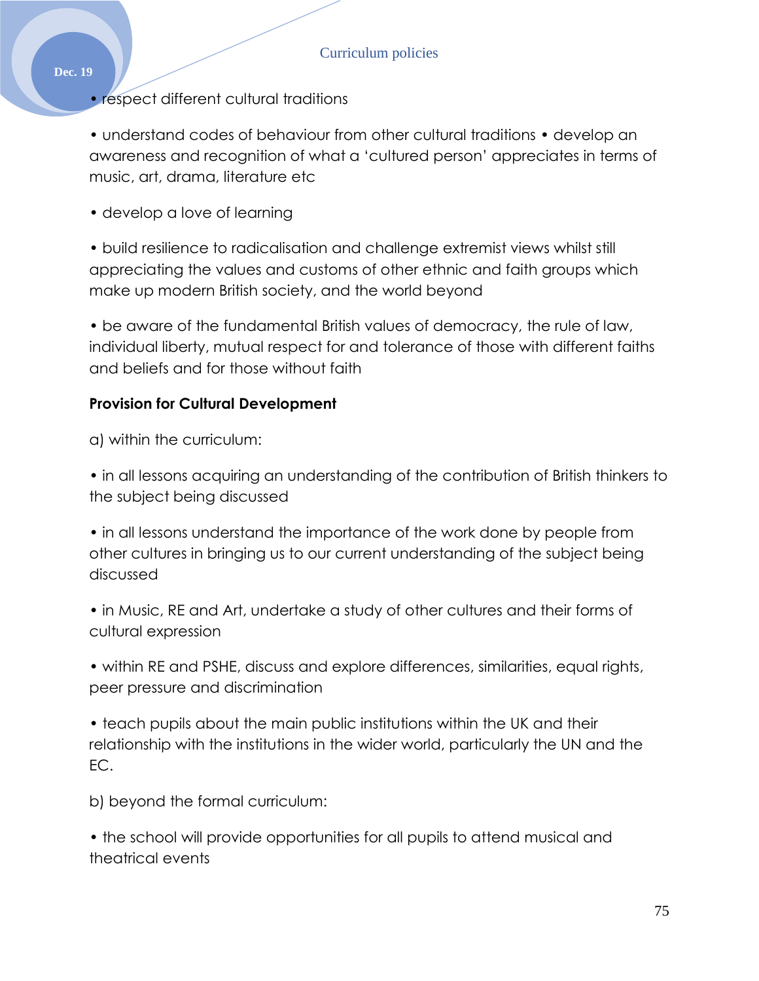• respect different cultural traditions

• understand codes of behaviour from other cultural traditions • develop an awareness and recognition of what a 'cultured person' appreciates in terms of music, art, drama, literature etc

• develop a love of learning

• build resilience to radicalisation and challenge extremist views whilst still appreciating the values and customs of other ethnic and faith groups which make up modern British society, and the world beyond

• be aware of the fundamental British values of democracy, the rule of law, individual liberty, mutual respect for and tolerance of those with different faiths and beliefs and for those without faith

### **Provision for Cultural Development**

a) within the curriculum:

• in all lessons acquiring an understanding of the contribution of British thinkers to the subject being discussed

• in all lessons understand the importance of the work done by people from other cultures in bringing us to our current understanding of the subject being discussed

• in Music, RE and Art, undertake a study of other cultures and their forms of cultural expression

• within RE and PSHE, discuss and explore differences, similarities, equal rights, peer pressure and discrimination

• teach pupils about the main public institutions within the UK and their relationship with the institutions in the wider world, particularly the UN and the EC.

b) beyond the formal curriculum:

• the school will provide opportunities for all pupils to attend musical and theatrical events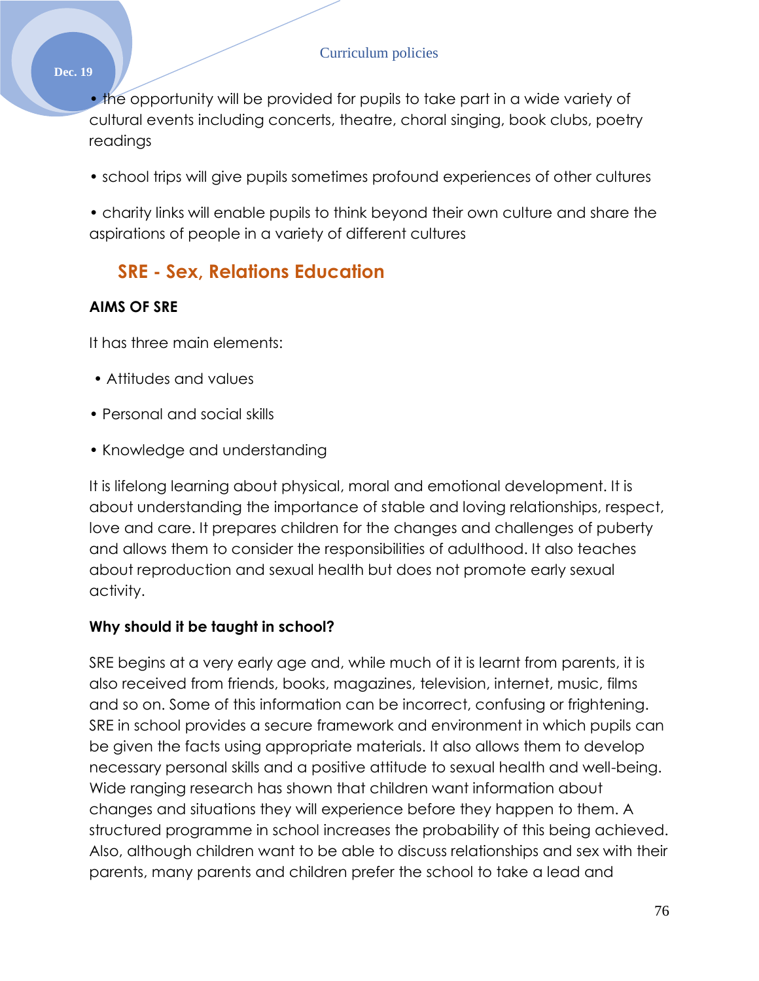• the opportunity will be provided for pupils to take part in a wide variety of cultural events including concerts, theatre, choral singing, book clubs, poetry readings

• school trips will give pupils sometimes profound experiences of other cultures

• charity links will enable pupils to think beyond their own culture and share the aspirations of people in a variety of different cultures

# **SRE - Sex, Relations Education**

# **AIMS OF SRE**

It has three main elements:

- Attitudes and values
- Personal and social skills
- Knowledge and understanding

It is lifelong learning about physical, moral and emotional development. It is about understanding the importance of stable and loving relationships, respect, love and care. It prepares children for the changes and challenges of puberty and allows them to consider the responsibilities of adulthood. It also teaches about reproduction and sexual health but does not promote early sexual activity.

# **Why should it be taught in school?**

SRE begins at a very early age and, while much of it is learnt from parents, it is also received from friends, books, magazines, television, internet, music, films and so on. Some of this information can be incorrect, confusing or frightening. SRE in school provides a secure framework and environment in which pupils can be given the facts using appropriate materials. It also allows them to develop necessary personal skills and a positive attitude to sexual health and well-being. Wide ranging research has shown that children want information about changes and situations they will experience before they happen to them. A structured programme in school increases the probability of this being achieved. Also, although children want to be able to discuss relationships and sex with their parents, many parents and children prefer the school to take a lead and

**Dec. 19**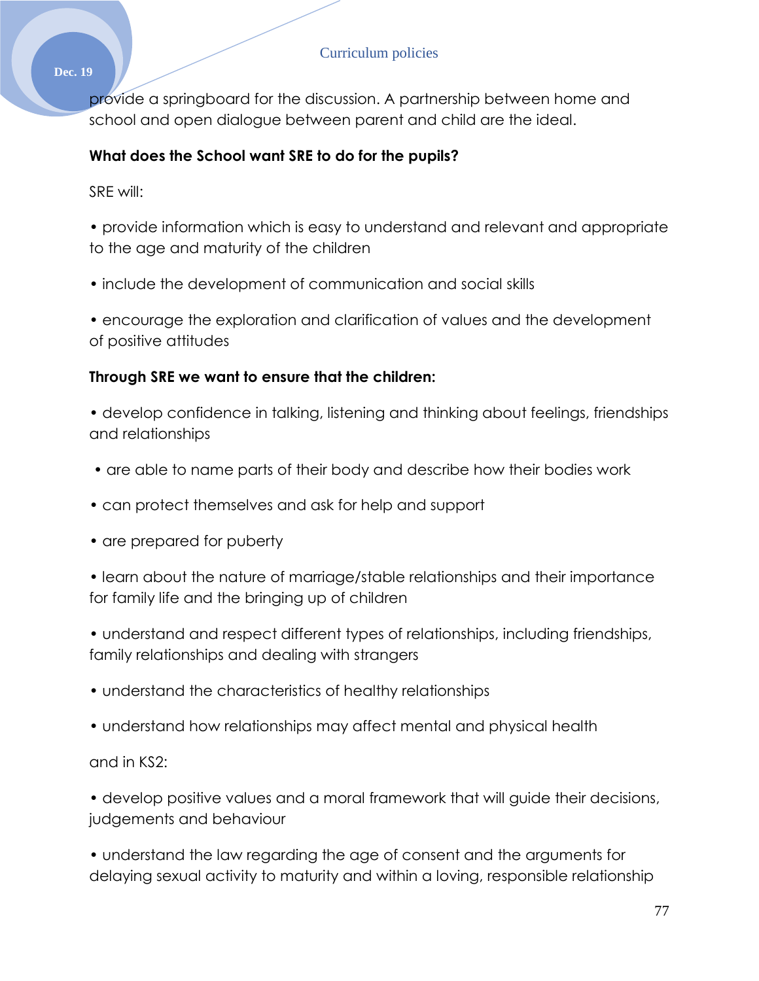**Dec. 19**

provide a springboard for the discussion. A partnership between home and school and open dialogue between parent and child are the ideal.

# **What does the School want SRE to do for the pupils?**

SRE will:

• provide information which is easy to understand and relevant and appropriate to the age and maturity of the children

• include the development of communication and social skills

• encourage the exploration and clarification of values and the development of positive attitudes

# **Through SRE we want to ensure that the children:**

• develop confidence in talking, listening and thinking about feelings, friendships and relationships

- are able to name parts of their body and describe how their bodies work
- can protect themselves and ask for help and support
- are prepared for puberty

• learn about the nature of marriage/stable relationships and their importance for family life and the bringing up of children

• understand and respect different types of relationships, including friendships, family relationships and dealing with strangers

- understand the characteristics of healthy relationships
- understand how relationships may affect mental and physical health

and in KS2:

• develop positive values and a moral framework that will guide their decisions, judgements and behaviour

• understand the law regarding the age of consent and the arguments for delaying sexual activity to maturity and within a loving, responsible relationship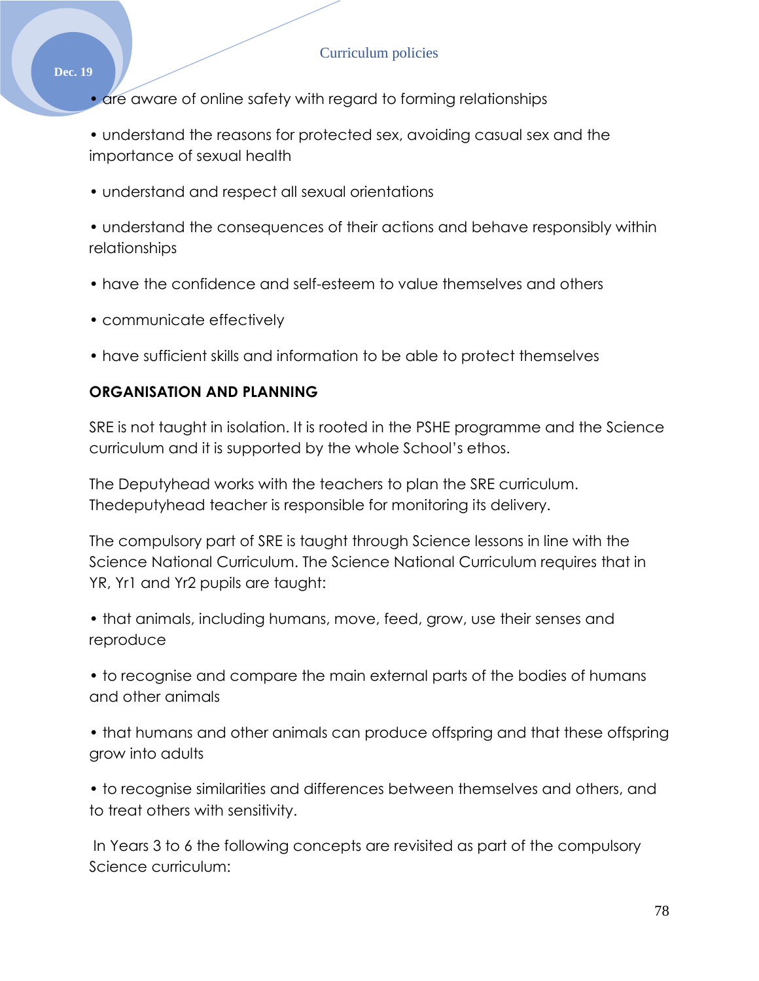- are aware of online safety with regard to forming relationships
- understand the reasons for protected sex, avoiding casual sex and the importance of sexual health
- understand and respect all sexual orientations

• understand the consequences of their actions and behave responsibly within relationships

- have the confidence and self-esteem to value themselves and others
- communicate effectively
- have sufficient skills and information to be able to protect themselves

### **ORGANISATION AND PLANNING**

SRE is not taught in isolation. It is rooted in the PSHE programme and the Science curriculum and it is supported by the whole School's ethos.

The Deputyhead works with the teachers to plan the SRE curriculum. Thedeputyhead teacher is responsible for monitoring its delivery.

The compulsory part of SRE is taught through Science lessons in line with the Science National Curriculum. The Science National Curriculum requires that in YR, Yr1 and Yr2 pupils are taught:

• that animals, including humans, move, feed, grow, use their senses and reproduce

• to recognise and compare the main external parts of the bodies of humans and other animals

• that humans and other animals can produce offspring and that these offspring grow into adults

• to recognise similarities and differences between themselves and others, and to treat others with sensitivity.

In Years 3 to 6 the following concepts are revisited as part of the compulsory Science curriculum: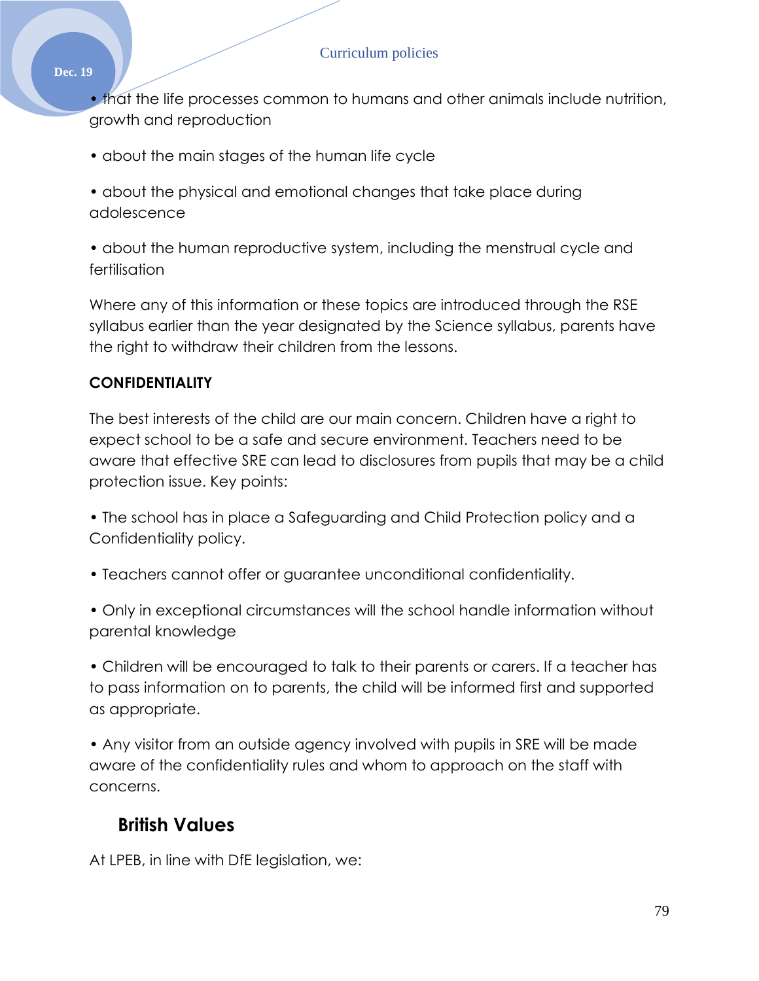#### **Dec. 19**

• that the life processes common to humans and other animals include nutrition, growth and reproduction

- about the main stages of the human life cycle
- about the physical and emotional changes that take place during adolescence
- about the human reproductive system, including the menstrual cycle and fertilisation

Where any of this information or these topics are introduced through the RSE syllabus earlier than the year designated by the Science syllabus, parents have the right to withdraw their children from the lessons.

### **CONFIDENTIALITY**

The best interests of the child are our main concern. Children have a right to expect school to be a safe and secure environment. Teachers need to be aware that effective SRE can lead to disclosures from pupils that may be a child protection issue. Key points:

- The school has in place a Safeguarding and Child Protection policy and a Confidentiality policy.
- Teachers cannot offer or guarantee unconditional confidentiality.
- Only in exceptional circumstances will the school handle information without parental knowledge

• Children will be encouraged to talk to their parents or carers. If a teacher has to pass information on to parents, the child will be informed first and supported as appropriate.

• Any visitor from an outside agency involved with pupils in SRE will be made aware of the confidentiality rules and whom to approach on the staff with concerns.

# **British Values**

At LPEB, in line with DfE legislation, we: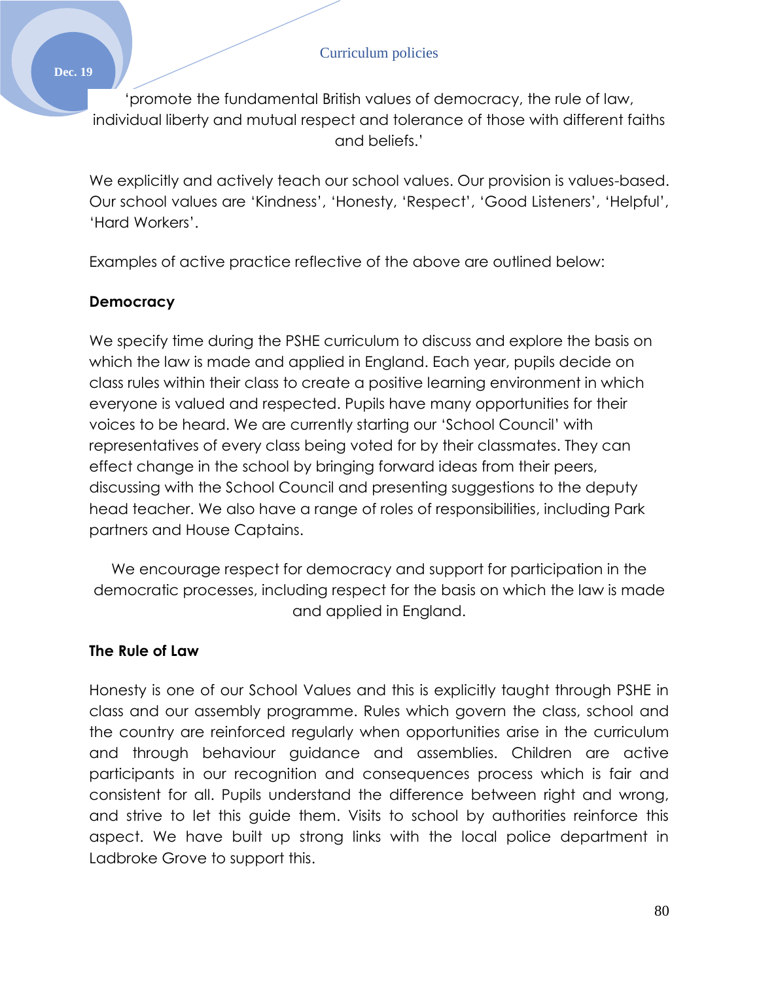**Dec. 19**

'promote the fundamental British values of democracy, the rule of law, individual liberty and mutual respect and tolerance of those with different faiths and beliefs.'

We explicitly and actively teach our school values. Our provision is values-based. Our school values are 'Kindness', 'Honesty, 'Respect', 'Good Listeners', 'Helpful', 'Hard Workers'.

Examples of active practice reflective of the above are outlined below:

## **Democracy**

We specify time during the PSHE curriculum to discuss and explore the basis on which the law is made and applied in England. Each year, pupils decide on class rules within their class to create a positive learning environment in which everyone is valued and respected. Pupils have many opportunities for their voices to be heard. We are currently starting our 'School Council' with representatives of every class being voted for by their classmates. They can effect change in the school by bringing forward ideas from their peers, discussing with the School Council and presenting suggestions to the deputy head teacher. We also have a range of roles of responsibilities, including Park partners and House Captains.

We encourage respect for democracy and support for participation in the democratic processes, including respect for the basis on which the law is made and applied in England.

## **The Rule of Law**

Honesty is one of our School Values and this is explicitly taught through PSHE in class and our assembly programme. Rules which govern the class, school and the country are reinforced regularly when opportunities arise in the curriculum and through behaviour guidance and assemblies. Children are active participants in our recognition and consequences process which is fair and consistent for all. Pupils understand the difference between right and wrong, and strive to let this guide them. Visits to school by authorities reinforce this aspect. We have built up strong links with the local police department in Ladbroke Grove to support this.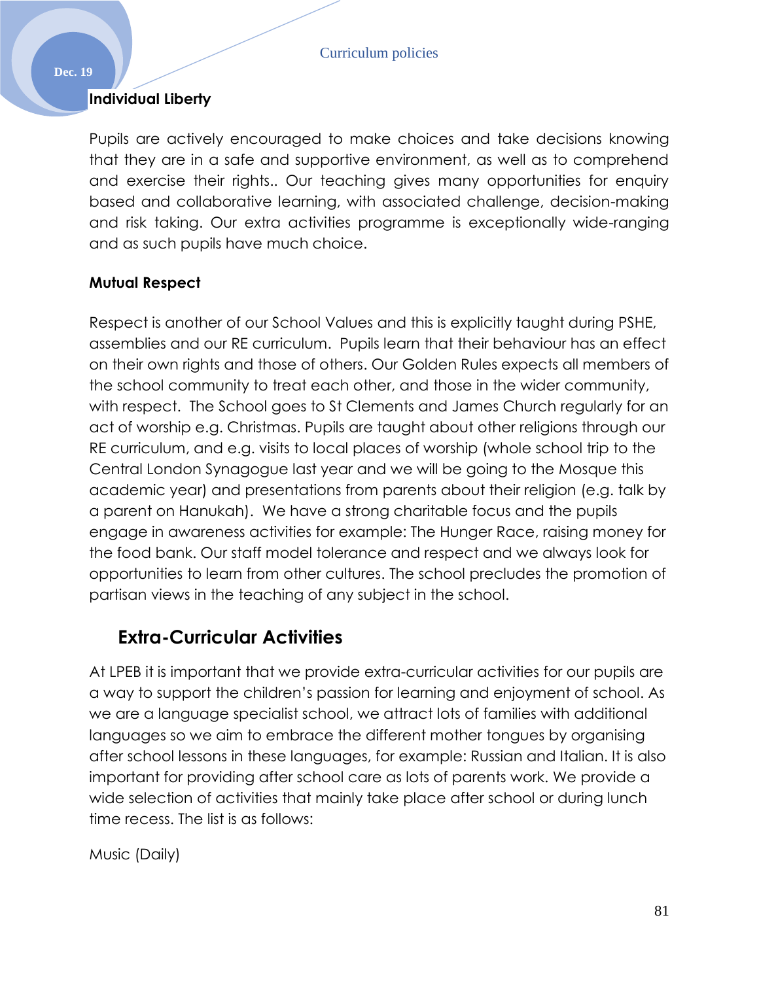### **Individual Liberty**

Pupils are actively encouraged to make choices and take decisions knowing that they are in a safe and supportive environment, as well as to comprehend and exercise their rights.. Our teaching gives many opportunities for enquiry based and collaborative learning, with associated challenge, decision-making and risk taking. Our extra activities programme is exceptionally wide-ranging and as such pupils have much choice.

### **Mutual Respect**

Respect is another of our School Values and this is explicitly taught during PSHE, assemblies and our RE curriculum. Pupils learn that their behaviour has an effect on their own rights and those of others. Our Golden Rules expects all members of the school community to treat each other, and those in the wider community, with respect. The School goes to St Clements and James Church regularly for an act of worship e.g. Christmas. Pupils are taught about other religions through our RE curriculum, and e.g. visits to local places of worship (whole school trip to the Central London Synagogue last year and we will be going to the Mosque this academic year) and presentations from parents about their religion (e.g. talk by a parent on Hanukah). We have a strong charitable focus and the pupils engage in awareness activities for example: The Hunger Race, raising money for the food bank. Our staff model tolerance and respect and we always look for opportunities to learn from other cultures. The school precludes the promotion of partisan views in the teaching of any subject in the school.

# **Extra-Curricular Activities**

At LPEB it is important that we provide extra-curricular activities for our pupils are a way to support the children's passion for learning and enjoyment of school. As we are a language specialist school, we attract lots of families with additional languages so we aim to embrace the different mother tongues by organising after school lessons in these languages, for example: Russian and Italian. It is also important for providing after school care as lots of parents work. We provide a wide selection of activities that mainly take place after school or during lunch time recess. The list is as follows:

Music (Daily)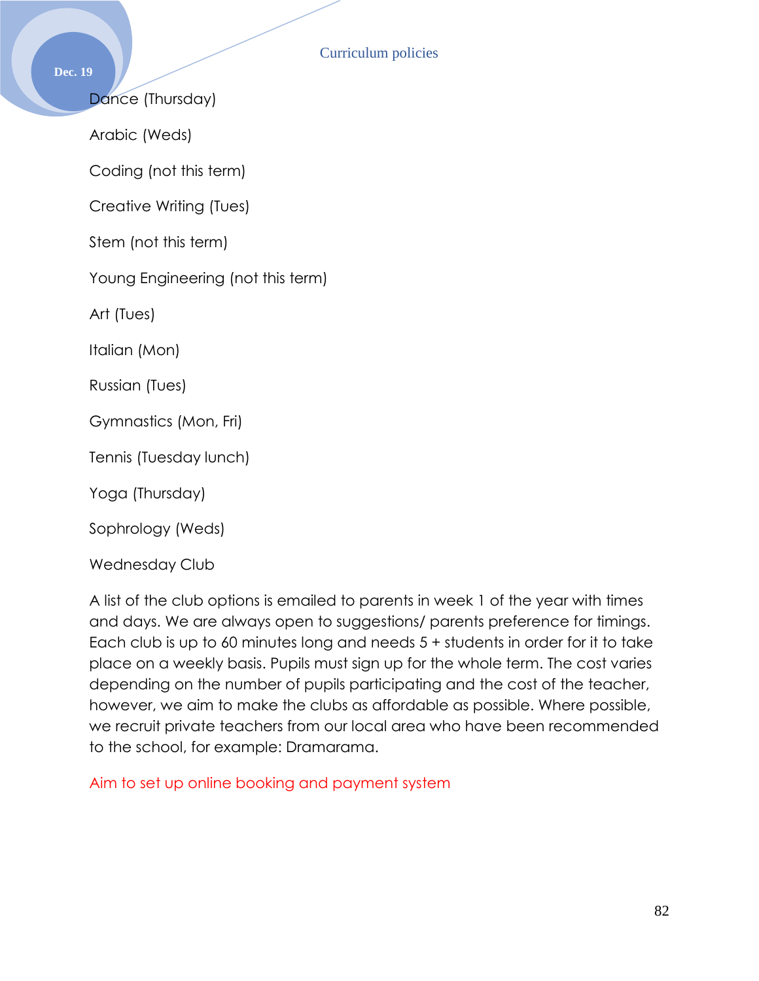**Dec. 19**

Dance (Thursday)

Arabic (Weds)

Coding (not this term)

Creative Writing (Tues)

Stem (not this term)

Young Engineering (not this term)

Art (Tues)

Italian (Mon)

Russian (Tues)

Gymnastics (Mon, Fri)

Tennis (Tuesday lunch)

Yoga (Thursday)

Sophrology (Weds)

Wednesday Club

A list of the club options is emailed to parents in week 1 of the year with times and days. We are always open to suggestions/ parents preference for timings. Each club is up to 60 minutes long and needs 5 + students in order for it to take place on a weekly basis. Pupils must sign up for the whole term. The cost varies depending on the number of pupils participating and the cost of the teacher, however, we aim to make the clubs as affordable as possible. Where possible, we recruit private teachers from our local area who have been recommended to the school, for example: Dramarama.

Aim to set up online booking and payment system